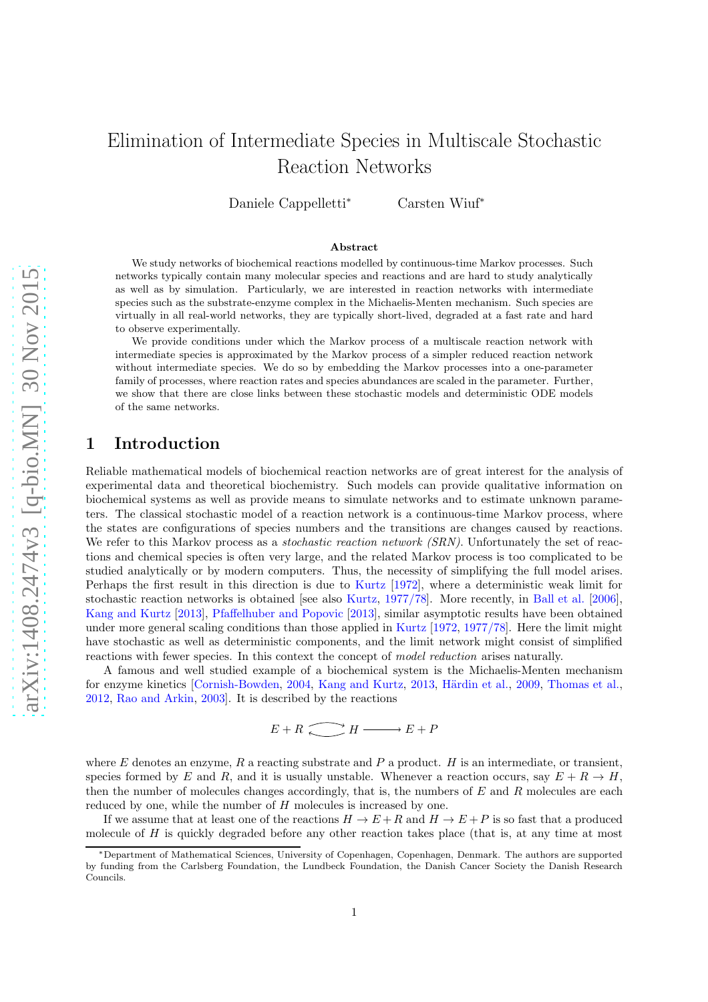# Elimination of Intermediate Species in Multiscale Stochastic Reaction Networks

Daniele Cappelletti<sup>∗</sup> Carsten Wiuf<sup>∗</sup>

#### Abstract

We study networks of biochemical reactions modelled by continuous-time Markov processes. Such networks typically contain many molecular species and reactions and are hard to study analytically as well as by simulation. Particularly, we are interested in reaction networks with intermediate species such as the substrate-enzyme complex in the Michaelis-Menten mechanism. Such species are virtually in all real-world networks, they are typically short-lived, degraded at a fast rate and hard to observe experimentally.

We provide conditions under which the Markov process of a multiscale reaction network with intermediate species is approximated by the Markov process of a simpler reduced reaction network without intermediate species. We do so by embedding the Markov processes into a one-parameter family of processes, where reaction rates and species abundances are scaled in the parameter. Further, we show that there are close links between these stochastic models and deterministic ODE models of the same networks.

# 1 Introduction

Reliable mathematical models of biochemical reaction networks are of great interest for the analysis of experimental data and theoretical biochemistry. Such models can provide qualitative information on biochemical systems as well as provide means to simulate networks and to estimate unknown parameters. The classical stochastic model of a reaction network is a continuous-time Markov process, where the states are configurations of species numbers and the transitions are changes caused by reactions. We refer to this Markov process as a *stochastic reaction network (SRN)*. Unfortunately the set of reactions and chemical species is often very large, and the related Markov process is too complicated to be studied analytically or by modern computers. Thus, the necessity of simplifying the full model arises. Perhaps the first result in this direction is due to [Kurtz](#page-30-0) [\[1972](#page-30-0)], where a deterministic weak limit for stochastic reaction networks is obtained [see also [Kurtz,](#page-30-1) [1977/78\]](#page-30-1). More recently, in [Ball et al.](#page-30-2) [\[2006\]](#page-30-2), [Kang and Kurtz](#page-30-3) [\[2013\]](#page-30-3), [Pfaffelhuber and Popovic](#page-30-4) [\[2013\]](#page-30-4), similar asymptotic results have been obtained under more general scaling conditions than those applied in [Kurtz](#page-30-0) [\[1972](#page-30-0), [1977/78\]](#page-30-1). Here the limit might have stochastic as well as deterministic components, and the limit network might consist of simplified reactions with fewer species. In this context the concept of model reduction arises naturally.

A famous and well studied example of a biochemical system is the Michaelis-Menten mechanism for enzyme kinetics [\[Cornish-Bowden,](#page-30-5) [2004](#page-30-5), [Kang and Kurtz,](#page-30-3) [2013,](#page-30-3) Härdin et al., [2009,](#page-30-6) [Thomas et al.,](#page-30-7) [2012,](#page-30-7) [Rao and Arkin,](#page-30-8) [2003](#page-30-8)]. It is described by the reactions

$$
E + R \xrightarrow{\frown} H \xrightarrow{\qquad} E + P
$$

where E denotes an enzyme,  $R$  a reacting substrate and  $P$  a product.  $H$  is an intermediate, or transient, species formed by E and R, and it is usually unstable. Whenever a reaction occurs, say  $E + R \rightarrow H$ , then the number of molecules changes accordingly, that is, the numbers of  $E$  and  $R$  molecules are each reduced by one, while the number of H molecules is increased by one.

If we assume that at least one of the reactions  $H \to E + R$  and  $H \to E + P$  is so fast that a produced molecule of  $H$  is quickly degraded before any other reaction takes place (that is, at any time at most

<sup>∗</sup>Department of Mathematical Sciences, University of Copenhagen, Copenhagen, Denmark. The authors are supported by funding from the Carlsberg Foundation, the Lundbeck Foundation, the Danish Cancer Society the Danish Research Councils.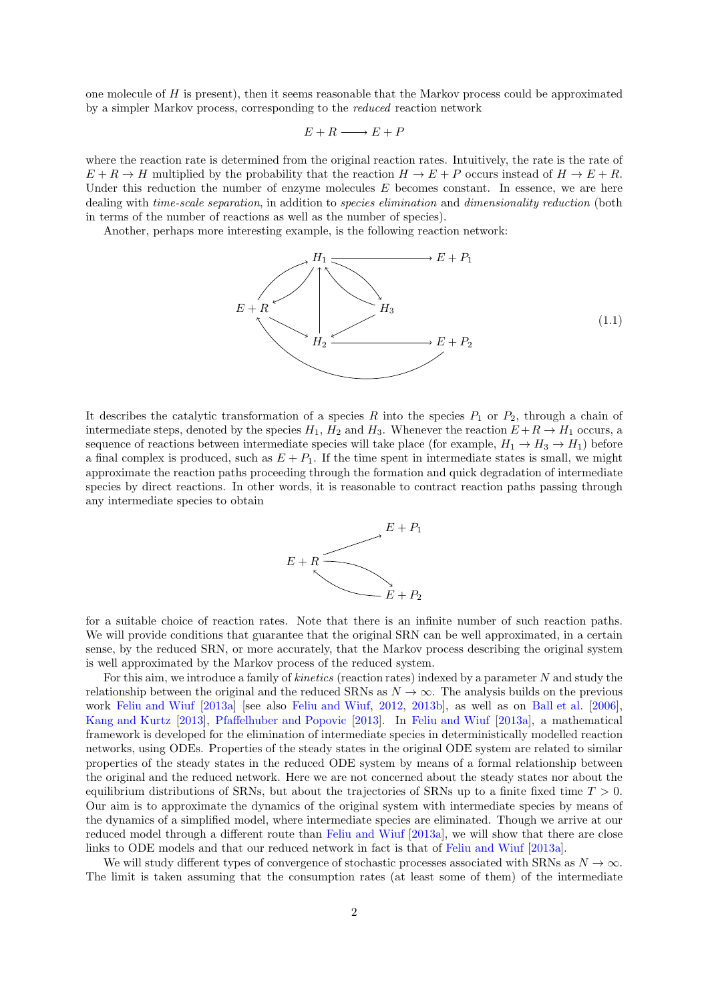one molecule of  $H$  is present), then it seems reasonable that the Markov process could be approximated by a simpler Markov process, corresponding to the reduced reaction network

$$
E+R\longrightarrow E+P
$$

where the reaction rate is determined from the original reaction rates. Intuitively, the rate is the rate of  $E + R \to H$  multiplied by the probability that the reaction  $H \to E + P$  occurs instead of  $H \to E + R$ . Under this reduction the number of enzyme molecules  $E$  becomes constant. In essence, we are here dealing with time-scale separation, in addition to species elimination and dimensionality reduction (both in terms of the number of reactions as well as the number of species).

Another, perhaps more interesting example, is the following reaction network:

<span id="page-1-0"></span>

It describes the catalytic transformation of a species R into the species  $P_1$  or  $P_2$ , through a chain of intermediate steps, denoted by the species  $H_1$ ,  $H_2$  and  $H_3$ . Whenever the reaction  $E + R \to H_1$  occurs, a sequence of reactions between intermediate species will take place (for example,  $H_1 \rightarrow H_3 \rightarrow H_1$ ) before a final complex is produced, such as  $E + P_1$ . If the time spent in intermediate states is small, we might approximate the reaction paths proceeding through the formation and quick degradation of intermediate species by direct reactions. In other words, it is reasonable to contract reaction paths passing through any intermediate species to obtain



for a suitable choice of reaction rates. Note that there is an infinite number of such reaction paths. We will provide conditions that guarantee that the original SRN can be well approximated, in a certain sense, by the reduced SRN, or more accurately, that the Markov process describing the original system is well approximated by the Markov process of the reduced system.

For this aim, we introduce a family of *kinetics* (reaction rates) indexed by a parameter N and study the relationship between the original and the reduced SRNs as  $N \to \infty$ . The analysis builds on the previous work [Feliu and Wiuf](#page-30-9) [\[2013a\]](#page-30-9) [see also [Feliu and Wiuf,](#page-30-10) [2012,](#page-30-10) [2013b\]](#page-30-11), as well as on [Ball et al.](#page-30-2) [\[2006\]](#page-30-2), [Kang and Kurtz](#page-30-3) [\[2013\]](#page-30-3), [Pfaffelhuber and Popovic](#page-30-4) [\[2013](#page-30-4)]. In [Feliu and Wiuf](#page-30-9) [\[2013a\]](#page-30-9), a mathematical framework is developed for the elimination of intermediate species in deterministically modelled reaction networks, using ODEs. Properties of the steady states in the original ODE system are related to similar properties of the steady states in the reduced ODE system by means of a formal relationship between the original and the reduced network. Here we are not concerned about the steady states nor about the equilibrium distributions of SRNs, but about the trajectories of SRNs up to a finite fixed time  $T > 0$ . Our aim is to approximate the dynamics of the original system with intermediate species by means of the dynamics of a simplified model, where intermediate species are eliminated. Though we arrive at our reduced model through a different route than [Feliu and Wiuf](#page-30-9) [\[2013a\]](#page-30-9), we will show that there are close links to ODE models and that our reduced network in fact is that of [Feliu and Wiuf](#page-30-9) [\[2013a](#page-30-9)].

We will study different types of convergence of stochastic processes associated with SRNs as  $N \to \infty$ . The limit is taken assuming that the consumption rates (at least some of them) of the intermediate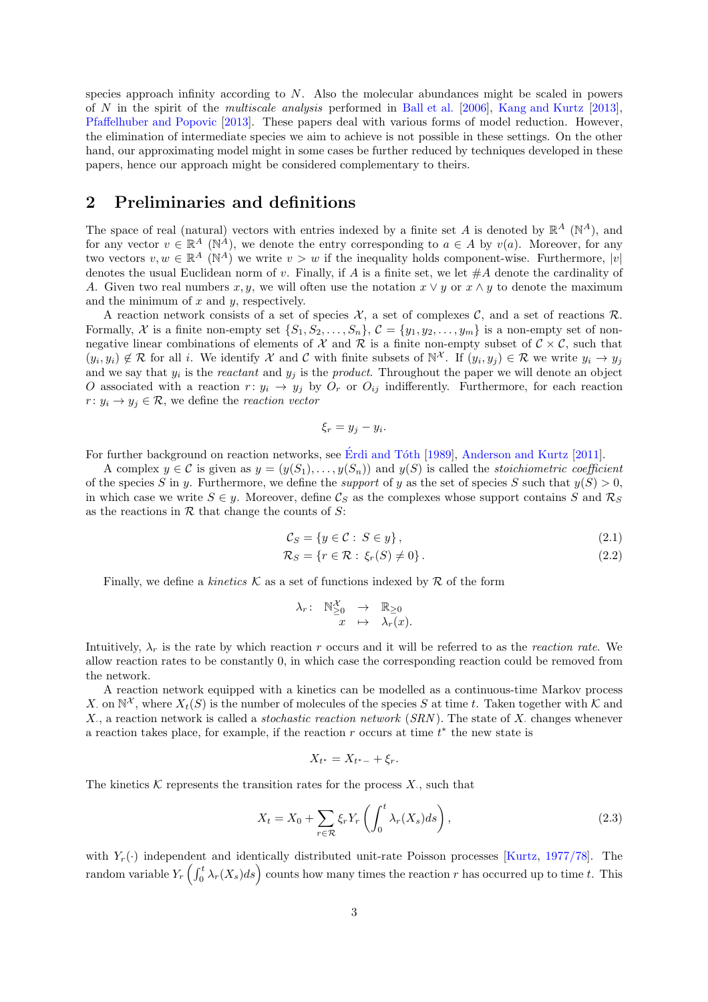species approach infinity according to  $N$ . Also the molecular abundances might be scaled in powers of N in the spirit of the multiscale analysis performed in [Ball et al.](#page-30-2) [\[2006\]](#page-30-2), [Kang and Kurtz](#page-30-3) [\[2013\]](#page-30-3), [Pfaffelhuber and Popovic](#page-30-4) [\[2013\]](#page-30-4). These papers deal with various forms of model reduction. However, the elimination of intermediate species we aim to achieve is not possible in these settings. On the other hand, our approximating model might in some cases be further reduced by techniques developed in these papers, hence our approach might be considered complementary to theirs.

# 2 Preliminaries and definitions

The space of real (natural) vectors with entries indexed by a finite set A is denoted by  $\mathbb{R}^A$  ( $\mathbb{N}^A$ ), and for any vector  $v \in \mathbb{R}^A$  (N<sup>A</sup>), we denote the entry corresponding to  $a \in A$  by  $v(a)$ . Moreover, for any two vectors  $v, w \in \mathbb{R}^A$  (N<sup>A</sup>) we write  $v > w$  if the inequality holds component-wise. Furthermore,  $|v|$ denotes the usual Euclidean norm of v. Finally, if A is a finite set, we let  $\#A$  denote the cardinality of A. Given two real numbers x, y, we will often use the notation  $x \vee y$  or  $x \wedge y$  to denote the maximum and the minimum of  $x$  and  $y$ , respectively.

A reaction network consists of a set of species  $X$ , a set of complexes  $C$ , and a set of reactions  $R$ . Formally, X is a finite non-empty set  $\{S_1, S_2, \ldots, S_n\}$ ,  $\mathcal{C} = \{y_1, y_2, \ldots, y_m\}$  is a non-empty set of nonnegative linear combinations of elements of  $\mathcal X$  and  $\mathcal R$  is a finite non-empty subset of  $\mathcal C \times \mathcal C$ , such that  $(y_i, y_i) \notin \mathcal{R}$  for all i. We identify X and C with finite subsets of  $\mathbb{N}^{\mathcal{X}}$ . If  $(y_i, y_j) \in \mathcal{R}$  we write  $y_i \to y_j$ and we say that  $y_i$  is the *reactant* and  $y_j$  is the *product*. Throughout the paper we will denote an object O associated with a reaction  $r: y_i \to y_j$  by  $O_r$  or  $O_{ij}$  indifferently. Furthermore, for each reaction  $r: y_i \to y_j \in \mathcal{R}$ , we define the reaction vector

<span id="page-2-1"></span>
$$
\xi_r = y_j - y_i.
$$

For further background on reaction networks, see Érdi and Tóth [\[1989](#page-30-12)], [Anderson and Kurtz](#page-30-13) [\[2011\]](#page-30-13).

A complex  $y \in \mathcal{C}$  is given as  $y = (y(S_1), \ldots, y(S_n))$  and  $y(S)$  is called the *stoichiometric coefficient* of the species S in y. Furthermore, we define the *support* of y as the set of species S such that  $y(S) > 0$ , in which case we write  $S \in y$ . Moreover, define  $\mathcal{C}_S$  as the complexes whose support contains S and  $\mathcal{R}_S$ as the reactions in  $R$  that change the counts of  $S$ :

$$
\mathcal{C}_S = \{ y \in \mathcal{C} : S \in y \},\tag{2.1}
$$

$$
\mathcal{R}_S = \{ r \in \mathcal{R} : \xi_r(S) \neq 0 \}.
$$
\n
$$
(2.2)
$$

Finally, we define a kinetics  $\mathcal K$  as a set of functions indexed by  $\mathcal R$  of the form

$$
\begin{array}{rccc}\n\lambda_r: & \mathbb{N}_{\geq 0}^{\mathcal{X}} & \to & \mathbb{R}_{\geq 0} \\
x & \mapsto & \lambda_r(x).\n\end{array}
$$

Intuitively,  $\lambda_r$  is the rate by which reaction r occurs and it will be referred to as the reaction rate. We allow reaction rates to be constantly 0, in which case the corresponding reaction could be removed from the network.

A reaction network equipped with a kinetics can be modelled as a continuous-time Markov process X. on  $\mathbb{N}^{\mathcal{X}}$ , where  $X_t(S)$  is the number of molecules of the species S at time t. Taken together with K and X., a reaction network is called a *stochastic reaction network* (SRN). The state of X. changes whenever a reaction takes place, for example, if the reaction  $r$  occurs at time  $t^*$  the new state is

$$
X_{t^*}=X_{t^*-}+\xi_r.
$$

The kinetics  $K$  represents the transition rates for the process  $X$ , such that

<span id="page-2-0"></span>
$$
X_t = X_0 + \sum_{r \in \mathcal{R}} \xi_r Y_r \left( \int_0^t \lambda_r(X_s) ds \right), \tag{2.3}
$$

with  $Y_r(\cdot)$  independent and identically distributed unit-rate Poisson processes [\[Kurtz](#page-30-1), [1977/78\]](#page-30-1). The random variable  $Y_r\left(\int_0^t \lambda_r(X_s)ds\right)$  counts how many times the reaction r has occurred up to time t. This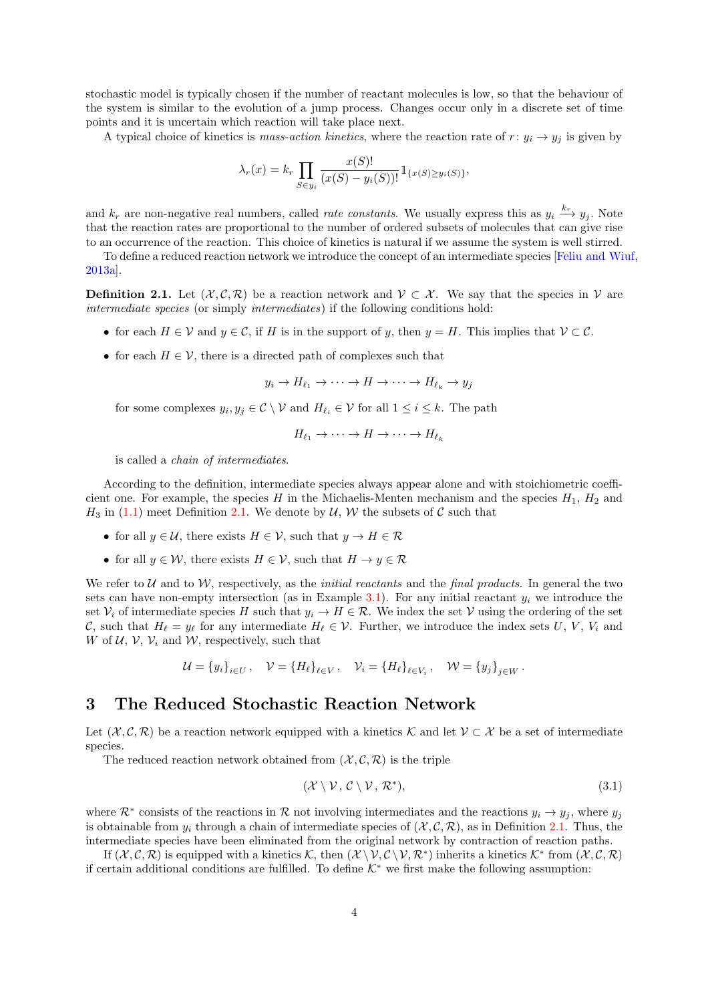stochastic model is typically chosen if the number of reactant molecules is low, so that the behaviour of the system is similar to the evolution of a jump process. Changes occur only in a discrete set of time points and it is uncertain which reaction will take place next.

A typical choice of kinetics is mass-action kinetics, where the reaction rate of  $r: y_i \to y_j$  is given by

$$
\lambda_r(x) = k_r \prod_{S \in y_i} \frac{x(S)!}{(x(S) - y_i(S))!} 1\!\!1_{\{x(S) \ge y_i(S)\}},
$$

and  $k_r$  are non-negative real numbers, called *rate constants*. We usually express this as  $y_i \stackrel{k_r}{\longrightarrow} y_j$ . Note that the reaction rates are proportional to the number of ordered subsets of molecules that can give rise to an occurrence of the reaction. This choice of kinetics is natural if we assume the system is well stirred.

To define a reduced reaction network we introduce the concept of an intermediate species [\[Feliu and Wiuf](#page-30-9), [2013a\]](#page-30-9).

<span id="page-3-0"></span>**Definition 2.1.** Let  $(\mathcal{X}, \mathcal{C}, \mathcal{R})$  be a reaction network and  $\mathcal{V} \subset \mathcal{X}$ . We say that the species in  $\mathcal{V}$  are intermediate species (or simply intermediates) if the following conditions hold:

- for each  $H \in \mathcal{V}$  and  $y \in \mathcal{C}$ , if H is in the support of y, then  $y = H$ . This implies that  $\mathcal{V} \subset \mathcal{C}$ .
- for each  $H \in \mathcal{V}$ , there is a directed path of complexes such that

 $y_i \to H_{\ell_1} \to \cdots \to H \to \cdots \to H_{\ell_k} \to y_j$ 

for some complexes  $y_i, y_j \in \mathcal{C} \setminus \mathcal{V}$  and  $H_{\ell_i} \in \mathcal{V}$  for all  $1 \leq i \leq k$ . The path

$$
H_{\ell_1} \to \cdots \to H \to \cdots \to H_{\ell_k}
$$

is called a chain of intermediates.

According to the definition, intermediate species always appear alone and with stoichiometric coefficient one. For example, the species H in the Michaelis-Menten mechanism and the species  $H_1$ ,  $H_2$  and  $H_3$  in [\(1.1\)](#page-1-0) meet Definition [2.1.](#page-3-0) We denote by  $\mathcal{U}, \mathcal{W}$  the subsets of C such that

- for all  $y \in \mathcal{U}$ , there exists  $H \in \mathcal{V}$ , such that  $y \to H \in \mathcal{R}$
- for all  $y \in \mathcal{W}$ , there exists  $H \in \mathcal{V}$ , such that  $H \to y \in \mathcal{R}$

We refer to  $U$  and to  $W$ , respectively, as the *initial reactants* and the *final products*. In general the two sets can have non-empty intersection (as in Example [3.1\)](#page-5-0). For any initial reactant  $y_i$  we introduce the set  $\mathcal{V}_i$  of intermediate species H such that  $y_i \to H \in \mathcal{R}$ . We index the set V using the ordering of the set C, such that  $H_{\ell} = y_{\ell}$  for any intermediate  $H_{\ell} \in \mathcal{V}$ . Further, we introduce the index sets U, V, V<sub>i</sub> and W of  $U, V, V_i$  and W, respectively, such that

$$
\mathcal{U} = \{y_i\}_{i \in U}, \quad \mathcal{V} = \{H_{\ell}\}_{{\ell \in V}}, \quad \mathcal{V}_i = \{H_{\ell}\}_{{\ell \in V_i}}, \quad \mathcal{W} = \{y_j\}_{{j \in W}}.
$$

### 3 The Reduced Stochastic Reaction Network

Let  $(\mathcal{X}, \mathcal{C}, \mathcal{R})$  be a reaction network equipped with a kinetics K and let  $\mathcal{V} \subset \mathcal{X}$  be a set of intermediate species.

The reduced reaction network obtained from  $(\mathcal{X}, \mathcal{C}, \mathcal{R})$  is the triple

<span id="page-3-1"></span>
$$
(\mathcal{X} \setminus \mathcal{V}, \mathcal{C} \setminus \mathcal{V}, \mathcal{R}^*), \tag{3.1}
$$

where  $\mathcal{R}^*$  consists of the reactions in  $\mathcal R$  not involving intermediates and the reactions  $y_i \to y_j$ , where  $y_j$ is obtainable from  $y_i$  through a chain of intermediate species of  $(\mathcal{X}, \mathcal{C}, \mathcal{R})$ , as in Definition [2.1.](#page-3-0) Thus, the intermediate species have been eliminated from the original network by contraction of reaction paths.

If  $(X, \mathcal{C}, \mathcal{R})$  is equipped with a kinetics K, then  $(X \setminus V, \mathcal{C} \setminus V, \mathcal{R}^*)$  inherits a kinetics  $\mathcal{K}^*$  from  $(X, \mathcal{C}, \mathcal{R})$ if certain additional conditions are fulfilled. To define  $K^*$  we first make the following assumption: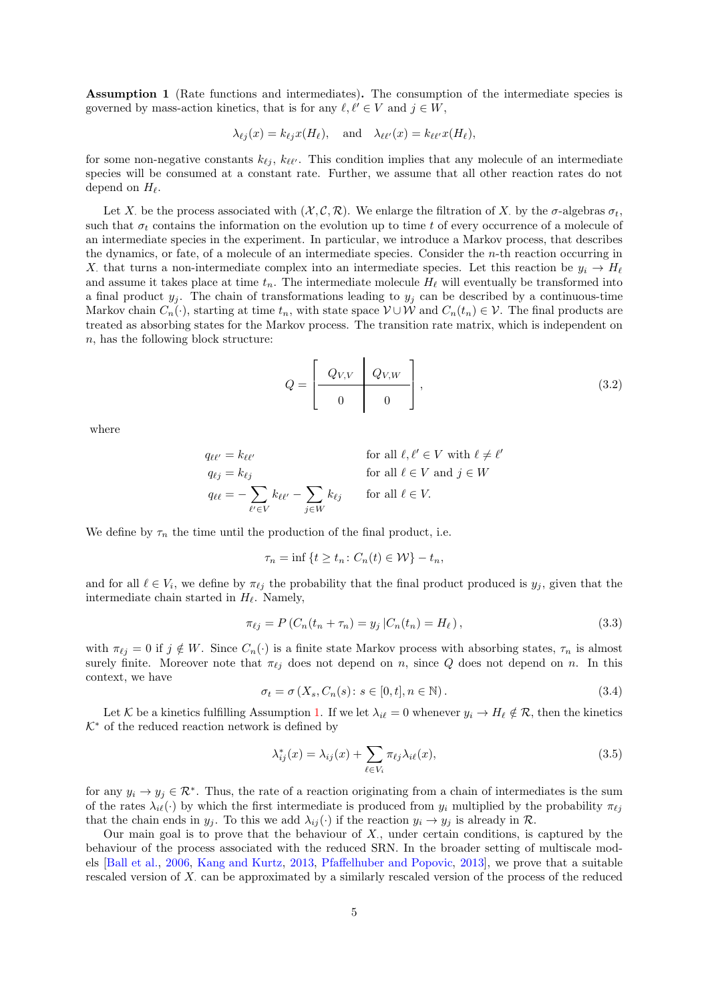<span id="page-4-0"></span>Assumption 1 (Rate functions and intermediates). The consumption of the intermediate species is governed by mass-action kinetics, that is for any  $\ell, \ell' \in V$  and  $j \in W$ ,

$$
\lambda_{\ell j}(x) = k_{\ell j} x(H_{\ell}), \text{ and } \lambda_{\ell \ell'}(x) = k_{\ell \ell'} x(H_{\ell}),
$$

for some non-negative constants  $k_{\ell j}$ ,  $k_{\ell \ell'}$ . This condition implies that any molecule of an intermediate species will be consumed at a constant rate. Further, we assume that all other reaction rates do not depend on  $H_{\ell}$ .

Let X. be the process associated with  $(X, \mathcal{C}, \mathcal{R})$ . We enlarge the filtration of X. by the  $\sigma$ -algebras  $\sigma_t$ , such that  $\sigma_t$  contains the information on the evolution up to time t of every occurrence of a molecule of an intermediate species in the experiment. In particular, we introduce a Markov process, that describes the dynamics, or fate, of a molecule of an intermediate species. Consider the n-th reaction occurring in X. that turns a non-intermediate complex into an intermediate species. Let this reaction be  $y_i \to H_\ell$ and assume it takes place at time  $t_n$ . The intermediate molecule  $H_\ell$  will eventually be transformed into a final product  $y_j$ . The chain of transformations leading to  $y_j$  can be described by a continuous-time Markov chain  $C_n(\cdot)$ , starting at time  $t_n$ , with state space  $\mathcal{V} \cup \mathcal{W}$  and  $C_n(t_n) \in \mathcal{V}$ . The final products are treated as absorbing states for the Markov process. The transition rate matrix, which is independent on n, has the following block structure:

<span id="page-4-3"></span>
$$
Q = \left[\begin{array}{c|c} Q_{V,V} & Q_{V,W} \\ \hline 0 & 0 \end{array}\right],\tag{3.2}
$$

where

$$
q_{\ell\ell'} = k_{\ell\ell'}
$$
 for all  $\ell, \ell' \in V$  with  $\ell \neq \ell'$   
\n
$$
q_{\ell j} = k_{\ell j}
$$
 for all  $\ell \in V$  and  $j \in W$   
\n
$$
q_{\ell\ell} = -\sum_{\ell' \in V} k_{\ell\ell'} - \sum_{j \in W} k_{\ell j}
$$
 for all  $\ell \in V$ .

We define by  $\tau_n$  the time until the production of the final product, i.e.

$$
\tau_n = \inf \{ t \ge t_n : C_n(t) \in \mathcal{W} \} - t_n,
$$

and for all  $\ell \in V_i$ , we define by  $\pi_{\ell j}$  the probability that the final product produced is  $y_j$ , given that the intermediate chain started in  $H_{\ell}$ . Namely,

<span id="page-4-2"></span>
$$
\pi_{\ell j} = P(C_n(t_n + \tau_n) = y_j | C_n(t_n) = H_\ell), \tag{3.3}
$$

with  $\pi_{\ell i} = 0$  if  $j \notin W$ . Since  $C_n(\cdot)$  is a finite state Markov process with absorbing states,  $\tau_n$  is almost surely finite. Moreover note that  $\pi_{\ell i}$  does not depend on n, since Q does not depend on n. In this context, we have

<span id="page-4-4"></span>
$$
\sigma_t = \sigma\left(X_s, C_n(s) \colon s \in [0, t], n \in \mathbb{N}\right). \tag{3.4}
$$

Let K be a kinetics fulfilling Assumption [1.](#page-4-0) If we let  $\lambda_{i\ell} = 0$  whenever  $y_i \to H_\ell \notin \mathcal{R}$ , then the kinetics  $K^*$  of the reduced reaction network is defined by

<span id="page-4-1"></span>
$$
\lambda_{ij}^*(x) = \lambda_{ij}(x) + \sum_{\ell \in V_i} \pi_{\ell j} \lambda_{i\ell}(x),\tag{3.5}
$$

for any  $y_i \to y_j \in \mathcal{R}^*$ . Thus, the rate of a reaction originating from a chain of intermediates is the sum of the rates  $\lambda_{i\ell}(\cdot)$  by which the first intermediate is produced from  $y_i$  multiplied by the probability  $\pi_{\ell i}$ that the chain ends in  $y_j$ . To this we add  $\lambda_{ij}(\cdot)$  if the reaction  $y_i \to y_j$  is already in R.

Our main goal is to prove that the behaviour of  $X$ , under certain conditions, is captured by the behaviour of the process associated with the reduced SRN. In the broader setting of multiscale models [\[Ball et al.,](#page-30-2) [2006](#page-30-2), [Kang and Kurtz](#page-30-3), [2013,](#page-30-3) [Pfaffelhuber and Popovic](#page-30-4), [2013\]](#page-30-4), we prove that a suitable rescaled version of  $X$  can be approximated by a similarly rescaled version of the process of the reduced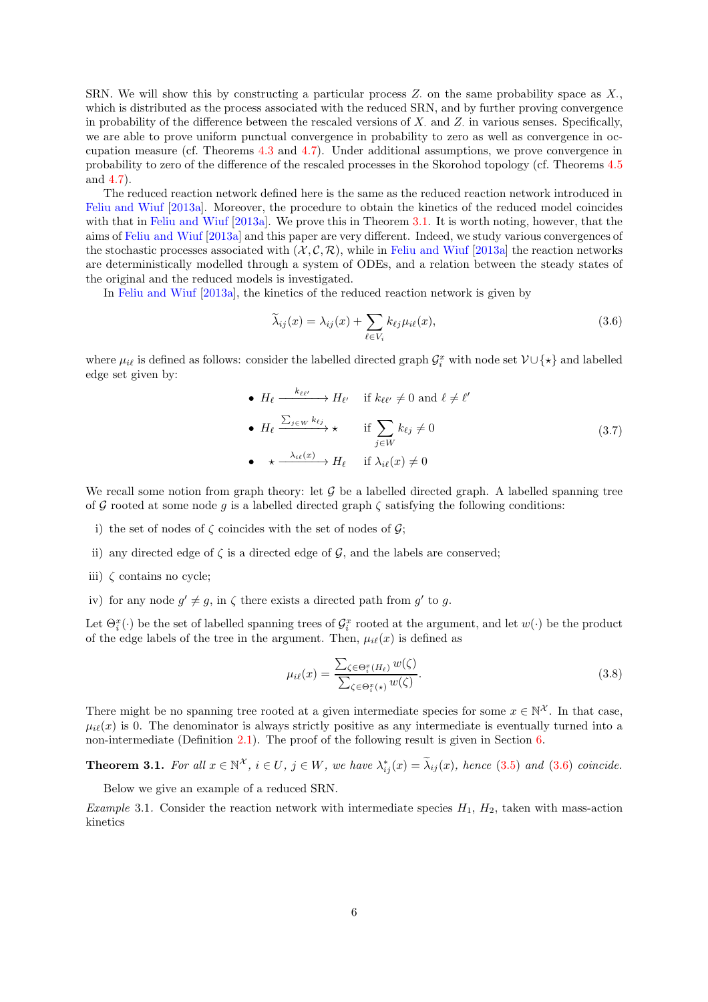SRN. We will show this by constructing a particular process  $Z$ , on the same probability space as  $X$ . which is distributed as the process associated with the reduced SRN, and by further proving convergence in probability of the difference between the rescaled versions of  $X$  and  $Z$  in various senses. Specifically, we are able to prove uniform punctual convergence in probability to zero as well as convergence in occupation measure (cf. Theorems [4.3](#page-13-0) and [4.7\)](#page-16-0). Under additional assumptions, we prove convergence in probability to zero of the difference of the rescaled processes in the Skorohod topology (cf. Theorems [4.5](#page-15-0) and [4.7\)](#page-16-0).

The reduced reaction network defined here is the same as the reduced reaction network introduced in [Feliu and Wiuf](#page-30-9) [\[2013a\]](#page-30-9). Moreover, the procedure to obtain the kinetics of the reduced model coincides with that in [Feliu and Wiuf](#page-30-9) [\[2013a\]](#page-30-9). We prove this in Theorem [3.1.](#page-5-1) It is worth noting, however, that the aims of [Feliu and Wiuf](#page-30-9) [\[2013a\]](#page-30-9) and this paper are very different. Indeed, we study various convergences of the stochastic processes associated with  $(\mathcal{X}, \mathcal{C}, \mathcal{R})$ , while in [Feliu and Wiuf](#page-30-9) [\[2013a\]](#page-30-9) the reaction networks are deterministically modelled through a system of ODEs, and a relation between the steady states of the original and the reduced models is investigated.

In [Feliu and Wiuf](#page-30-9) [\[2013a\]](#page-30-9), the kinetics of the reduced reaction network is given by

<span id="page-5-2"></span>
$$
\widetilde{\lambda}_{ij}(x) = \lambda_{ij}(x) + \sum_{\ell \in V_i} k_{\ell j} \mu_{i\ell}(x),\tag{3.6}
$$

where  $\mu_{i\ell}$  is defined as follows: consider the labelled directed graph  $\mathcal{G}_i^x$  with node set  $\mathcal{V} \cup \{\star\}$  and labelled edge set given by:

<span id="page-5-4"></span>\n- \n
$$
H_{\ell} \xrightarrow{k_{\ell\ell'}} H_{\ell'} \quad \text{if } k_{\ell\ell'} \neq 0 \text{ and } \ell \neq \ell'
$$
\n
\n- \n
$$
H_{\ell} \xrightarrow{\sum_{j \in W} k_{\ell j}} \star \quad \text{if } \sum_{j \in W} k_{\ell j} \neq 0
$$
\n
\n- \n
$$
\star \xrightarrow{\lambda_{i\ell}(x)} H_{\ell} \quad \text{if } \lambda_{i\ell}(x) \neq 0
$$
\n
\n
\n(3.7)

We recall some notion from graph theory: let  $\mathcal G$  be a labelled directed graph. A labelled spanning tree of G rooted at some node g is a labelled directed graph  $\zeta$  satisfying the following conditions:

- i) the set of nodes of  $\zeta$  coincides with the set of nodes of  $\mathcal{G}$ ;
- ii) any directed edge of  $\zeta$  is a directed edge of  $\mathcal{G}$ , and the labels are conserved;
- iii)  $\zeta$  contains no cycle;
- iv) for any node  $g' \neq g$ , in  $\zeta$  there exists a directed path from  $g'$  to  $g$ .

Let  $\Theta_i^x(\cdot)$  be the set of labelled spanning trees of  $\mathcal{G}_i^x$  rooted at the argument, and let  $w(\cdot)$  be the product of the edge labels of the tree in the argument. Then,  $\mu_{i\ell}(x)$  is defined as

<span id="page-5-3"></span>
$$
\mu_{i\ell}(x) = \frac{\sum_{\zeta \in \Theta_i^x(H_\ell)} w(\zeta)}{\sum_{\zeta \in \Theta_i^x(\star)} w(\zeta)}.
$$
\n(3.8)

There might be no spanning tree rooted at a given intermediate species for some  $x \in \mathbb{N}^{\mathcal{X}}$ . In that case,  $\mu_{i\ell}(x)$  is 0. The denominator is always strictly positive as any intermediate is eventually turned into a non-intermediate (Definition [2.1\)](#page-3-0). The proof of the following result is given in Section [6.](#page-21-0)

<span id="page-5-1"></span>**Theorem 3.1.** For all  $x \in \mathbb{N}^{\mathcal{X}}$ ,  $i \in U$ ,  $j \in W$ , we have  $\lambda_{ij}^*(x) = \lambda_{ij}(x)$ , hence [\(3.5\)](#page-4-1) and [\(3.6\)](#page-5-2) coincide.

Below we give an example of a reduced SRN.

<span id="page-5-0"></span>Example 3.1. Consider the reaction network with intermediate species  $H_1$ ,  $H_2$ , taken with mass-action kinetics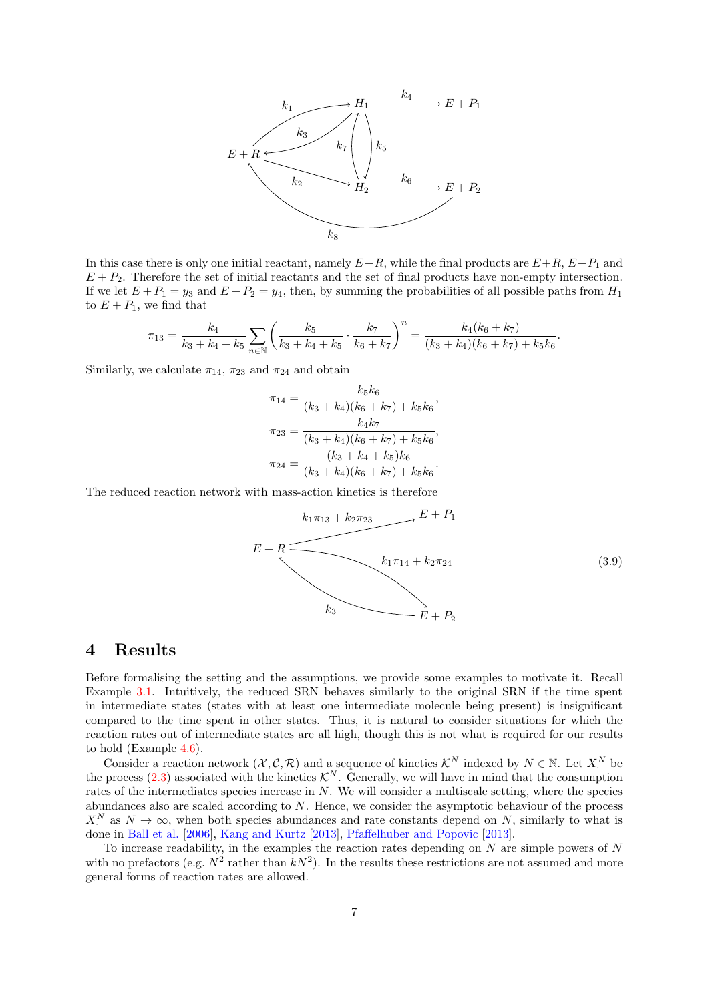

In this case there is only one initial reactant, namely  $E+R$ , while the final products are  $E+R$ ,  $E+P_1$  and  $E + P_2$ . Therefore the set of initial reactants and the set of final products have non-empty intersection. If we let  $E + P_1 = y_3$  and  $E + P_2 = y_4$ , then, by summing the probabilities of all possible paths from  $H_1$ to  $E + P_1$ , we find that

$$
\pi_{13} = \frac{k_4}{k_3 + k_4 + k_5} \sum_{n \in \mathbb{N}} \left( \frac{k_5}{k_3 + k_4 + k_5} \cdot \frac{k_7}{k_6 + k_7} \right)^n = \frac{k_4(k_6 + k_7)}{(k_3 + k_4)(k_6 + k_7) + k_5 k_6}
$$

Similarly, we calculate  $\pi_{14}$ ,  $\pi_{23}$  and  $\pi_{24}$  and obtain

$$
\pi_{14} = \frac{k_5k_6}{(k_3 + k_4)(k_6 + k_7) + k_5k_6},
$$

$$
\pi_{23} = \frac{k_4k_7}{(k_3 + k_4)(k_6 + k_7) + k_5k_6},
$$

$$
\pi_{24} = \frac{(k_3 + k_4 + k_5)k_6}{(k_3 + k_4)(k_6 + k_7) + k_5k_6}.
$$

The reduced reaction network with mass-action kinetics is therefore

<span id="page-6-0"></span>
$$
E + R
$$
\n
$$
E + R
$$
\n
$$
k_1 \pi_{13} + k_2 \pi_{23} \qquad E + P_1
$$
\n
$$
k_1 \pi_{14} + k_2 \pi_{24}
$$
\n
$$
k_3
$$
\n
$$
E + P_2
$$
\n(3.9)

.

# 4 Results

Before formalising the setting and the assumptions, we provide some examples to motivate it. Recall Example [3.1.](#page-5-0) Intuitively, the reduced SRN behaves similarly to the original SRN if the time spent in intermediate states (states with at least one intermediate molecule being present) is insignificant compared to the time spent in other states. Thus, it is natural to consider situations for which the reaction rates out of intermediate states are all high, though this is not what is required for our results to hold (Example [4.6\)](#page-15-1).

Consider a reaction network  $(\mathcal{X}, \mathcal{C}, \mathcal{R})$  and a sequence of kinetics  $\mathcal{K}^N$  indexed by  $N \in \mathbb{N}$ . Let  $X^N$  be the process [\(2.3\)](#page-2-0) associated with the kinetics  $\mathcal{K}^N$ . Generally, we will have in mind that the consumption rates of the intermediates species increase in  $N$ . We will consider a multiscale setting, where the species abundances also are scaled according to  $N$ . Hence, we consider the asymptotic behaviour of the process  $X^N$  as  $N \to \infty$ , when both species abundances and rate constants depend on N, similarly to what is done in [Ball et al.](#page-30-2) [\[2006\]](#page-30-2), [Kang and Kurtz](#page-30-3) [\[2013\]](#page-30-3), [Pfaffelhuber and Popovic](#page-30-4) [\[2013\]](#page-30-4).

To increase readability, in the examples the reaction rates depending on  $N$  are simple powers of  $N$ with no prefactors (e.g.  $N^2$  rather than  $kN^2$ ). In the results these restrictions are not assumed and more general forms of reaction rates are allowed.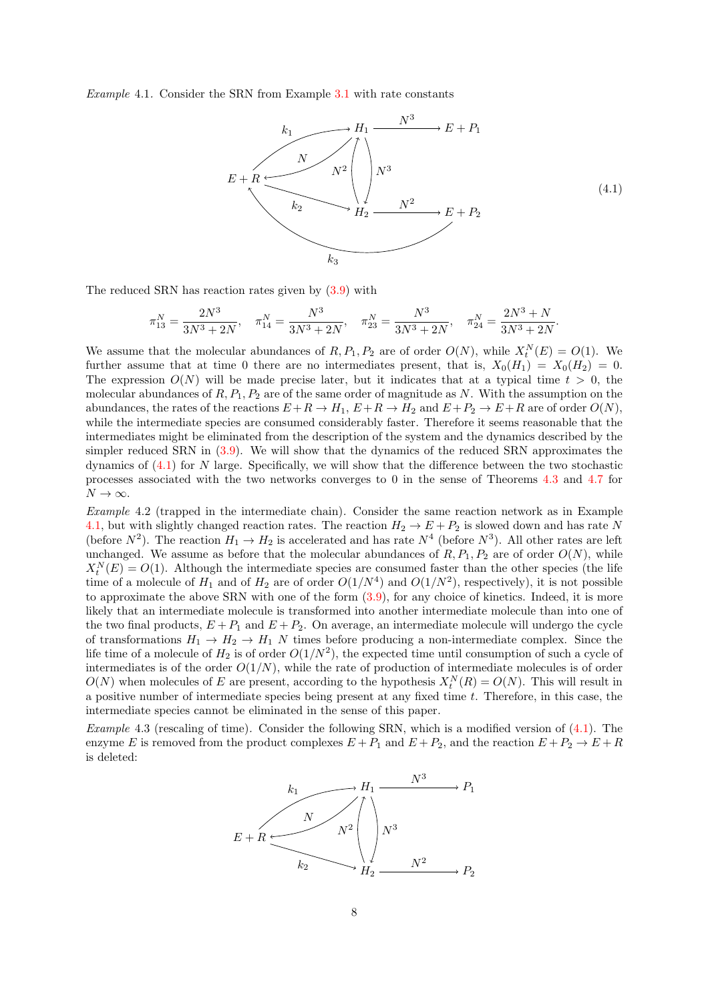<span id="page-7-1"></span>Example 4.1. Consider the SRN from Example [3.1](#page-5-0) with rate constants

<span id="page-7-0"></span>

The reduced SRN has reaction rates given by [\(3.9\)](#page-6-0) with

$$
\pi_{13}^N = \frac{2N^3}{3N^3 + 2N}, \quad \pi_{14}^N = \frac{N^3}{3N^3 + 2N}, \quad \pi_{23}^N = \frac{N^3}{3N^3 + 2N}, \quad \pi_{24}^N = \frac{2N^3 + N}{3N^3 + 2N}.
$$

We assume that the molecular abundances of  $R, P_1, P_2$  are of order  $O(N)$ , while  $X_t^N(E) = O(1)$ . We further assume that at time 0 there are no intermediates present, that is,  $X_0(H_1) = X_0(H_2) = 0$ . The expression  $O(N)$  will be made precise later, but it indicates that at a typical time  $t > 0$ , the molecular abundances of  $R, P_1, P_2$  are of the same order of magnitude as N. With the assumption on the abundances, the rates of the reactions  $E+R \to H_1$ ,  $E+R \to H_2$  and  $E+P_2 \to E+R$  are of order  $O(N)$ , while the intermediate species are consumed considerably faster. Therefore it seems reasonable that the intermediates might be eliminated from the description of the system and the dynamics described by the simpler reduced SRN in [\(3.9\)](#page-6-0). We will show that the dynamics of the reduced SRN approximates the dynamics of  $(4.1)$  for N large. Specifically, we will show that the difference between the two stochastic processes associated with the two networks converges to 0 in the sense of Theorems [4.3](#page-13-0) and [4.7](#page-16-0) for  $N \to \infty$ .

Example 4.2 (trapped in the intermediate chain). Consider the same reaction network as in Example [4.1,](#page-7-1) but with slightly changed reaction rates. The reaction  $H_2 \to E + P_2$  is slowed down and has rate N (before  $N^2$ ). The reaction  $H_1 \to H_2$  is accelerated and has rate  $N^4$  (before  $N^3$ ). All other rates are left unchanged. We assume as before that the molecular abundances of  $R$ ,  $P_1$ ,  $P_2$  are of order  $O(N)$ , while  $X_t^N(E) = O(1)$ . Although the intermediate species are consumed faster than the other species (the life time of a molecule of  $H_1$  and of  $H_2$  are of order  $O(1/N^4)$  and  $O(1/N^2)$ , respectively), it is not possible to approximate the above SRN with one of the form [\(3.9\)](#page-6-0), for any choice of kinetics. Indeed, it is more likely that an intermediate molecule is transformed into another intermediate molecule than into one of the two final products,  $E + P_1$  and  $E + P_2$ . On average, an intermediate molecule will undergo the cycle of transformations  $H_1 \rightarrow H_2 \rightarrow H_1$  N times before producing a non-intermediate complex. Since the life time of a molecule of  $H_2$  is of order  $O(1/N^2)$ , the expected time until consumption of such a cycle of intermediates is of the order  $O(1/N)$ , while the rate of production of intermediate molecules is of order  $O(N)$  when molecules of E are present, according to the hypothesis  $X_t^N(R) = O(N)$ . This will result in a positive number of intermediate species being present at any fixed time t. Therefore, in this case, the intermediate species cannot be eliminated in the sense of this paper.

<span id="page-7-2"></span>Example 4.3 (rescaling of time). Consider the following SRN, which is a modified version of  $(4.1)$ . The enzyme E is removed from the product complexes  $E + P_1$  and  $E + P_2$ , and the reaction  $E + P_2 \rightarrow E + R$ is deleted:

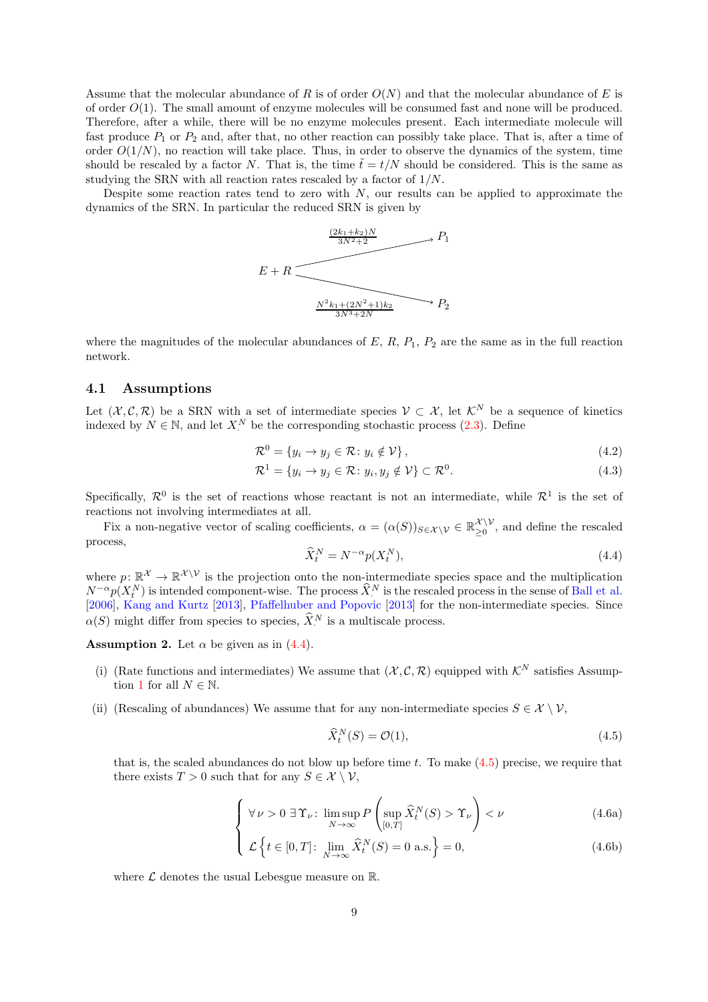Assume that the molecular abundance of R is of order  $O(N)$  and that the molecular abundance of E is of order  $O(1)$ . The small amount of enzyme molecules will be consumed fast and none will be produced. Therefore, after a while, there will be no enzyme molecules present. Each intermediate molecule will fast produce  $P_1$  or  $P_2$  and, after that, no other reaction can possibly take place. That is, after a time of order  $O(1/N)$ , no reaction will take place. Thus, in order to observe the dynamics of the system, time should be rescaled by a factor N. That is, the time  $\tilde{t} = t/N$  should be considered. This is the same as studying the SRN with all reaction rates rescaled by a factor of 1/N.

Despite some reaction rates tend to zero with  $N$ , our results can be applied to approximate the dynamics of the SRN. In particular the reduced SRN is given by



where the magnitudes of the molecular abundances of  $E$ ,  $R$ ,  $P_1$ ,  $P_2$  are the same as in the full reaction network.

#### 4.1 Assumptions

Let  $(\mathcal{X}, \mathcal{C}, \mathcal{R})$  be a SRN with a set of intermediate species  $\mathcal{V} \subset \mathcal{X}$ , let  $\mathcal{K}^N$  be a sequence of kinetics indexed by  $N \in \mathbb{N}$ , and let  $X^N$  be the corresponding stochastic process [\(2.3\)](#page-2-0). Define

$$
\mathcal{R}^0 = \{ y_i \to y_j \in \mathcal{R} \colon y_i \notin \mathcal{V} \},\tag{4.2}
$$

$$
\mathcal{R}^1 = \{ y_i \to y_j \in \mathcal{R} \colon y_i, y_j \notin \mathcal{V} \} \subset \mathcal{R}^0.
$$
\n
$$
(4.3)
$$

Specifically,  $\mathcal{R}^0$  is the set of reactions whose reactant is not an intermediate, while  $\mathcal{R}^1$  is the set of reactions not involving intermediates at all.

Fix a non-negative vector of scaling coefficients,  $\alpha = (\alpha(S))_{S \in \mathcal{X} \setminus \mathcal{V}} \in \mathbb{R}_{\geq 0}^{\mathcal{X} \setminus \mathcal{V}}$  $\sum_{n=0}^{\infty}$ , and define the rescaled process,

<span id="page-8-5"></span><span id="page-8-0"></span>
$$
\widehat{X}_t^N = N^{-\alpha} p(X_t^N),\tag{4.4}
$$

where  $p: \mathbb{R}^{\mathcal{X}} \to \mathbb{R}^{\mathcal{X} \setminus \mathcal{V}}$  is the projection onto the non-intermediate species space and the multiplication  $N^{-\alpha}p(X_t^N)$  is intended component-wise. The process  $\widehat{X}_t^N$  is the rescaled process in the sense of [Ball et al.](#page-30-2) [\[2006\]](#page-30-2), [Kang and Kurtz](#page-30-3) [\[2013\]](#page-30-3), [Pfaffelhuber and Popovic](#page-30-4) [\[2013\]](#page-30-4) for the non-intermediate species. Since  $\alpha(S)$  might differ from species to species,  $\widehat{X}_i^N$  is a multiscale process.

<span id="page-8-4"></span><span id="page-8-2"></span>**Assumption 2.** Let  $\alpha$  be given as in [\(4.4\)](#page-8-0).

- (i) (Rate functions and intermediates) We assume that  $(\mathcal{X}, \mathcal{C}, \mathcal{R})$  equipped with  $\mathcal{K}^N$  satisfies Assump-tion [1](#page-4-0) for all  $N \in \mathbb{N}$ .
- <span id="page-8-6"></span>(ii) (Rescaling of abundances) We assume that for any non-intermediate species  $S \in \mathcal{X} \setminus \mathcal{V}$ ,

<span id="page-8-1"></span>
$$
\widehat{X}_t^N(S) = \mathcal{O}(1),\tag{4.5}
$$

that is, the scaled abundances do not blow up before time t. To make  $(4.5)$  precise, we require that there exists  $T > 0$  such that for any  $S \in \mathcal{X} \setminus \mathcal{V}$ ,

$$
\left\{ \forall \nu > 0 \,\,\exists \,\Upsilon_{\nu}: \,\limsup_{N \to \infty} P\left(\sup_{[0,T]} \widehat{X}_{t}^{N}(S) > \Upsilon_{\nu} \right) < \nu \tag{4.6a}
$$

$$
\mathcal{L}\left\{t \in [0,T]: \lim_{N \to \infty} \hat{X}_t^N(S) = 0 \text{ a.s.}\right\} = 0,
$$
\n(4.6b)

<span id="page-8-3"></span>where  $\mathcal L$  denotes the usual Lebesgue measure on  $\mathbb R$ .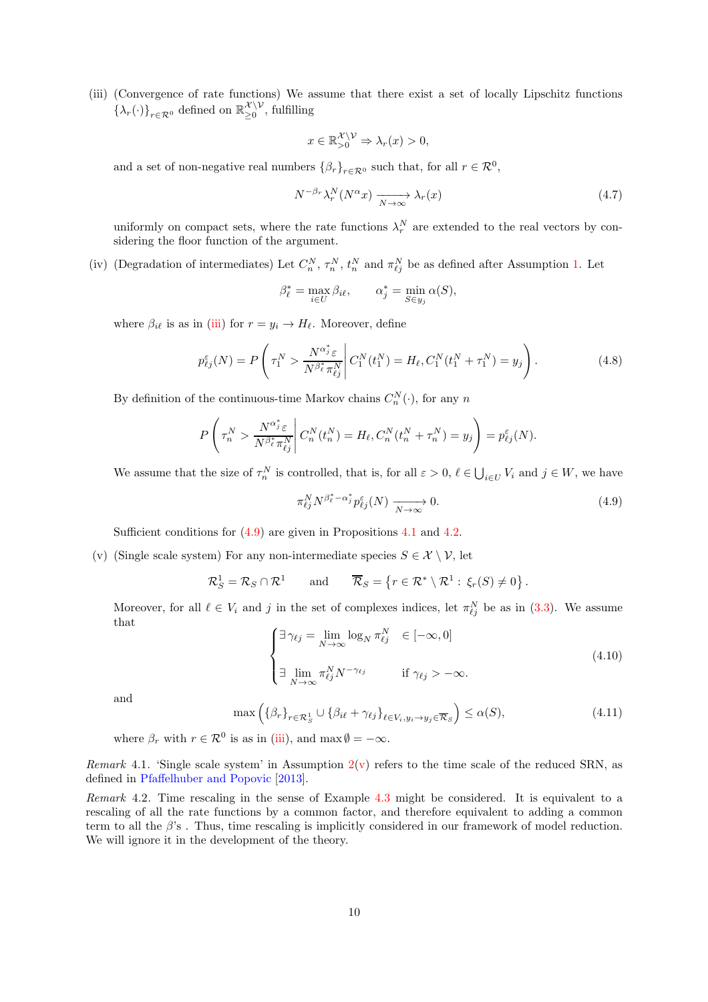<span id="page-9-0"></span>(iii) (Convergence of rate functions) We assume that there exist a set of locally Lipschitz functions  $\{\lambda_r(\cdot)\}_{r \in \mathcal{R}^0}$  defined on  $\mathbb{R}_{\geq 0}^{\mathcal{X} \setminus \mathcal{V}}$  $\sum_{i=1}^{n}$  of substituting

$$
x \in \mathbb{R}_{>0}^{\mathcal{X} \setminus \mathcal{V}} \Rightarrow \lambda_r(x) > 0,
$$

and a set of non-negative real numbers  $\{\beta_r\}_{r \in \mathcal{R}^0}$  such that, for all  $r \in \mathcal{R}^0$ ,

<span id="page-9-6"></span>
$$
N^{-\beta_r} \lambda_r^N (N^{\alpha} x) \xrightarrow[N \to \infty]{} \lambda_r(x) \tag{4.7}
$$

uniformly on compact sets, where the rate functions  $\lambda_r^N$  are extended to the real vectors by considering the floor function of the argument.

<span id="page-9-5"></span>(iv) (Degradation of intermediates) Let  $C_n^N$ ,  $\tau_n^N$ ,  $t_n^N$  and  $\pi_{\ell j}^N$  be as defined after Assumption [1.](#page-4-0) Let

$$
\beta_{\ell}^* = \max_{i \in U} \beta_{i\ell}, \qquad \alpha_j^* = \min_{S \in y_j} \alpha(S),
$$

where  $\beta_{i\ell}$  is as in [\(iii\)](#page-9-0) for  $r = y_i \rightarrow H_\ell$ . Moreover, define

<span id="page-9-7"></span>
$$
p_{\ell j}^{\varepsilon}(N) = P\left(\tau_1^N > \frac{N^{\alpha_{j}^* \varepsilon}}{N^{\beta_{\ell}^* \pi_{\ell j}^N}}\middle| C_1^N(t_1^N) = H_{\ell}, C_1^N(t_1^N + \tau_1^N) = y_j\right).
$$
 (4.8)

By definition of the continuous-time Markov chains  $C_n^N(\cdot)$ , for any n

$$
P\left(\tau_n^N > \frac{N^{\alpha_j^*} \varepsilon}{N^{\beta_\ell^*} \pi_{\ell j}^N} \middle| C_n^N(t_n^N) = H_\ell, C_n^N(t_n^N + \tau_n^N) = y_j\right) = p_{\ell j}^{\varepsilon}(N).
$$

We assume that the size of  $\tau_n^N$  is controlled, that is, for all  $\varepsilon > 0$ ,  $\ell \in \bigcup_{i \in U} V_i$  and  $j \in W$ , we have

<span id="page-9-1"></span>
$$
\pi_{\ell j}^N N^{\beta_\ell^* - \alpha_j^*} p_{\ell j}^\varepsilon(N) \xrightarrow[N \to \infty]{} 0.
$$
\n
$$
(4.9)
$$

Sufficient conditions for [\(4.9\)](#page-9-1) are given in Propositions [4.1](#page-10-0) and [4.2.](#page-11-0)

<span id="page-9-2"></span>(v) (Single scale system) For any non-intermediate species  $S \in \mathcal{X} \setminus \mathcal{V}$ , let

$$
\mathcal{R}_S^1 = \mathcal{R}_S \cap \mathcal{R}^1
$$
 and  $\overline{\mathcal{R}}_S = \{r \in \mathcal{R}^* \setminus \mathcal{R}^1 : \xi_r(S) \neq 0\}.$ 

Moreover, for all  $\ell \in V_i$  and j in the set of complexes indices, let  $\pi_{\ell j}^N$  be as in [\(3.3\)](#page-4-2). We assume that

<span id="page-9-3"></span>
$$
\begin{cases}\n\exists \gamma_{\ell j} = \lim_{N \to \infty} \log_N \pi_{\ell j}^N \in [-\infty, 0] \\
\exists \lim_{N \to \infty} \pi_{\ell j}^N N^{-\gamma_{\ell j}} \qquad \text{if } \gamma_{\ell j} > -\infty.\n\end{cases}
$$
\n(4.10)

and

<span id="page-9-4"></span>
$$
\max\left(\{\beta_r\}_{r\in\mathcal{R}_S^1}\cup\{\beta_{i\ell}+\gamma_{\ell j}\}_{\ell\in V_i,y_i\to y_j\in\overline{\mathcal{R}}_S}\right)\leq\alpha(S),\tag{4.11}
$$

where  $\beta_r$  with  $r \in \mathcal{R}^0$  is as in [\(iii\)](#page-9-0), and max  $\emptyset = -\infty$ .

*Remark* 4.1. 'Single scale system' in Assumption  $2(y)$  $2(y)$  refers to the time scale of the reduced SRN, as defined in [Pfaffelhuber and Popovic](#page-30-4) [\[2013\]](#page-30-4).

Remark 4.2. Time rescaling in the sense of Example [4.3](#page-7-2) might be considered. It is equivalent to a rescaling of all the rate functions by a common factor, and therefore equivalent to adding a common term to all the  $\beta$ 's. Thus, time rescaling is implicitly considered in our framework of model reduction. We will ignore it in the development of the theory.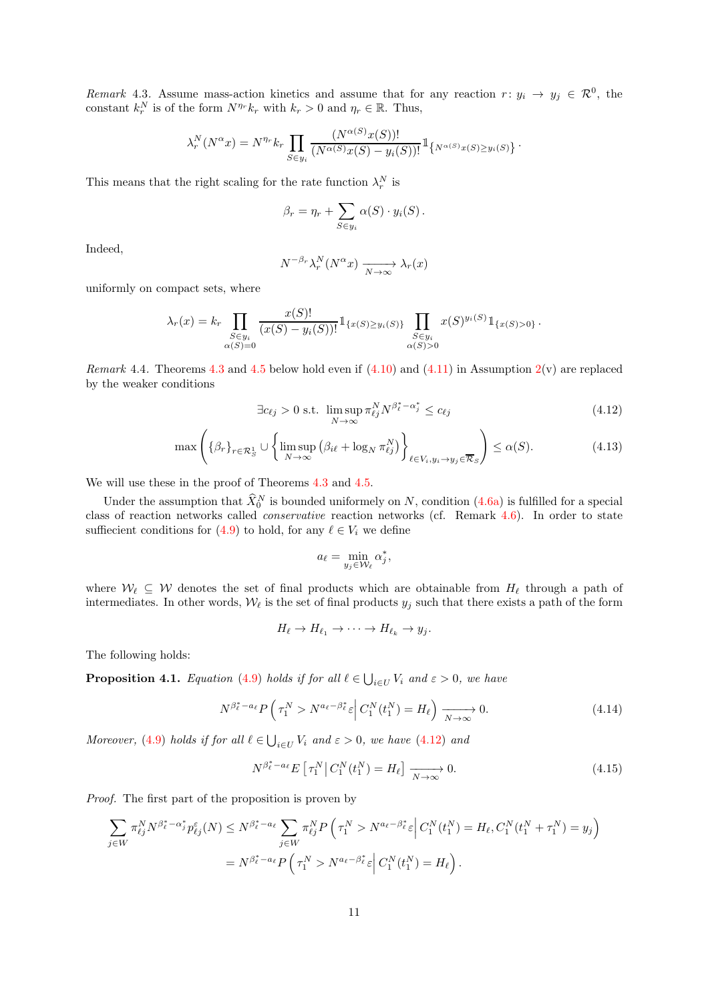<span id="page-10-6"></span>Remark 4.3. Assume mass-action kinetics and assume that for any reaction  $r: y_i \to y_j \in \mathcal{R}^0$ , the constant  $k_r^N$  is of the form  $N^{\eta_r} k_r$  with  $k_r > 0$  and  $\eta_r \in \mathbb{R}$ . Thus,

$$
\lambda_r^N(N^{\alpha}x) = N^{\eta_r} k_r \prod_{S \in y_i} \frac{(N^{\alpha(S)}x(S))!}{(N^{\alpha(S)}x(S) - y_i(S))!} \mathbb{1}_{\{N^{\alpha(S)}x(S) \ge y_i(S)\}}
$$

This means that the right scaling for the rate function  $\lambda_r^N$  is

$$
\beta_r = \eta_r + \sum_{S \in y_i} \alpha(S) \cdot y_i(S).
$$

Indeed,

$$
N^{-\beta_r} \lambda_r^N(N^{\alpha} x) \xrightarrow[N \to \infty]{} \lambda_r(x)
$$

uniformly on compact sets, where

$$
\lambda_r(x) = k_r \prod_{\substack{S \in y_i \\ \alpha(S) = 0}} \frac{x(S)!}{(x(S) - y_i(S))!} 1_{\{x(S) \ge y_i(S)\}} \prod_{\substack{S \in y_i \\ \alpha(S) > 0}} x(S)^{y_i(S)} 1_{\{x(S) > 0\}}.
$$

<span id="page-10-4"></span>*Remark* 4.4. Theorems [4.3](#page-13-0) and [4.5](#page-15-0) below hold even if  $(4.10)$  and  $(4.11)$  in Assumption [2\(](#page-8-2)v) are replaced by the weaker conditions

$$
\exists c_{\ell j} > 0 \text{ s.t. } \limsup_{N \to \infty} \pi_{\ell j}^N N^{\beta_\ell^* - \alpha_j^*} \le c_{\ell j} \tag{4.12}
$$

<span id="page-10-1"></span>.

$$
\max\left(\{\beta_r\}_{r\in\mathcal{R}_S^1}\cup\left\{\limsup_{N\to\infty}\left(\beta_{i\ell}+\log_N\pi_{\ell j}^N\right)\right\}_{\ell\in V_i,y_i\to y_j\in\overline{\mathcal{R}}_S}\right)\le\alpha(S). \tag{4.13}
$$

We will use these in the proof of Theorems [4.3](#page-13-0) and [4.5.](#page-15-0)

Under the assumption that  $\hat{X}_0^N$  is bounded uniformely on N, condition [\(4.6a\)](#page-8-3) is fulfilled for a special class of reaction networks called conservative reaction networks (cf. Remark [4.6\)](#page-14-0). In order to state suffiecient conditions for [\(4.9\)](#page-9-1) to hold, for any  $\ell \in V_i$  we define

<span id="page-10-5"></span>
$$
a_{\ell} = \min_{y_j \in \mathcal{W}_{\ell}} \alpha_j^*,
$$

where  $W_{\ell} \subseteq W$  denotes the set of final products which are obtainable from  $H_{\ell}$  through a path of intermediates. In other words,  $W_{\ell}$  is the set of final products  $y_j$  such that there exists a path of the form

$$
H_{\ell} \to H_{\ell_1} \to \cdots \to H_{\ell_k} \to y_j.
$$

The following holds:

<span id="page-10-0"></span>**Proposition 4.1.** Equation [\(4.9\)](#page-9-1) holds if for all  $\ell \in \bigcup_{i \in U} V_i$  and  $\varepsilon > 0$ , we have

<span id="page-10-3"></span>
$$
N^{\beta_{\ell}^* - a_{\ell}} P\left(\tau_1^N > N^{a_{\ell} - \beta_{\ell}^*} \varepsilon \middle| C_1^N(t_1^N) = H_{\ell} \right) \xrightarrow[N \to \infty]{} 0. \tag{4.14}
$$

Moreover, [\(4.9\)](#page-9-1) holds if for all  $\ell \in \bigcup_{i \in U} V_i$  and  $\varepsilon > 0$ , we have [\(4.12\)](#page-10-1) and

<span id="page-10-2"></span>
$$
N^{\beta_{\ell}^* - a_{\ell}} E\left[\tau_1^N \middle| C_1^N(t_1^N) = H_{\ell}\right] \xrightarrow[N \to \infty]{} 0. \tag{4.15}
$$

Proof. The first part of the proposition is proven by

$$
\sum_{j\in W} \pi_{\ell j}^N N^{\beta_\ell^* - \alpha_j^*} p_{\ell j}^\varepsilon(N) \le N^{\beta_\ell^* - a_\ell} \sum_{j\in W} \pi_{\ell j}^N P\left(\tau_1^N > N^{a_\ell - \beta_\ell^*} \varepsilon \middle| C_1^N(t_1^N) = H_\ell, C_1^N(t_1^N + \tau_1^N) = y_j\right)
$$
  
=  $N^{\beta_\ell^* - a_\ell} P\left(\tau_1^N > N^{a_\ell - \beta_\ell^*} \varepsilon \middle| C_1^N(t_1^N) = H_\ell\right).$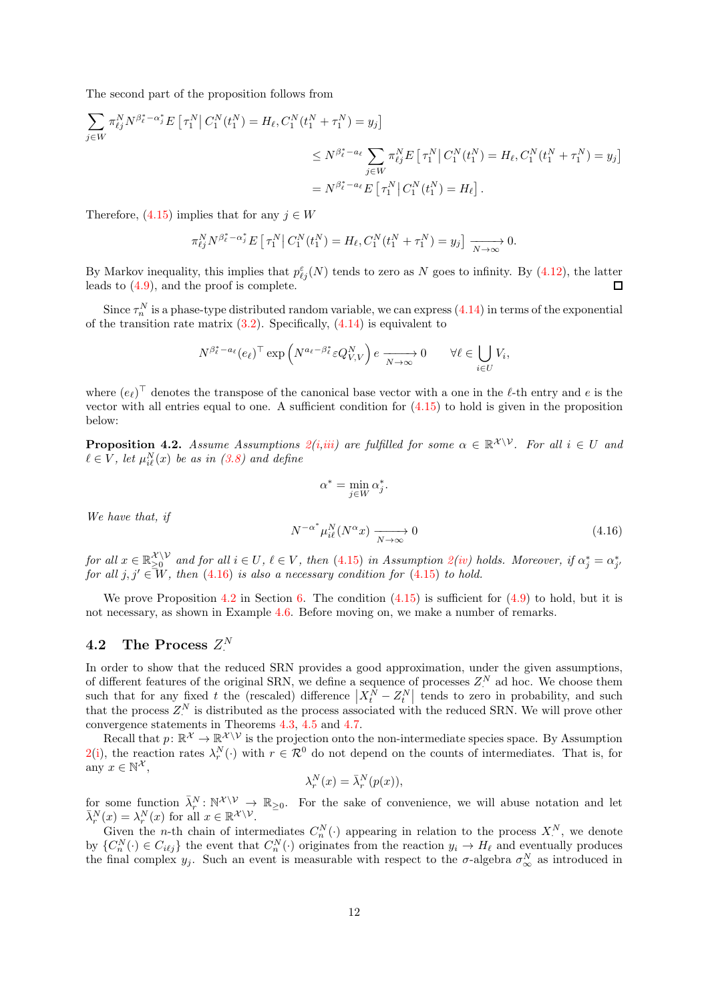The second part of the proposition follows from

$$
\sum_{j \in W} \pi_{\ell j}^N N^{\beta_{\ell}^* - \alpha_j^*} E\left[\tau_1^N \middle| C_1^N(t_1^N) = H_{\ell}, C_1^N(t_1^N + \tau_1^N) = y_j\right]
$$
\n
$$
\leq N^{\beta_{\ell}^* - a_{\ell}} \sum_{j \in W} \pi_{\ell j}^N E\left[\tau_1^N \middle| C_1^N(t_1^N) = H_{\ell}, C_1^N(t_1^N + \tau_1^N) = y_j\right]
$$
\n
$$
= N^{\beta_{\ell}^* - a_{\ell}} E\left[\tau_1^N \middle| C_1^N(t_1^N) = H_{\ell}\right].
$$

Therefore,  $(4.15)$  implies that for any  $j \in W$ 

$$
\pi_{\ell j}^N N^{\beta_\ell^* - \alpha_j^*} E\left[\tau_1^N \middle| C_1^N(t_1^N) = H_\ell, C_1^N(t_1^N + \tau_1^N) = y_j\right] \xrightarrow[N \to \infty]{} 0.
$$

By Markov inequality, this implies that  $p_{\ell j}^{\epsilon}(N)$  tends to zero as N goes to infinity. By [\(4.12\)](#page-10-1), the latter leads to [\(4.9\)](#page-9-1), and the proof is complete.

Since  $\tau_n^N$  is a phase-type distributed random variable, we can express [\(4.14\)](#page-10-3) in terms of the exponential of the transition rate matrix  $(3.2)$ . Specifically,  $(4.14)$  is equivalent to

$$
N^{\beta_{\ell}^* - a_{\ell}}(e_{\ell})^{\top} \exp\left(N^{a_{\ell} - \beta_{\ell}^*} \varepsilon Q_{V,V}^N\right) e \xrightarrow[N \to \infty]{} 0 \qquad \forall \ell \in \bigcup_{i \in U} V_i,
$$

where  $(e_{\ell})^{\top}$  denotes the transpose of the canonical base vector with a one in the  $\ell$ -th entry and e is the vector with all entries equal to one. A sufficient condition for  $(4.15)$  to hold is given in the proposition below:

<span id="page-11-0"></span>**Proposition 4.[2](#page-8-2).** Assume Assumptions  $2(i,iii)$  $2(i,iii)$  $2(i,iii)$  are fulfilled for some  $\alpha \in \mathbb{R}^{\mathcal{X} \setminus \mathcal{V}}$ . For all  $i \in U$  and  $\ell \in V$ , let  $\mu_{i\ell}^N(x)$  be as in  $(3.8)$  and define

$$
\alpha^* = \min_{j \in W} \alpha_j^*
$$

.

We have that, if

<span id="page-11-1"></span>
$$
N^{-\alpha^*} \mu_{i\ell}^N(N^{\alpha} x) \xrightarrow[N \to \infty]{} 0 \tag{4.16}
$$

for all  $x \in \mathbb{R}_{\geq 0}^{\mathcal{X} \setminus \mathcal{V}}$ for all  $x \in \mathbb{R}_{\geq 0}^{\mathcal{K} \setminus V}$  and for all  $i \in U, \ell \in V$ , then [\(4.15\)](#page-10-2) in Assumption  $\mathcal{Q}(iv)$  $\mathcal{Q}(iv)$  holds. Moreover, if  $\alpha_j^* = \alpha_{j'}^*$  for all  $j, j' \in W$ , then [\(4.16\)](#page-11-1) is also a necessary condition for (4.15) to hold.

We prove Proposition [4.2](#page-11-0) in Section [6.](#page-21-0) The condition  $(4.15)$  is sufficient for  $(4.9)$  to hold, but it is not necessary, as shown in Example [4.6.](#page-15-1) Before moving on, we make a number of remarks.

# 4.2 The Process  $Z^N$

In order to show that the reduced SRN provides a good approximation, under the given assumptions, of different features of the original SRN, we define a sequence of processes  $Z^N$  ad hoc. We choose them such that for any fixed t the (rescaled) difference  $\left|X_t^{\hat{N}} - Z_t^N\right|$  tends to zero in probability, and such that the process  $Z^N$  is distributed as the process associated with the reduced SRN. We will prove other convergence statements in Theorems [4.3,](#page-13-0) [4.5](#page-15-0) and [4.7.](#page-16-0)

Recall that  $p: \mathbb{R}^{\mathcal{X}} \to \mathbb{R}^{\mathcal{X} \setminus \mathcal{V}}$  is the projection onto the non-intermediate species space. By Assumption [2\(](#page-8-2)[i\)](#page-8-4), the reaction rates  $\lambda_r^N(\cdot)$  with  $r \in \mathcal{R}^0$  do not depend on the counts of intermediates. That is, for any  $x \in \mathbb{N}^{\mathcal{X}},$ 

$$
\lambda_r^N(x) = \bar{\lambda}_r^N(p(x)),
$$

for some function  $\bar{\lambda}_r^N \colon \mathbb{N}^{\mathcal{X} \setminus \mathcal{V}} \to \mathbb{R}_{\geq 0}$ . For the sake of convenience, we will abuse notation and let  $\bar{\lambda}_r^N(x) = \lambda_r^N(x)$  for all  $x \in \mathbb{R}^{\mathcal{X} \setminus \mathcal{V}}$ .

Given the *n*-th chain of intermediates  $C_n^N(\cdot)$  appearing in relation to the process  $X_\cdot^N$ , we denote by  $\{C_n^N(\cdot) \in C_{i\ell j}\}\$  the event that  $C_n^N(\cdot)$  originates from the reaction  $y_i \to H_\ell$  and eventually produces the final complex  $y_j$ . Such an event is measurable with respect to the  $\sigma$ -algebra  $\sigma_\infty^N$  as introduced in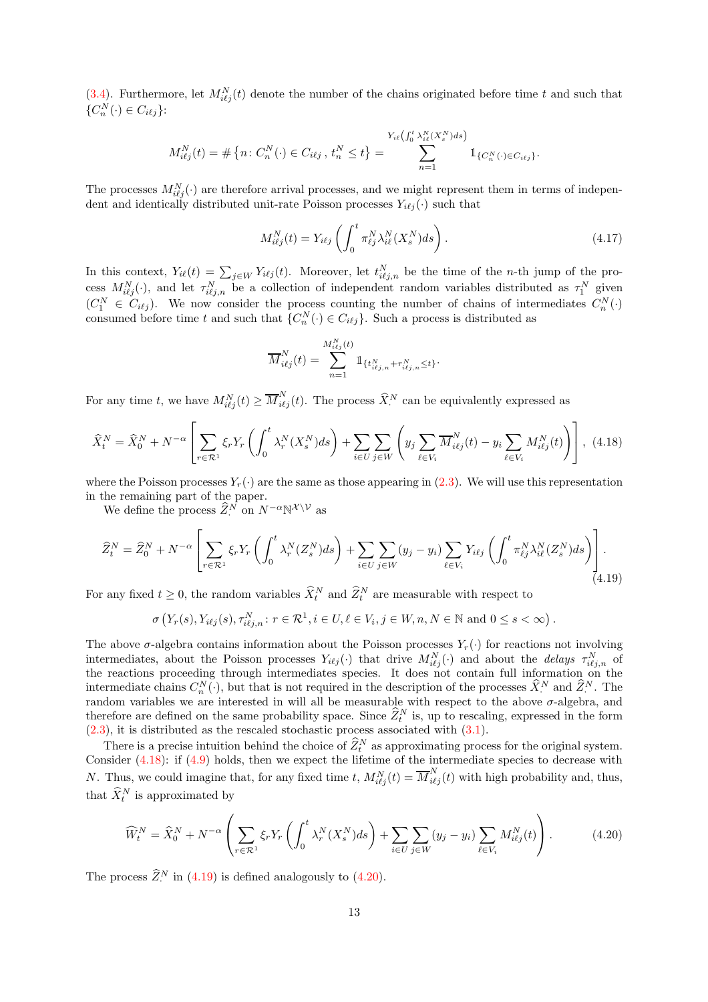[\(3.4\)](#page-4-4). Furthermore, let  $M_{i\ell j}^N(t)$  denote the number of the chains originated before time t and such that  $\{C_n^N(\cdot)\in C_{i\ell j}\}$ :

$$
M_{i\ell j}^N(t) = \# \left\{ n : C_n^N(\cdot) \in C_{i\ell j}, \, t_n^N \le t \right\} = \sum_{n=1}^{Y_{i\ell} \left( \int_0^t \lambda_{i\ell}^N(X_s^N) ds \right)} \mathbb{1}_{\{C_n^N(\cdot) \in C_{i\ell j}\}}.
$$

The processes  $M_{i\ell j}^N(\cdot)$  are therefore arrival processes, and we might represent them in terms of independent and identically distributed unit-rate Poisson processes  $Y_{i\ell j}(\cdot)$  such that

<span id="page-12-3"></span>
$$
M_{i\ell j}^N(t) = Y_{i\ell j} \left( \int_0^t \pi_{\ell j}^N \lambda_{i\ell}^N(X_s^N) ds \right). \tag{4.17}
$$

In this context,  $Y_{i\ell}(t) = \sum_{j \in W} Y_{i\ell j}(t)$ . Moreover, let  $t_{i\ell j,n}^N$  be the time of the n-th jump of the process  $M_{i\ell j}^N(\cdot)$ , and let  $\tau_{i\ell j,n}^N$  be a collection of independent random variables distributed as  $\tau_1^N$  given  $(C_1^N \in C_{i\ell j})$ . We now consider the process counting the number of chains of intermediates  $C_n^N(\cdot)$ consumed before time t and such that  $\{C_n^N(\cdot) \in C_{i\ell j}\}$ . Such a process is distributed as

$$
\overline{M}_{i\ell j}^N(t) = \sum_{n=1}^{M_{i\ell j}^N(t)} 1\!\!1_{\{t_{i\ell j,n}^N + \tau_{i\ell j,n}^N \le t\}}.
$$

For any time t, we have  $M_{i\ell j}^N(t) \geq \overline{M}_{i\ell j}^N(t)$ . The process  $\widehat{X}_{\cdot}^N$  can be equivalently expressed as

<span id="page-12-0"></span>
$$
\widehat{X}_t^N = \widehat{X}_0^N + N^{-\alpha} \left[ \sum_{r \in \mathcal{R}^1} \xi_r Y_r \left( \int_0^t \lambda_r^N (X_s^N) ds \right) + \sum_{i \in U} \sum_{j \in W} \left( y_j \sum_{\ell \in V_i} \overline{M}_{i\ell j}^N (t) - y_i \sum_{\ell \in V_i} M_{i\ell j}^N (t) \right) \right], \tag{4.18}
$$

where the Poisson processes  $Y_r(\cdot)$  are the same as those appearing in [\(2.3\)](#page-2-0). We will use this representation in the remaining part of the paper.

We define the process  $\widehat{Z}_\cdot^N$  on  $N^{-\alpha} \mathbb{N}^{\mathcal{X} \setminus \mathcal{V}}$  as

<span id="page-12-1"></span>
$$
\widehat{Z}_{t}^{N} = \widehat{Z}_{0}^{N} + N^{-\alpha} \left[ \sum_{r \in \mathcal{R}^{1}} \xi_{r} Y_{r} \left( \int_{0}^{t} \lambda_{r}^{N} (Z_{s}^{N}) ds \right) + \sum_{i \in U} \sum_{j \in W} (y_{j} - y_{i}) \sum_{\ell \in V_{i}} Y_{i\ell j} \left( \int_{0}^{t} \pi_{\ell j}^{N} \lambda_{i\ell}^{N} (Z_{s}^{N}) ds \right) \right].
$$
\n(4.19)

For any fixed  $t \geq 0$ , the random variables  $\widehat{X}_t^N$  and  $\widehat{Z}_t^N$  are measurable with respect to

$$
\sigma\left(Y_r(s), Y_{i\ell j}(s), \tau_{i\ell j,n}^N : r \in \mathcal{R}^1, i \in U, \ell \in V_i, j \in W, n, N \in \mathbb{N} \text{ and } 0 \le s < \infty\right).
$$

The above  $\sigma$ -algebra contains information about the Poisson processes  $Y_r(\cdot)$  for reactions not involving intermediates, about the Poisson processes  $Y_{i\ell j}(\cdot)$  that drive  $M_{i\ell j}^N(\cdot)$  and about the *delays*  $\tau_{i\ell j,n}^N$  of the reactions proceeding through intermediates species. It does not contain full information on the intermediate chains  $C_n^N(\cdot)$ , but that is not required in the description of the processes  $\hat{X}_i^N$  and  $\hat{Z}_i^N$ . The random variables we are interested in will all be measurable with respect to the above  $\sigma$ -algebra, and therefore are defined on the same probability space. Since  $\hat{Z}_t^N$  is, up to rescaling, expressed in the form  $(2.3)$ , it is distributed as the rescaled stochastic process associated with  $(3.1)$ .

There is a precise intuition behind the choice of  $\hat{Z}_t^N$  as approximating process for the original system. Consider [\(4.18\)](#page-12-0): if [\(4.9\)](#page-9-1) holds, then we expect the lifetime of the intermediate species to decrease with N. Thus, we could imagine that, for any fixed time t,  $M_{i\ell j}^N(t) = \overline{M}_{i\ell j}^N(t)$  with high probability and, thus, that  $\widehat{X}_t^N$  is approximated by

<span id="page-12-2"></span>
$$
\widehat{W}_t^N = \widehat{X}_0^N + N^{-\alpha} \left( \sum_{r \in \mathcal{R}^1} \xi_r Y_r \left( \int_0^t \lambda_r^N (X_s^N) ds \right) + \sum_{i \in U} \sum_{j \in W} (y_j - y_i) \sum_{\ell \in V_i} M_{i\ell j}^N(t) \right). \tag{4.20}
$$

The process  $\widehat{Z}^N$  in [\(4.19\)](#page-12-1) is defined analogously to [\(4.20\)](#page-12-2).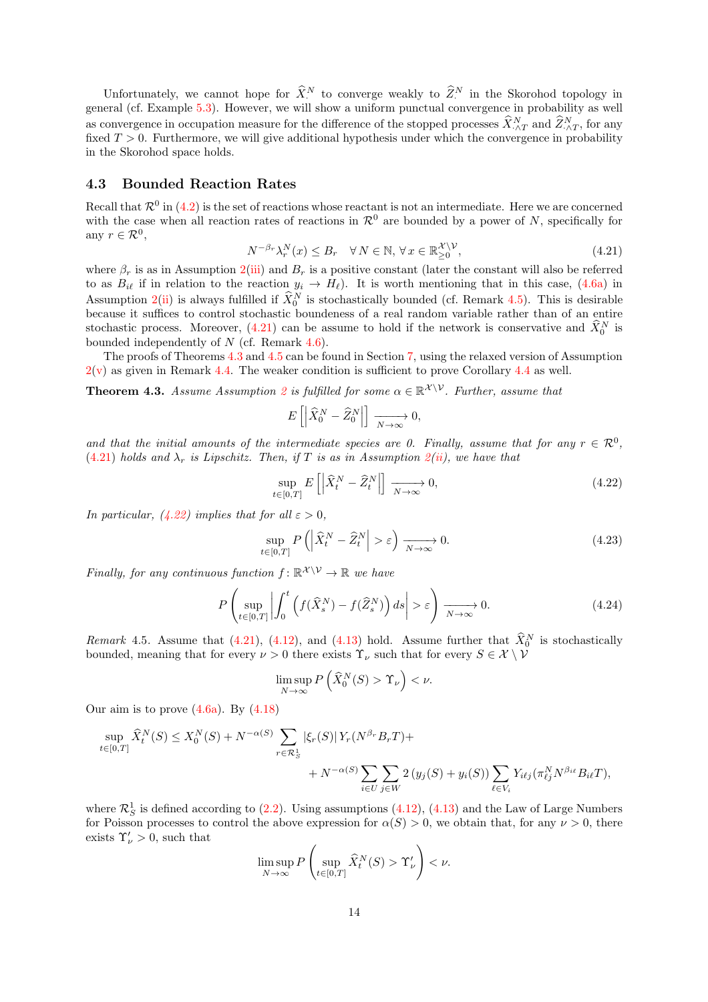Unfortunately, we cannot hope for  $\hat{X}^N$  to converge weakly to  $\hat{Z}^N$  in the Skorohod topology in general (cf. Example [5.3\)](#page-20-0). However, we will show a uniform punctual convergence in probability as well as convergence in occupation measure for the difference of the stopped processes  $\hat{X}_{\cdot \wedge T}^{N}$  and  $\hat{Z}_{\cdot \wedge T}^{N}$ , for any fixed  $T > 0$ . Furthermore, we will give additional hypothesis under which the convergence in probability in the Skorohod space holds.

#### 4.3 Bounded Reaction Rates

Recall that  $\mathcal{R}^0$  in [\(4.2\)](#page-8-5) is the set of reactions whose reactant is not an intermediate. Here we are concerned with the case when all reaction rates of reactions in  $\mathcal{R}^0$  are bounded by a power of N, specifically for any  $r \in \mathcal{R}^0$ ,

<span id="page-13-2"></span>
$$
N^{-\beta_r} \lambda_r^N(x) \le B_r \quad \forall \, N \in \mathbb{N}, \, \forall \, x \in \mathbb{R}_{\ge 0}^{\mathcal{X} \setminus \mathcal{V}},\tag{4.21}
$$

where  $\beta_r$  is as in Assumption [2\(](#page-8-2)[iii\)](#page-9-0) and  $B_r$  is a positive constant (later the constant will also be referred to as  $B_{i\ell}$  if in relation to the reaction  $y_i \to H_\ell$ ). It is worth mentioning that in this case, [\(4.6a\)](#page-8-3) in Assumption [2](#page-8-2)[\(ii\)](#page-8-6) is always fulfilled if  $\hat{X}_0^N$  is stochastically bounded (cf. Remark [4.5\)](#page-13-1). This is desirable because it suffices to control stochastic boundeness of a real random variable rather than of an entire stochastic process. Moreover,  $(4.21)$  can be assume to hold if the network is conservative and  $\hat{X}_0^N$  is bounded independently of  $N$  (cf. Remark [4.6\)](#page-14-0).

The proofs of Theorems [4.3](#page-13-0) and [4.5](#page-15-0) can be found in Section [7,](#page-24-0) using the relaxed version of Assumption  $2(v)$  $2(v)$  as given in Remark [4.4.](#page-10-4) The weaker condition is sufficient to prove Corollary [4.4](#page-14-1) as well.

<span id="page-13-0"></span>**Theorem 4.3.** Assume Assumption [2](#page-8-2) is fulfilled for some  $\alpha \in \mathbb{R}^{\mathcal{X} \setminus \mathcal{V}}$ . Further, assume that

$$
E\left[\left|\widehat{X}_0^N-\widehat{Z}_0^N\right|\right]\xrightarrow[N\to\infty]{}0,
$$

and that the initial amounts of the intermediate species are 0. Finally, assume that for any  $r \in \mathcal{R}^0$ , [\(4.21\)](#page-13-2) holds and  $\lambda_r$  is Lipschitz. Then, if T is as in Assumption [2\(](#page-8-2)[ii\)](#page-8-6), we have that

<span id="page-13-3"></span>
$$
\sup_{t \in [0,T]} E\left[ \left| \hat{X}_t^N - \hat{Z}_t^N \right| \right] \xrightarrow[N \to \infty]{} 0,\tag{4.22}
$$

In particular, [\(4.22\)](#page-13-3) implies that for all  $\varepsilon > 0$ ,

<span id="page-13-4"></span>
$$
\sup_{t \in [0,T]} P\left( \left| \widehat{X}_t^N - \widehat{Z}_t^N \right| > \varepsilon \right) \xrightarrow[N \to \infty]{} 0. \tag{4.23}
$$

Finally, for any continuous function  $f: \mathbb{R}^{\mathcal{X} \setminus \mathcal{V}} \to \mathbb{R}$  we have

<span id="page-13-5"></span>
$$
P\left(\sup_{t\in[0,T]}\left|\int_0^t \left(f(\widehat{X}_s^N)-f(\widehat{Z}_s^N)\right)ds\right|>\varepsilon\right) \xrightarrow[N\to\infty]{} 0. \tag{4.24}
$$

<span id="page-13-1"></span>Remark 4.5. Assume that [\(4.21\)](#page-13-2), [\(4.12\)](#page-10-1), and [\(4.13\)](#page-10-5) hold. Assume further that  $\tilde{X}_0^N$  is stochastically bounded, meaning that for every  $\nu > 0$  there exists  $\Upsilon_{\nu}$  such that for every  $S \in \mathcal{X} \setminus \mathcal{V}$ 

$$
\limsup_{N\to\infty} P\left(\widehat X_0^N(S) > \Upsilon_\nu\right) < \nu.
$$

Our aim is to prove  $(4.6a)$ . By  $(4.18)$ 

$$
\sup_{t \in [0,T]} \widehat{X}_t^N(S) \le X_0^N(S) + N^{-\alpha(S)} \sum_{r \in \mathcal{R}_S^1} |\xi_r(S)| Y_r(N^{\beta_r} B_r T) + N^{-\alpha(S)} \sum_{i \in U} \sum_{j \in W} 2 (y_j(S) + y_i(S)) \sum_{\ell \in V_i} Y_{i\ell j}(\pi_{\ell j}^N N^{\beta_{i\ell}} B_{i\ell} T),
$$

where  $\mathcal{R}_S^1$  is defined according to [\(2.2\)](#page-2-1). Using assumptions [\(4.12\)](#page-10-1), [\(4.13\)](#page-10-5) and the Law of Large Numbers for Poisson processes to control the above expression for  $\alpha(S) > 0$ , we obtain that, for any  $\nu > 0$ , there exists  $\Upsilon_{\nu} > 0$ , such that

$$
\limsup_{N \to \infty} P\left(\sup_{t \in [0,T]} \widehat{X}_t^N(S) > \Upsilon_{\nu}'\right) < \nu.
$$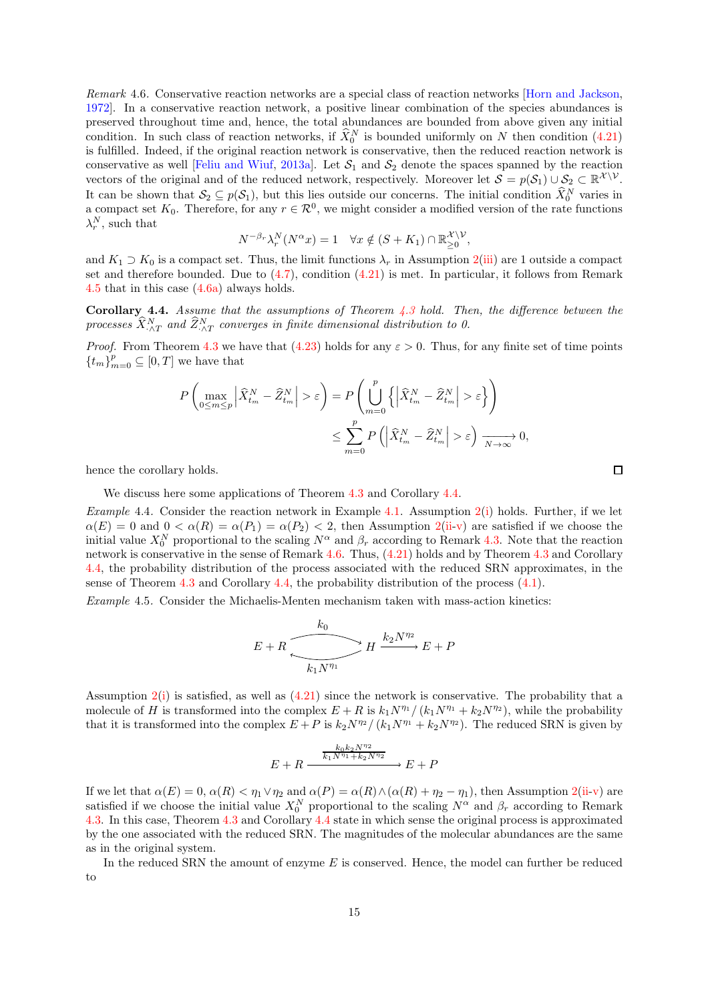<span id="page-14-0"></span>Remark 4.6. Conservative reaction networks are a special class of reaction networks [\[Horn and Jackson,](#page-30-14) [1972\]](#page-30-14). In a conservative reaction network, a positive linear combination of the species abundances is preserved throughout time and, hence, the total abundances are bounded from above given any initial condition. In such class of reaction networks, if  $\hat{X}_0^N$  is bounded uniformly on N then condition [\(4.21\)](#page-13-2) is fulfilled. Indeed, if the original reaction network is conservative, then the reduced reaction network is conservative as well [\[Feliu and Wiuf,](#page-30-9) [2013a\]](#page-30-9). Let  $S_1$  and  $S_2$  denote the spaces spanned by the reaction vectors of the original and of the reduced network, respectively. Moreover let  $S = p(S_1) \cup S_2 \subset \mathbb{R}^{\mathcal{X} \setminus \mathcal{V}}$ . It can be shown that  $S_2 \subseteq p(S_1)$ , but this lies outside our concerns. The initial condition  $\widehat{X}_0^N$  varies in a compact set  $K_0$ . Therefore, for any  $r \in \mathcal{R}^0$ , we might consider a modified version of the rate functions  $\lambda_r^N$ , such that

$$
N^{-\beta_r} \lambda_r^N(N^{\alpha} x) = 1 \quad \forall x \notin (S + K_1) \cap \mathbb{R}_{\geq 0}^{\mathcal{X} \setminus \mathcal{V}},
$$

and  $K_1 \supset K_0$  is a compact set. Thus, the limit functions  $\lambda_r$  in Assumption [2](#page-8-2)[\(iii\)](#page-9-0) are 1 outside a compact set and therefore bounded. Due to  $(4.7)$ , condition  $(4.21)$  is met. In particular, it follows from Remark [4.5](#page-13-1) that in this case  $(4.6a)$  always holds.

<span id="page-14-1"></span>**Corollary 4.4.** Assume that the assumptions of Theorem  $4.3$  hold. Then, the difference between the processes  $\widehat{X}^N_{\cdot \wedge T}$  and  $\widehat{Z}^N_{\cdot \wedge T}$  converges in finite dimensional distribution to 0.

*Proof.* From Theorem [4.3](#page-13-0) we have that [\(4.23\)](#page-13-4) holds for any  $\varepsilon > 0$ . Thus, for any finite set of time points  ${t_m}_{m=0}^p \subseteq [0,T]$  we have that

$$
P\left(\max_{0\leq m\leq p} \left|\widehat{X}_{t_m}^N - \widehat{Z}_{t_m}^N\right| > \varepsilon\right) = P\left(\bigcup_{m=0}^p \left\{\left|\widehat{X}_{t_m}^N - \widehat{Z}_{t_m}^N\right| > \varepsilon\right\}\right)
$$
  

$$
\leq \sum_{m=0}^p P\left(\left|\widehat{X}_{t_m}^N - \widehat{Z}_{t_m}^N\right| > \varepsilon\right) \xrightarrow[N \to \infty]{N} 0,
$$

hence the corollary holds.

We discuss here some applications of Theorem [4.3](#page-13-0) and Corollary [4.4.](#page-14-1)

<span id="page-14-2"></span>Example 4.4. Consider the reaction network in Example [4.1.](#page-7-1) Assumption  $2(i)$  $2(i)$  holds. Further, if we let  $\alpha(E) = 0$  and  $0 < \alpha(R) = \alpha(P_1) = \alpha(P_2) < 2$ , then Assumption [2\(](#page-8-2)[ii-](#page-8-6)[v\)](#page-9-2) are satisfied if we choose the initial value  $X_0^N$  proportional to the scaling  $N^{\alpha}$  and  $\beta_r$  according to Remark [4.3.](#page-10-6) Note that the reaction network is conservative in the sense of Remark [4.6.](#page-14-0) Thus, [\(4.21\)](#page-13-2) holds and by Theorem [4.3](#page-13-0) and Corollary [4.4,](#page-14-1) the probability distribution of the process associated with the reduced SRN approximates, in the sense of Theorem [4.3](#page-13-0) and Corollary [4.4,](#page-14-1) the probability distribution of the process [\(4.1\)](#page-7-0).

Example 4.5. Consider the Michaelis-Menten mechanism taken with mass-action kinetics:

$$
E + R \xrightarrow{k_0} H \xrightarrow{k_2 N^{\eta_2}} E + P
$$

Assumption  $2(i)$  $2(i)$  is satisfied, as well as  $(4.21)$  since the network is conservative. The probability that a molecule of H is transformed into the complex  $E + R$  is  $k_1N^{\eta_1}/(k_1N^{\eta_1} + k_2N^{\eta_2})$ , while the probability that it is transformed into the complex  $E + P$  is  $k_2N^{\eta_2}/(k_1N^{\eta_1} + k_2N^{\eta_2})$ . The reduced SRN is given by

$$
E + R \xrightarrow{k_0 k_2 N^{\eta_2}} E + P
$$

If we let that  $\alpha(E) = 0$ ,  $\alpha(R) < \eta_1 \vee \eta_2$  $\alpha(R) < \eta_1 \vee \eta_2$  and  $\alpha(P) = \alpha(R) \wedge (\alpha(R) + \eta_2 - \eta_1)$ , then Assumption 2[\(ii-](#page-8-6)[v\)](#page-9-2) are satisfied if we choose the initial value  $X_0^N$  proportional to the scaling  $N^{\alpha}$  and  $\beta_r$  according to Remark [4.3.](#page-10-6) In this case, Theorem [4.3](#page-13-0) and Corollary [4.4](#page-14-1) state in which sense the original process is approximated by the one associated with the reduced SRN. The magnitudes of the molecular abundances are the same as in the original system.

In the reduced SRN the amount of enzyme  $E$  is conserved. Hence, the model can further be reduced to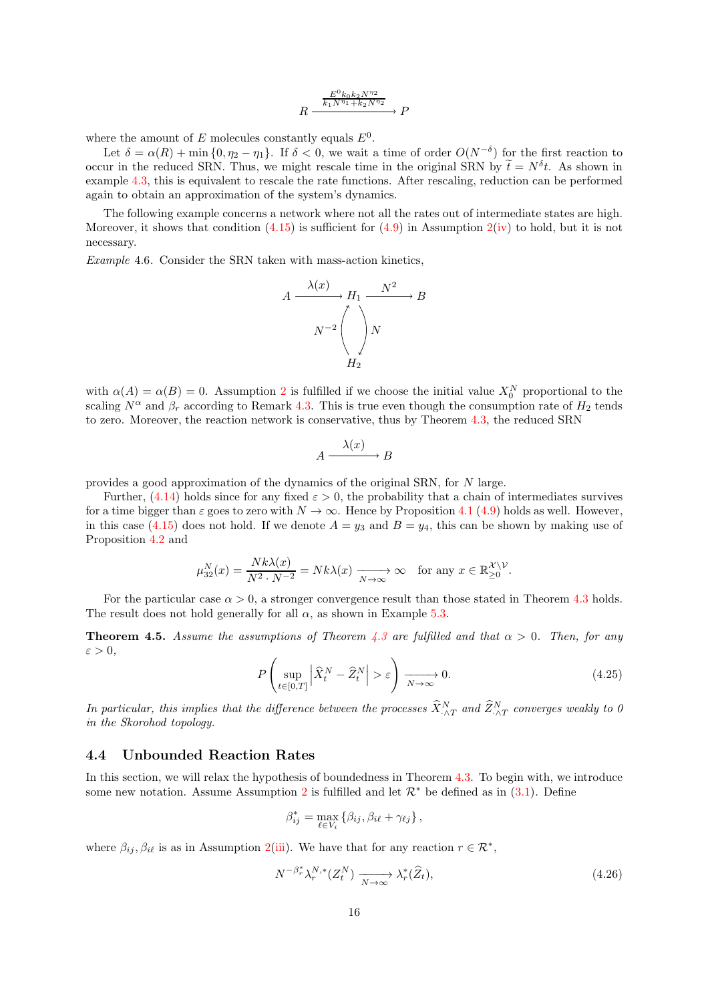$$
R \xrightarrow{\frac{E^0 k_0 k_2 N^{\eta_2}}{k_1 N^{\eta_1} + k_2 N^{\eta_2}}} P
$$

where the amount of E molecules constantly equals  $E^0$ .

Let  $\delta = \alpha(R) + \min\{0, \eta_2 - \eta_1\}$ . If  $\delta < 0$ , we wait a time of order  $O(N^{-\delta})$  for the first reaction to occur in the reduced SRN. Thus, we might rescale time in the original SRN by  $\tilde{t} = N^{\delta} t$ . As shown in example [4.3,](#page-7-2) this is equivalent to rescale the rate functions. After rescaling, reduction can be performed again to obtain an approximation of the system's dynamics.

The following example concerns a network where not all the rates out of intermediate states are high. Moreover, it shows that condition  $(4.15)$  is sufficient for  $(4.9)$  in Assumption  $2(iv)$  $2(iv)$  to hold, but it is not necessary.

<span id="page-15-1"></span>Example 4.6. Consider the SRN taken with mass-action kinetics,



with  $\alpha(A) = \alpha(B) = 0$ . Assumption [2](#page-8-2) is fulfilled if we choose the initial value  $X_0^N$  proportional to the scaling  $N^{\alpha}$  and  $\beta_r$  according to Remark [4.3.](#page-10-6) This is true even though the consumption rate of  $H_2$  tends to zero. Moreover, the reaction network is conservative, thus by Theorem [4.3,](#page-13-0) the reduced SRN

$$
A \xrightarrow{\lambda(x)} B
$$

provides a good approximation of the dynamics of the original SRN, for N large.

Further, [\(4.14\)](#page-10-3) holds since for any fixed  $\varepsilon > 0$ , the probability that a chain of intermediates survives for a time bigger than  $\varepsilon$  goes to zero with  $N \to \infty$ . Hence by Proposition [4.1](#page-10-0) [\(4.9\)](#page-9-1) holds as well. However, in this case [\(4.15\)](#page-10-2) does not hold. If we denote  $A = y_3$  and  $B = y_4$ , this can be shown by making use of Proposition [4.2](#page-11-0) and

$$
\mu_{32}^N(x) = \frac{Nk\lambda(x)}{N^2 \cdot N^{-2}} = Nk\lambda(x) \xrightarrow[N \to \infty]{} \infty \quad \text{for any } x \in \mathbb{R}_{\geq 0}^{\mathcal{X} \setminus \mathcal{V}}.
$$

For the particular case  $\alpha > 0$ , a stronger convergence result than those stated in Theorem [4.3](#page-13-0) holds. The result does not hold generally for all  $\alpha$ , as shown in Example [5.3.](#page-20-0)

<span id="page-15-0"></span>**Theorem 4.5.** Assume the assumptions of Theorem [4.3](#page-13-0) are fulfilled and that  $\alpha > 0$ . Then, for any  $\varepsilon > 0$ ,

$$
P\left(\sup_{t\in[0,T]}\left|\widehat{X}_t^N-\widehat{Z}_t^N\right|>\varepsilon\right)\xrightarrow[N\to\infty]{}0.\tag{4.25}
$$

In particular, this implies that the difference between the processes  $\hat{X}_{\cdot \wedge T}^N$  and  $\hat{Z}_{\cdot \wedge T}^N$  converges weakly to 0 in the Skorohod topology.

#### 4.4 Unbounded Reaction Rates

In this section, we will relax the hypothesis of boundedness in Theorem [4.3.](#page-13-0) To begin with, we introduce some new notation. Assume Assumption [2](#page-8-2) is fulfilled and let  $\mathcal{R}^*$  be defined as in [\(3.1\)](#page-3-1). Define

$$
\beta_{ij}^* = \max_{\ell \in V_i} \left\{ \beta_{ij}, \beta_{i\ell} + \gamma_{\ell j} \right\},\,
$$

where  $\beta_{ij}, \beta_{i\ell}$  is as in Assumption [2\(](#page-8-2)[iii\)](#page-9-0). We have that for any reaction  $r \in \mathcal{R}^*$ ,

<span id="page-15-2"></span>
$$
N^{-\beta_r^*} \lambda_r^{N,*} (Z_t^N) \xrightarrow[N \to \infty]{} \lambda_r^* (\widehat{Z}_t), \tag{4.26}
$$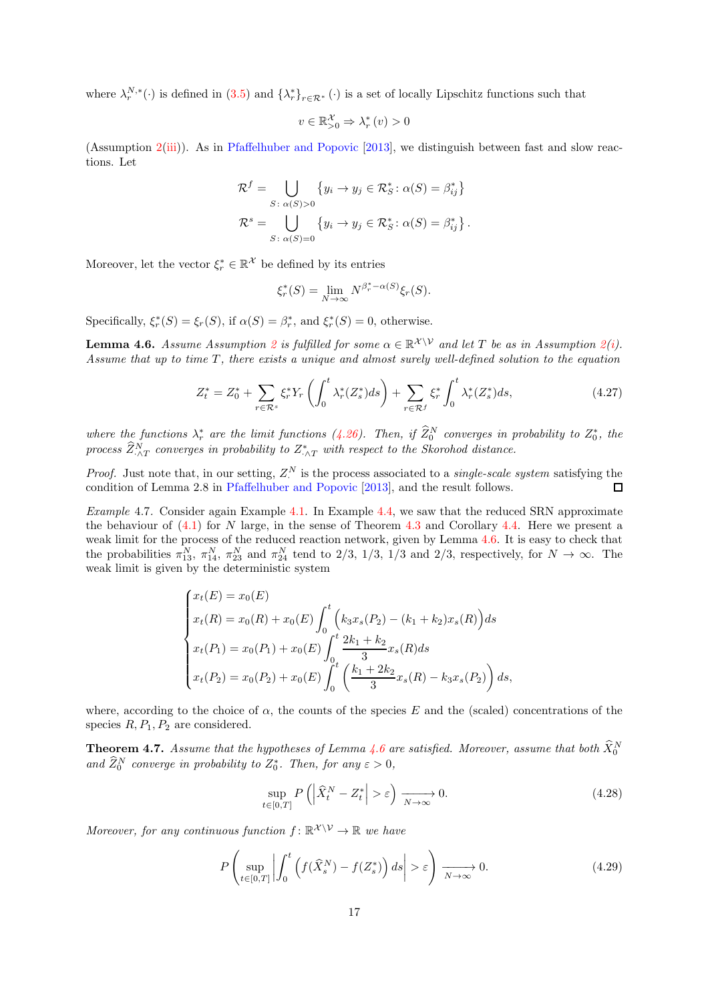where  $\lambda_r^{N,*}(\cdot)$  is defined in  $(3.5)$  and  $\{\lambda_r^*\}_{r \in \mathcal{R}^*}(\cdot)$  is a set of locally Lipschitz functions such that

$$
v \in \mathbb{R}^{\mathcal{X}}_{>0} \Rightarrow \lambda_r^*(v) > 0
$$

(Assumption [2](#page-8-2)[\(iii\)](#page-9-0)). As in [Pfaffelhuber and Popovic](#page-30-4) [\[2013\]](#page-30-4), we distinguish between fast and slow reactions. Let

$$
\mathcal{R}^f = \bigcup_{S \,:\, \alpha(S) > 0} \{ y_i \to y_j \in \mathcal{R}^*_S \,:\, \alpha(S) = \beta^*_{ij} \}
$$
\n
$$
\mathcal{R}^s = \bigcup_{S \,:\, \alpha(S) = 0} \{ y_i \to y_j \in \mathcal{R}^*_S \,:\, \alpha(S) = \beta^*_{ij} \} \,.
$$

Moreover, let the vector  $\xi_r^* \in \mathbb{R}^{\mathcal{X}}$  be defined by its entries

$$
\xi_r^*(S) = \lim_{N \to \infty} N^{\beta_r^* - \alpha(S)} \xi_r(S).
$$

Specifically,  $\xi_r^*(S) = \xi_r(S)$ , if  $\alpha(S) = \beta_r^*$ , and  $\xi_r^*(S) = 0$ , otherwise.

<span id="page-16-1"></span>**Lemma 4.6.** Assume Assumption [2](#page-8-2) is fulfilled for some  $\alpha \in \mathbb{R}^{\mathcal{X} \setminus \mathcal{V}}$  and let T be as in Assumption 2[\(i\)](#page-8-4). Assume that up to time  $T$ , there exists a unique and almost surely well-defined solution to the equation

$$
Z_t^* = Z_0^* + \sum_{r \in \mathcal{R}^s} \xi_r^* Y_r \left( \int_0^t \lambda_r^* (Z_s^*) ds \right) + \sum_{r \in \mathcal{R}^f} \xi_r^* \int_0^t \lambda_r^* (Z_s^*) ds, \tag{4.27}
$$

where the functions  $\lambda_r^*$  are the limit functions [\(4.26\)](#page-15-2). Then, if  $\widehat{Z}_0^N$  converges in probability to  $Z_0^*$ , the process  $\widehat Z^N_{\cdot \wedge T}$  converges in probability to  $Z^*_{\cdot \wedge T}$  with respect to the Skorohod distance.

*Proof.* Just note that, in our setting,  $Z^N$  is the process associated to a *single-scale system* satisfying the condition of Lemma 2.8 in [Pfaffelhuber and Popovic](#page-30-4) [\[2013](#page-30-4)], and the result follows.  $\Box$ 

Example 4.7. Consider again Example [4.1.](#page-7-1) In Example [4.4,](#page-14-2) we saw that the reduced SRN approximate the behaviour of [\(4.1\)](#page-7-0) for N large, in the sense of Theorem [4.3](#page-13-0) and Corollary [4.4.](#page-14-1) Here we present a weak limit for the process of the reduced reaction network, given by Lemma [4.6.](#page-16-1) It is easy to check that the probabilities  $\pi_{13}^N$ ,  $\pi_{14}^N$ ,  $\pi_{23}^N$  and  $\pi_{24}^N$  tend to 2/3, 1/3, 1/3 and 2/3, respectively, for  $N \to \infty$ . The weak limit is given by the deterministic system

$$
\begin{cases}\nx_t(E) = x_0(E) \\
x_t(R) = x_0(R) + x_0(E) \int_0^t \left( k_3 x_s(P_2) - (k_1 + k_2) x_s(R) \right) ds \\
x_t(P_1) = x_0(P_1) + x_0(E) \int_0^t \frac{2k_1 + k_2}{3} x_s(R) ds \\
x_t(P_2) = x_0(P_2) + x_0(E) \int_0^t \left( \frac{k_1 + 2k_2}{3} x_s(R) - k_3 x_s(P_2) \right) ds,\n\end{cases}
$$

where, according to the choice of  $\alpha$ , the counts of the species E and the (scaled) concentrations of the species  $R, P_1, P_2$  are considered.

<span id="page-16-0"></span>**Theorem 4.7.** Assume that the hypotheses of Lemma [4.6](#page-16-1) are satisfied. Moreover, assume that both  $\hat{X}_0^N$ and  $\widehat{Z}_0^N$  converge in probability to  $Z_0^*$ . Then, for any  $\varepsilon > 0$ ,

<span id="page-16-3"></span>
$$
\sup_{t \in [0,T]} P\left( \left| \widehat{X}_t^N - Z_t^* \right| > \varepsilon \right) \xrightarrow[N \to \infty]{} 0. \tag{4.28}
$$

Moreover, for any continuous function  $f: \mathbb{R}^{\mathcal{X} \setminus \mathcal{V}} \to \mathbb{R}$  we have

<span id="page-16-2"></span>
$$
P\left(\sup_{t\in[0,T]}\left|\int_0^t \left(f(\widehat{X}_s^N) - f(Z_s^*)\right)ds\right| > \varepsilon\right) \xrightarrow[N\to\infty]{} 0. \tag{4.29}
$$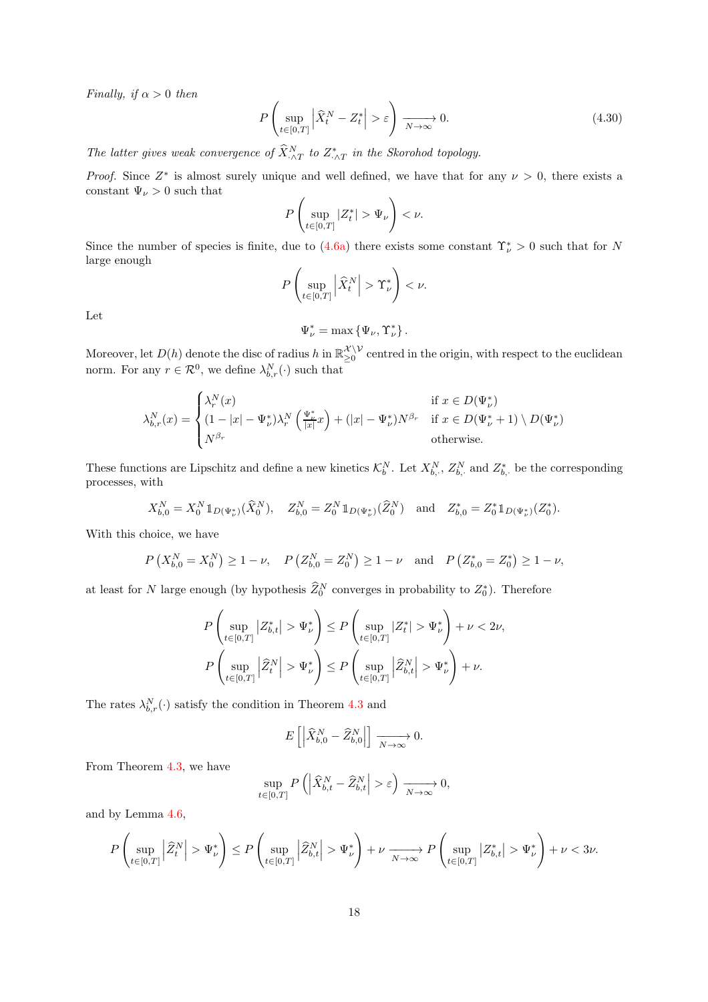Finally, if  $\alpha > 0$  then

$$
P\left(\sup_{t\in[0,T]}\left|\widehat{X}_t^N - Z_t^*\right| > \varepsilon\right) \xrightarrow[N \to \infty]{} 0. \tag{4.30}
$$

The latter gives weak convergence of  $\hat{X}_{\cdot \wedge T}^{N}$  to  $Z_{\cdot \wedge T}^{*}$  in the Skorohod topology.

*Proof.* Since  $Z^*$  is almost surely unique and well defined, we have that for any  $\nu > 0$ , there exists a constant  $\Psi_{\nu} > 0$  such that

$$
P\left(\sup_{t\in[0,T]}|Z^*_t|>\Psi_{\nu}\right)<\nu.
$$

Since the number of species is finite, due to  $(4.6a)$  there exists some constant  $\Upsilon^*_{\nu} > 0$  such that for N large enough

$$
P\left(\sup_{t\in[0,T]}\left|\widehat{X}_t^N\right|>\Upsilon_{\nu}^*\right)<\nu.
$$

Let

 $\Psi_{\nu}^* = \max \{ \Psi_{\nu}, \Upsilon_{\nu}^* \}.$ 

Moreover, let  $D(h)$  denote the disc of radius h in  $\mathbb{R}_{\geq 0}^{\mathcal{X} \setminus \mathcal{V}}$  $\sum_{n=0}^{\infty}$  centred in the origin, with respect to the euclidean norm. For any  $r \in \mathcal{R}^0$ , we define  $\lambda_{b,r}^N(\cdot)$  such that

$$
\lambda_{b,r}^N(x) = \begin{cases} \lambda_r^N(x) & \text{if } x \in D(\Psi_\nu^*) \\ (1-|x|-\Psi_\nu^*)\lambda_r^N\left(\frac{\Psi_\nu^*}{|x|}x\right) + (|x|-\Psi_\nu^*)N^{\beta_r} & \text{if } x \in D(\Psi_\nu^*+1) \setminus D(\Psi_\nu^*) \\ N^{\beta_r} & \text{otherwise.} \end{cases}
$$

These functions are Lipschitz and define a new kinetics  $\mathcal{K}_b^N$ . Let  $X_{b,\cdot}^N$ ,  $Z_{b,\cdot}^N$  and  $Z_{b,\cdot}^*$  be the corresponding processes, with

$$
X_{b,0}^N = X_0^N 1\!\!1_{D(\Psi^*_\nu)}(\widehat{X}_0^N), \quad Z_{b,0}^N = Z_0^N 1\!\!1_{D(\Psi^*_\nu)}(\widehat{Z}_0^N) \quad \text{and} \quad Z_{b,0}^* = Z_0^* 1\!\!1_{D(\Psi^*_\nu)}(Z_0^*).
$$

With this choice, we have

$$
P(X_{b,0}^N = X_0^N) \ge 1 - \nu
$$
,  $P(Z_{b,0}^N = Z_0^N) \ge 1 - \nu$  and  $P(Z_{b,0}^* = Z_0^*) \ge 1 - \nu$ ,

at least for N large enough (by hypothesis  $\widehat{Z}_0^N$  converges in probability to  $Z_0^*$ ). Therefore

$$
\label{eq:3.1} \begin{split} &P\left(\sup_{t\in[0,T]} \left|Z^*_{b,t}\right|>\Psi^*_{\nu}\right)\leq P\left(\sup_{t\in[0,T]} \left|Z^*_{t}\right|>\Psi^*_{\nu}\right)+\nu<2\nu,\\ &P\left(\sup_{t\in[0,T]} \left|\widehat{Z}^N_{t}\right|>\Psi^*_{\nu}\right)\leq P\left(\sup_{t\in[0,T]} \left|\widehat{Z}^N_{b,t}\right|>\Psi^*_{\nu}\right)+\nu. \end{split}
$$

The rates  $\lambda_{b,r}^N(\cdot)$  satisfy the condition in Theorem [4.3](#page-13-0) and

$$
E\left[\left|\widehat{X}_{b,0}^N - \widehat{Z}_{b,0}^N\right|\right] \xrightarrow[N \to \infty]{} 0.
$$

From Theorem [4.3,](#page-13-0) we have

$$
\sup_{t\in[0,T]} P\left(\left|\widehat{X}_{b,t}^N - \widehat{Z}_{b,t}^N\right| > \varepsilon\right) \xrightarrow[N \to \infty]{} 0,
$$

and by Lemma [4.6,](#page-16-1)

$$
P\left(\sup_{t\in[0,T]}\left|\widehat{Z}^N_t\right| > \Psi^*_{\nu}\right) \leq P\left(\sup_{t\in[0,T]}\left|\widehat{Z}^N_{b,t}\right| > \Psi^*_{\nu}\right) + \nu\xrightarrow[N\to\infty]{} P\left(\sup_{t\in[0,T]}|Z^*_{b,t}| > \Psi^*_{\nu}\right) + \nu < 3\nu.
$$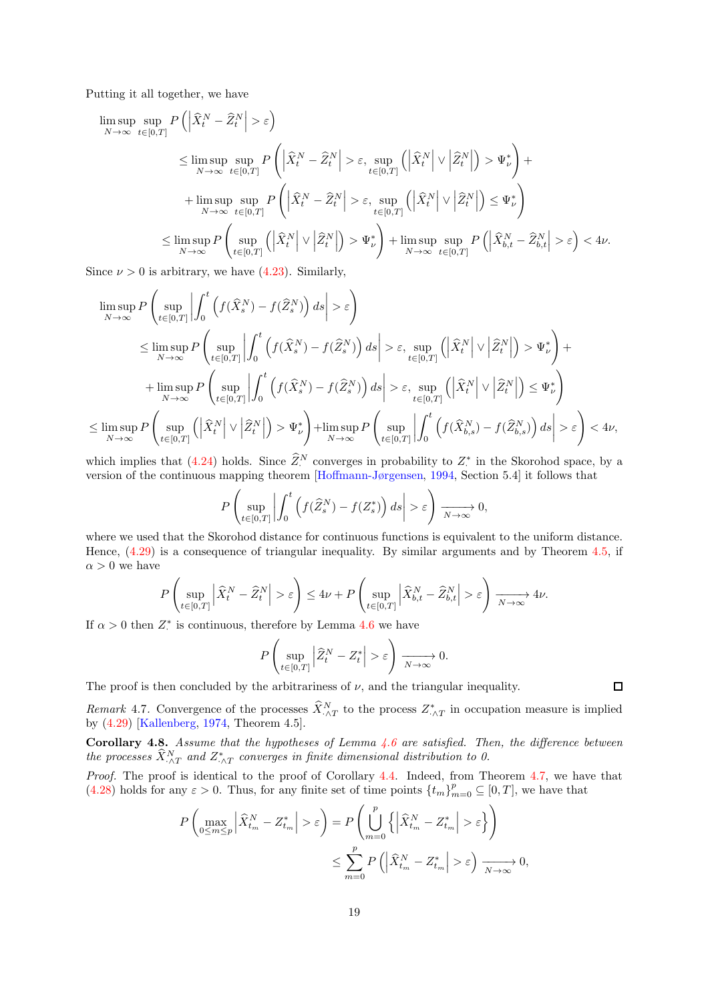Putting it all together, we have

$$
\begin{split} \limsup_{N \to \infty} \sup_{t \in [0,T]} P\left(\left|\widehat{X}^N_t - \widehat{Z}^N_t\right| > \varepsilon\right) \\ & \leq \limsup_{N \to \infty} \sup_{t \in [0,T]} P\left(\left|\widehat{X}^N_t - \widehat{Z}^N_t\right| > \varepsilon, \sup_{t \in [0,T]} \left(\left|\widehat{X}^N_t\right| \vee \left|\widehat{Z}^N_t\right|\right) > \Psi^*_{\nu}\right) + \\ & + \limsup_{N \to \infty} \sup_{t \in [0,T]} P\left(\left|\widehat{X}^N_t - \widehat{Z}^N_t\right| > \varepsilon, \sup_{t \in [0,T]} \left(\left|\widehat{X}^N_t\right| \vee \left|\widehat{Z}^N_t\right|\right) \leq \Psi^*_{\nu}\right) \\ & \leq \limsup_{N \to \infty} P\left(\sup_{t \in [0,T]} \left(\left|\widehat{X}^N_t\right| \vee \left|\widehat{Z}^N_t\right|\right) > \Psi^*_{\nu}\right) + \limsup_{N \to \infty} \sup_{t \in [0,T]} P\left(\left|\widehat{X}^N_{b,t} - \widehat{Z}^N_{b,t}\right| > \varepsilon\right) < 4\nu. \end{split}
$$

Since  $\nu > 0$  is arbitrary, we have [\(4.23\)](#page-13-4). Similarly,

$$
\limsup_{N \to \infty} P\left(\sup_{t \in [0,T]} \left| \int_0^t \left( f(\hat{X}_s^N) - f(\hat{Z}_s^N) \right) ds \right| > \varepsilon \right)
$$
\n
$$
\leq \limsup_{N \to \infty} P\left(\sup_{t \in [0,T]} \left| \int_0^t \left( f(\hat{X}_s^N) - f(\hat{Z}_s^N) \right) ds \right| > \varepsilon, \sup_{t \in [0,T]} \left( \left| \hat{X}_t^N \right| \vee \left| \hat{Z}_t^N \right| \right) > \Psi_\nu^* \right) + \limsup_{N \to \infty} P\left(\sup_{t \in [0,T]} \left| \int_0^t \left( f(\hat{X}_s^N) - f(\hat{Z}_s^N) \right) ds \right| > \varepsilon, \sup_{t \in [0,T]} \left( \left| \hat{X}_t^N \right| \vee \left| \hat{Z}_t^N \right| \right) \leq \Psi_\nu^* \right)
$$
\n
$$
\leq \limsup_{N \to \infty} P\left(\sup_{t \in [0,T]} \left( \left| \hat{X}_t^N \right| \vee \left| \hat{Z}_t^N \right| \right) > \Psi_\nu^* \right) + \limsup_{N \to \infty} P\left(\sup_{t \in [0,T]} \left| \int_0^t \left( f(\hat{X}_{b,s}^N) - f(\hat{Z}_{b,s}^N) \right) ds \right| > \varepsilon \right) < 4\nu,
$$

which implies that [\(4.24\)](#page-13-5) holds. Since  $\widehat{Z}^N$  converges in probability to  $Z^*$  in the Skorohod space, by a version of the continuous mapping theorem [\[Hoffmann-Jørgensen,](#page-30-15) [1994,](#page-30-15) Section 5.4] it follows that

$$
P\left(\sup_{t\in[0,T]}\left|\int_0^t \left(f(\widehat{Z}_s^N)-f(Z_s^*)\right)ds\right|>\varepsilon\right)\xrightarrow[N\to\infty]{}0,
$$

where we used that the Skorohod distance for continuous functions is equivalent to the uniform distance. Hence, [\(4.29\)](#page-16-2) is a consequence of triangular inequality. By similar arguments and by Theorem [4.5,](#page-15-0) if  $\alpha > 0$  we have

$$
P\left(\sup_{t\in[0,T]}\left|\widehat{X}^N_t-\widehat{Z}^N_t\right|>\varepsilon\right)\leq 4\nu+P\left(\sup_{t\in[0,T]}\left|\widehat{X}^N_{b,t}-\widehat{Z}^N_{b,t}\right|>\varepsilon\right)\xrightarrow[N\to\infty]{}4\nu.
$$

If  $\alpha > 0$  then  $Z^*$  is continuous, therefore by Lemma [4.6](#page-16-1) we have

$$
P\left(\sup_{t\in[0,T]}\left|\widehat{Z}_t^N-Z_t^*\right|>\varepsilon\right)\xrightarrow[N\to\infty]{}0.
$$

The proof is then concluded by the arbitrariness of  $\nu$ , and the triangular inequality.

 $\Box$ 

Remark 4.7. Convergence of the processes  $\hat{X}_{\cdot \wedge T}^{N}$  to the process  $Z_{\cdot \wedge T}^{*}$  in occupation measure is implied by [\(4.29\)](#page-16-2) [\[Kallenberg,](#page-31-0) [1974,](#page-31-0) Theorem 4.5].

Corollary 4.8. Assume that the hypotheses of Lemma [4.6](#page-16-1) are satisfied. Then, the difference between the processes  $\hat{X}_{\cdot\wedge T}^{N}$  and  $Z_{\cdot\wedge T}^{*}$  converges in finite dimensional distribution to 0.

Proof. The proof is identical to the proof of Corollary [4.4.](#page-14-1) Indeed, from Theorem [4.7,](#page-16-0) we have that  $(4.28)$  holds for any  $\varepsilon > 0$ . Thus, for any finite set of time points  $\{t_m\}_{m=0}^p \subseteq [0, T]$ , we have that

$$
P\left(\max_{0\leq m\leq p} \left|\widehat{X}_{t_m}^N - Z_{t_m}^*\right| > \varepsilon\right) = P\left(\bigcup_{m=0}^p \left\{\left|\widehat{X}_{t_m}^N - Z_{t_m}^*\right| > \varepsilon\right\}\right)
$$
  

$$
\leq \sum_{m=0}^p P\left(\left|\widehat{X}_{t_m}^N - Z_{t_m}^*\right| > \varepsilon\right) \xrightarrow[N \to \infty]{N} 0,
$$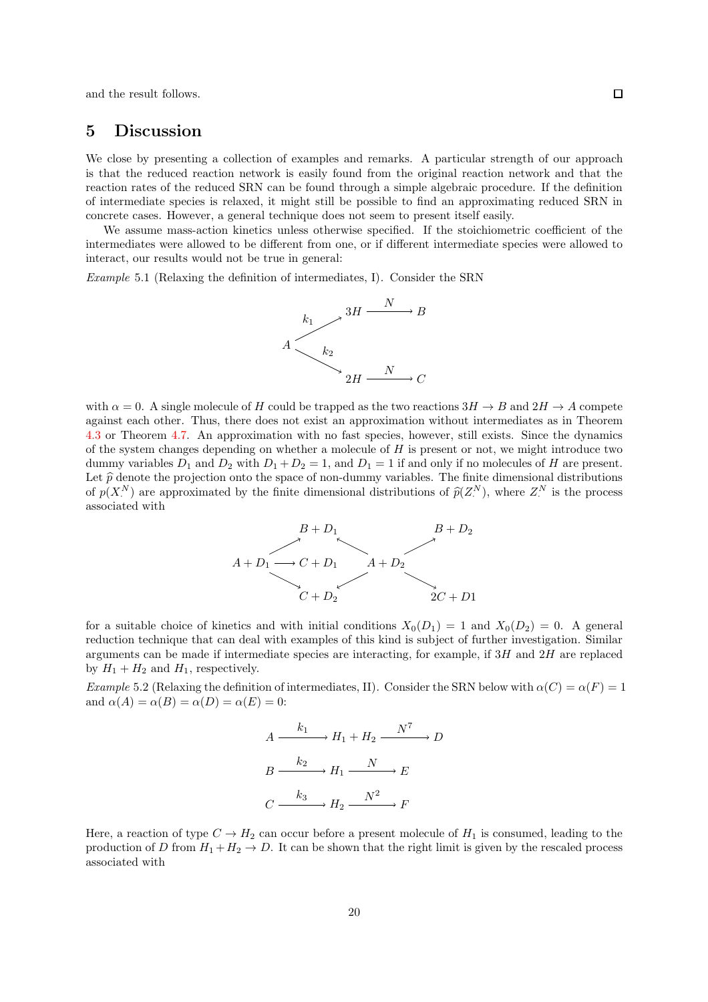and the result follows.

# 5 Discussion

We close by presenting a collection of examples and remarks. A particular strength of our approach is that the reduced reaction network is easily found from the original reaction network and that the reaction rates of the reduced SRN can be found through a simple algebraic procedure. If the definition of intermediate species is relaxed, it might still be possible to find an approximating reduced SRN in concrete cases. However, a general technique does not seem to present itself easily.

We assume mass-action kinetics unless otherwise specified. If the stoichiometric coefficient of the intermediates were allowed to be different from one, or if different intermediate species were allowed to interact, our results would not be true in general:

Example 5.1 (Relaxing the definition of intermediates, I). Consider the SRN



with  $\alpha = 0$ . A single molecule of H could be trapped as the two reactions  $3H \to B$  and  $2H \to A$  compete against each other. Thus, there does not exist an approximation without intermediates as in Theorem [4.3](#page-13-0) or Theorem [4.7.](#page-16-0) An approximation with no fast species, however, still exists. Since the dynamics of the system changes depending on whether a molecule of  $H$  is present or not, we might introduce two dummy variables  $D_1$  and  $D_2$  with  $D_1 + D_2 = 1$ , and  $D_1 = 1$  if and only if no molecules of H are present. Let  $\hat{p}$  denote the projection onto the space of non-dummy variables. The finite dimensional distributions of  $p(X^N)$  are approximated by the finite dimensional distributions of  $\widehat{p}(Z^N)$ , where  $Z^N$  is the process associated with



for a suitable choice of kinetics and with initial conditions  $X_0(D_1) = 1$  and  $X_0(D_2) = 0$ . A general reduction technique that can deal with examples of this kind is subject of further investigation. Similar arguments can be made if intermediate species are interacting, for example, if  $3H$  and  $2H$  are replaced by  $H_1 + H_2$  and  $H_1$ , respectively.

Example 5.2 (Relaxing the definition of intermediates, II). Consider the SRN below with  $\alpha(C) = \alpha(F) = 1$ and  $\alpha(A) = \alpha(B) = \alpha(D) = \alpha(E) = 0$ :

$$
A \xrightarrow{k_1} H_1 + H_2 \xrightarrow{N^7} D
$$

$$
B \xrightarrow{k_2} H_1 \xrightarrow{N} E
$$

$$
C \xrightarrow{k_3} H_2 \xrightarrow{N^2} F
$$

Here, a reaction of type  $C \to H_2$  can occur before a present molecule of  $H_1$  is consumed, leading to the production of D from  $H_1 + H_2 \to D$ . It can be shown that the right limit is given by the rescaled process associated with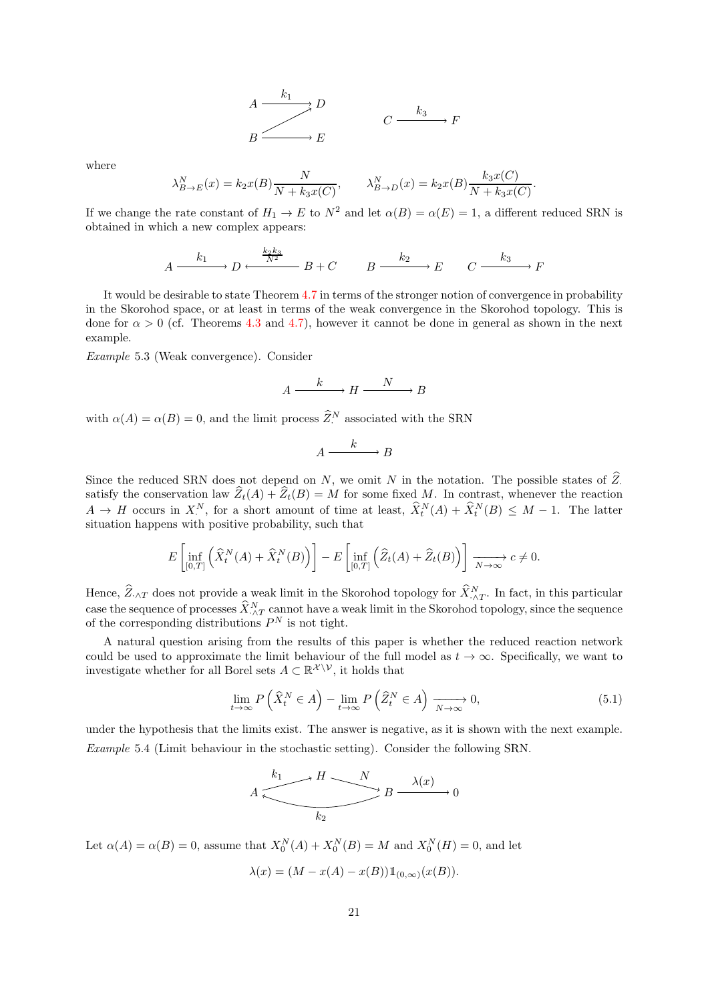$$
A \xrightarrow{k_1} D
$$
\n
$$
B \xrightarrow{k_2} E
$$
\n
$$
B \xrightarrow{k_3} F
$$

where

$$
\lambda_{B \to E}^N(x) = k_2 x(B) \frac{N}{N + k_3 x(C)}, \qquad \lambda_{B \to D}^N(x) = k_2 x(B) \frac{k_3 x(C)}{N + k_3 x(C)}.
$$

If we change the rate constant of  $H_1 \to E$  to  $N^2$  and let  $\alpha(B) = \alpha(E) = 1$ , a different reduced SRN is obtained in which a new complex appears:

$$
A \xrightarrow{k_1} D \xrightarrow{\frac{k_2 k_3}{N^2}} B + C \qquad B \xrightarrow{k_2} E \qquad C \xrightarrow{k_3} F
$$

It would be desirable to state Theorem [4.7](#page-16-0) in terms of the stronger notion of convergence in probability in the Skorohod space, or at least in terms of the weak convergence in the Skorohod topology. This is done for  $\alpha > 0$  (cf. Theorems [4.3](#page-13-0) and [4.7\)](#page-16-0), however it cannot be done in general as shown in the next example.

<span id="page-20-0"></span>Example 5.3 (Weak convergence). Consider

$$
A \xrightarrow{k} H \xrightarrow{N} B
$$

with  $\alpha(A) = \alpha(B) = 0$ , and the limit process  $\widehat{Z}_i^N$  associated with the SRN

$$
A \xrightarrow{k} B
$$

Since the reduced SRN does not depend on N, we omit N in the notation. The possible states of  $\widehat{Z}$ . satisfy the conservation law  $\hat{Z}_t(A) + \hat{Z}_t(B) = M$  for some fixed M. In contrast, whenever the reaction  $A \to H$  occurs in  $X_{\cdot}^N$ , for a short amount of time at least,  $\hat{X}_t^N(A) + \hat{X}_t^N(B) \leq M - 1$ . The latter situation happens with positive probability, such that

$$
E\left[\inf_{[0,T]} \left(\widehat{X}_t^N(A) + \widehat{X}_t^N(B)\right)\right] - E\left[\inf_{[0,T]} \left(\widehat{Z}_t(A) + \widehat{Z}_t(B)\right)\right] \xrightarrow[N \to \infty]{} c \neq 0.
$$

Hence,  $\widehat{Z}_{\cdot\wedge T}$  does not provide a weak limit in the Skorohod topology for  $\widehat{X}_{\cdot\wedge T}^N$ . In fact, in this particular case the sequence of processes  $\hat{X}_{\cdot\wedge T}^N$  cannot have a weak limit in the Skorohod topology, since the sequence of the corresponding distributions  $P^N$  is not tight.

A natural question arising from the results of this paper is whether the reduced reaction network could be used to approximate the limit behaviour of the full model as  $t \to \infty$ . Specifically, we want to investigate whether for all Borel sets  $A \subset \mathbb{R}^{\mathcal{X} \setminus \mathcal{V}}$ , it holds that

<span id="page-20-1"></span>
$$
\lim_{t \to \infty} P\left(\widehat{X}_t^N \in A\right) - \lim_{t \to \infty} P\left(\widehat{Z}_t^N \in A\right) \xrightarrow[N \to \infty]{} 0,\tag{5.1}
$$

under the hypothesis that the limits exist. The answer is negative, as it is shown with the next example. Example 5.4 (Limit behaviour in the stochastic setting). Consider the following SRN.

$$
A \xrightarrow{k_1} H \xrightarrow{N} B \xrightarrow{\lambda(x)} 0
$$

Let  $\alpha(A) = \alpha(B) = 0$ , assume that  $X_0^N(A) + X_0^N(B) = M$  and  $X_0^N(H) = 0$ , and let

$$
\lambda(x) = (M - x(A) - x(B))1_{(0,\infty)}(x(B)).
$$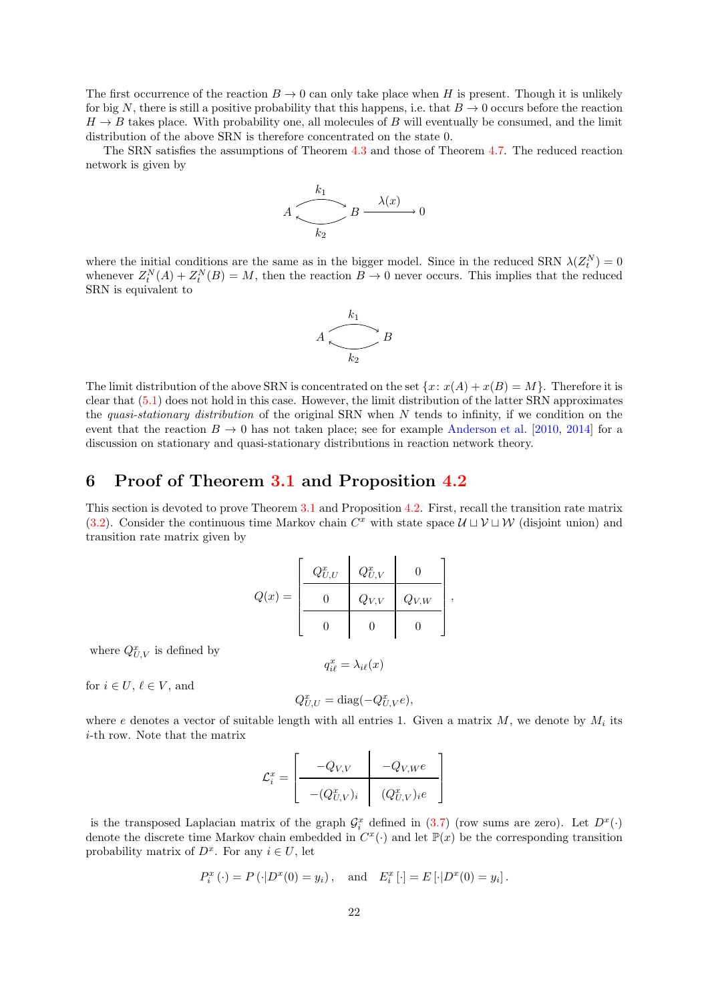The first occurrence of the reaction  $B \to 0$  can only take place when H is present. Though it is unlikely for big N, there is still a positive probability that this happens, i.e. that  $B \to 0$  occurs before the reaction  $H \to B$  takes place. With probability one, all molecules of B will eventually be consumed, and the limit distribution of the above SRN is therefore concentrated on the state 0.

The SRN satisfies the assumptions of Theorem [4.3](#page-13-0) and those of Theorem [4.7.](#page-16-0) The reduced reaction network is given by

$$
A \xrightarrow{k_1} B \xrightarrow{\lambda(x)} 0
$$

where the initial conditions are the same as in the bigger model. Since in the reduced SRN  $\lambda(Z_t^N) = 0$ whenever  $Z_t^N(A) + Z_t^N(B) = M$ , then the reaction  $B \to 0$  never occurs. This implies that the reduced SRN is equivalent to



The limit distribution of the above SRN is concentrated on the set  $\{x: x(A) + x(B) = M\}$ . Therefore it is clear that [\(5.1\)](#page-20-1) does not hold in this case. However, the limit distribution of the latter SRN approximates the quasi-stationary distribution of the original SRN when  $N$  tends to infinity, if we condition on the event that the reaction  $B \to 0$  has not taken place; see for example [Anderson et al.](#page-31-1) [\[2010,](#page-31-1) [2014\]](#page-31-2) for a discussion on stationary and quasi-stationary distributions in reaction network theory.

### <span id="page-21-0"></span>6 Proof of Theorem [3.1](#page-5-1) and Proposition [4.2](#page-11-0)

This section is devoted to prove Theorem [3.1](#page-5-1) and Proposition [4.2.](#page-11-0) First, recall the transition rate matrix [\(3.2\)](#page-4-3). Consider the continuous time Markov chain  $C^x$  with state space  $\mathcal{U} \cup \mathcal{V} \cup \mathcal{W}$  (disjoint union) and transition rate matrix given by

$$
Q(x) = \left[\begin{array}{c|c} Q_{U,U}^x & Q_{U,V}^x & 0 \\ \hline 0 & Q_{V,V} & Q_{V,W} \\ \hline 0 & 0 & 0 \end{array}\right],
$$

where  $Q_{U,V}^x$  is defined by

 $q_{i\ell}^x = \lambda_{i\ell}(x)$ 

for  $i \in U, \ell \in V$ , and

$$
Q_{U,U}^x = \text{diag}(-Q_{U,V}^x e),
$$

where e denotes a vector of suitable length with all entries 1. Given a matrix  $M$ , we denote by  $M_i$  its i-th row. Note that the matrix

l.

$$
\mathcal{L}_i^x = \begin{bmatrix} -Q_{V,V} & -Q_{V,W}e \\ \hline \\ -(Q_{U,V}^x)_i & (Q_{U,V}^x)_i e \end{bmatrix}
$$

is the transposed Laplacian matrix of the graph  $\mathcal{G}_i^x$  defined in [\(3.7\)](#page-5-4) (row sums are zero). Let  $D^x(\cdot)$ denote the discrete time Markov chain embedded in  $C^x(\cdot)$  and let  $\mathbb{P}(x)$  be the corresponding transition probability matrix of  $D^x$ . For any  $i \in U$ , let

$$
P_i^x(\cdot) = P(\cdot|D^x(0) = y_i), \text{ and } E_i^x[\cdot] = E[\cdot|D^x(0) = y_i].
$$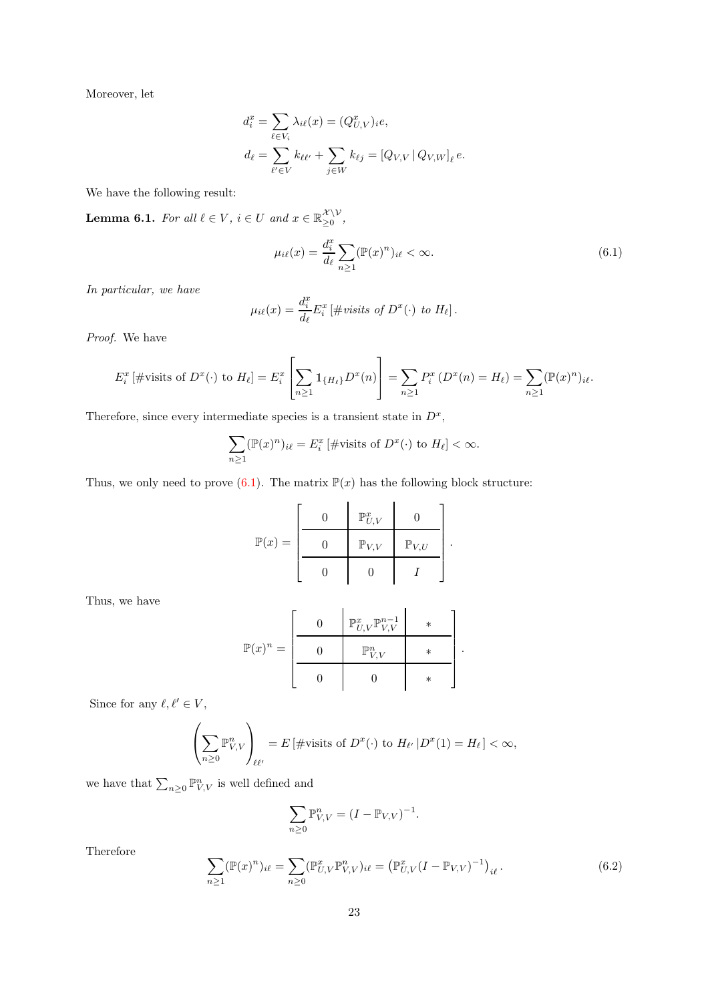Moreover, let

$$
d_i^x = \sum_{\ell \in V_i} \lambda_{i\ell}(x) = (Q_{U,V}^x)_{i\ell},
$$
  

$$
d_{\ell} = \sum_{\ell' \in V} k_{\ell\ell'} + \sum_{j \in W} k_{\ell j} = [Q_{V,V} | Q_{V,W}]_{\ell} e.
$$

We have the following result:

<span id="page-22-2"></span>**Lemma 6.1.** For all  $l \in V$ ,  $i \in U$  and  $x \in \mathbb{R}_{\geq 0}^{\mathcal{X} \setminus V}$  $\sum_{i=1}^{\infty} 0$ 

<span id="page-22-0"></span>
$$
\mu_{i\ell}(x) = \frac{d_i^x}{d_\ell} \sum_{n \ge 1} (\mathbb{P}(x)^n)_{i\ell} < \infty. \tag{6.1}
$$

In particular, we have

$$
\mu_{i\ell}(x) = \frac{d_i^x}{d_\ell} E_i^x \left[ \text{# visits of } D^x(\cdot) \text{ to } H_\ell \right].
$$

Proof. We have

$$
E_i^x \left[ \text{#visits of } D^x(\cdot) \text{ to } H_\ell \right] = E_i^x \left[ \sum_{n \ge 1} \mathbb{1}_{\{H_\ell\}} D^x(n) \right] = \sum_{n \ge 1} P_i^x \left( D^x(n) = H_\ell \right) = \sum_{n \ge 1} (\mathbb{P}(x)^n)_{i\ell}.
$$

Therefore, since every intermediate species is a transient state in  $D<sup>x</sup>$ ,

$$
\sum_{n\geq 1} (\mathbb{P}(x)^n)_{i\ell} = E_i^x \left[ \# \text{visits of } D^x(\cdot) \text{ to } H_\ell \right] < \infty.
$$

Thus, we only need to prove  $(6.1)$ . The matrix  $\mathbb{P}(x)$  has the following block structure:

$$
\mathbb{P}(x) = \left[\begin{array}{c|c} \begin{matrix} \mathbf{0} & \mathbb{P}_{U,V}^x & \mathbf{0} \\ \hline \mathbf{0} & \mathbb{P}_{V,V} & \mathbb{P}_{V,U} \\ \hline \mathbf{0} & \mathbf{0} & I \end{matrix} \end{array}\right].
$$

Thus, we have

$$
\mathbb{P}(x)^n = \left[\begin{array}{c|c} 0 & \mathbb{P}^x_{U,V} \mathbb{P}^{n-1}_{V,V} & * \\ 0 & \mathbb{P}^n_{V,V} & * \\ \hline 0 & 0 & * \end{array}\right].
$$

Since for any  $\ell, \ell' \in V$ ,

$$
\left(\sum_{n\geq 0} \mathbb{P}_{V,V}^n\right)_{\ell\ell'} = E\left[\text{#visits of } D^x(\cdot) \text{ to } H_{\ell'}\left|D^x(1)\right| = H_{\ell}\right] < \infty,
$$

we have that  $\sum_{n\geq 0} \mathbb{P}_{V,V}^n$  is well defined and

$$
\sum_{n\geq 0}\mathbb{P}_{V,V}^n=(I-\mathbb{P}_{V,V})^{-1}.
$$

Therefore

<span id="page-22-1"></span>
$$
\sum_{n\geq 1} (\mathbb{P}(x)^n)_{i\ell} = \sum_{n\geq 0} (\mathbb{P}_{U,V}^x \mathbb{P}_{V,V}^n)_{i\ell} = (\mathbb{P}_{U,V}^x (I - \mathbb{P}_{V,V})^{-1})_{i\ell}.
$$
\n(6.2)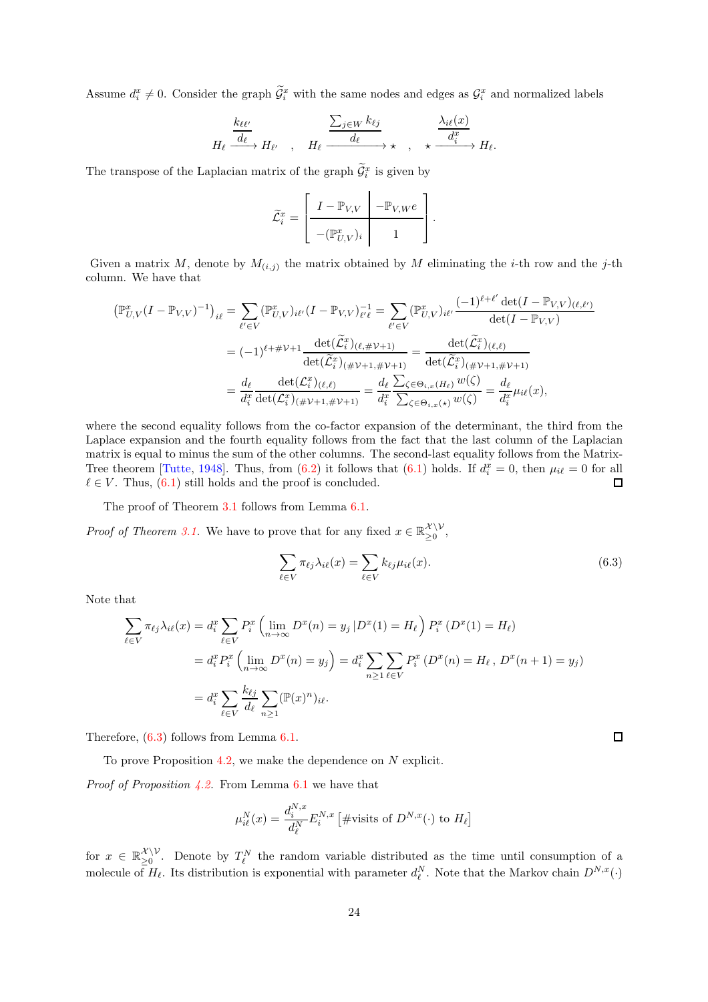Assume  $d_i^x \neq 0$ . Consider the graph  $\tilde{\mathcal{G}}_i^x$  with the same nodes and edges as  $\mathcal{G}_i^x$  and normalized labels

$$
H_{\ell} \xrightarrow{\underline{k_{\ell\ell'}}} H_{\ell'} \quad , \quad H_{\ell} \xrightarrow{\sum_{j \in W} k_{\ell j}} \star \quad , \quad \star \xrightarrow{\underline{\lambda_{i\ell}}(x)} H_{\ell}.
$$

The transpose of the Laplacian matrix of the graph  $\mathcal{G}_i^x$  is given by

$$
\widetilde{\mathcal{L}}_i^x = \left[ \begin{array}{c|c} I - \mathbb{P}_{V,V} & -\mathbb{P}_{V,W}e \\ \hline \\ -(\mathbb{P}_{U,V}^x)_i & 1 \end{array} \right].
$$

Given a matrix M, denote by  $M_{(i,j)}$  the matrix obtained by M eliminating the *i*-th row and the *j*-th column. We have that

$$
\begin{split} \left(\mathbb{P}_{U,V}^{x}(I-\mathbb{P}_{V,V})^{-1}\right)_{i\ell} &= \sum_{\ell'\in V} \left(\mathbb{P}_{U,V}^{x}\right)_{i\ell'}(I-\mathbb{P}_{V,V})_{\ell'\ell}^{-1} = \sum_{\ell'\in V} \left(\mathbb{P}_{U,V}^{x}\right)_{i\ell'} \frac{(-1)^{\ell+\ell'}\det(I-\mathbb{P}_{V,V})_{(\ell,\ell')}}{\det(I-\mathbb{P}_{V,V})} \\ &= (-1)^{\ell+\#V+1} \frac{\det(\widetilde{\mathcal{L}}_{i}^{x})_{(\ell,\#V+1)}}{\det(\widetilde{\mathcal{L}}_{i}^{x})_{(\#V+1,\#V+1)}} = \frac{\det(\widetilde{\mathcal{L}}_{i}^{x})_{(\ell,\ell)}}{\det(\widetilde{\mathcal{L}}_{i}^{x})_{(\#V+1,\#V+1)}} \\ &= \frac{d_{\ell}}{d_{i}^{x}} \frac{\det(\mathcal{L}_{i}^{x})_{(\ell,\ell)}}{\det(\mathcal{L}_{i}^{x})_{(\#V+1,\#V+1)}} = \frac{d_{\ell}\sum_{\zeta\in\Theta_{i,x}(H_{\ell})}w(\zeta)}{d_{i}^{x}} = \frac{d_{\ell}}{d_{i}^{x}}\mu_{i\ell}(x), \end{split}
$$

where the second equality follows from the co-factor expansion of the determinant, the third from the Laplace expansion and the fourth equality follows from the fact that the last column of the Laplacian matrix is equal to minus the sum of the other columns. The second-last equality follows from the Matrix-Tree theorem [\[Tutte](#page-31-3), [1948\]](#page-31-3). Thus, from [\(6.2\)](#page-22-1) it follows that [\(6.1\)](#page-22-0) holds. If  $d_i^x = 0$ , then  $\mu_{i\ell} = 0$  for all  $\ell \in V$ . Thus, [\(6.1\)](#page-22-0) still holds and the proof is concluded.

The proof of Theorem [3.1](#page-5-1) follows from Lemma [6.1.](#page-22-2)

*Proof of Theorem [3.1.](#page-5-1)* We have to prove that for any fixed  $x \in \mathbb{R}_{\geq 0}^{\mathcal{X} \setminus \mathcal{V}}$  $\sum_{\geq 0}^{\alpha + \nu}$ 

<span id="page-23-0"></span>
$$
\sum_{\ell \in V} \pi_{\ell j} \lambda_{i\ell}(x) = \sum_{\ell \in V} k_{\ell j} \mu_{i\ell}(x).
$$
\n(6.3)

Note that

$$
\sum_{\ell \in V} \pi_{\ell j} \lambda_{i\ell}(x) = d_i^x \sum_{\ell \in V} P_i^x \left( \lim_{n \to \infty} D^x(n) = y_j \, | D^x(1) = H_\ell \right) P_i^x \left( D^x(1) = H_\ell \right)
$$
\n
$$
= d_i^x P_i^x \left( \lim_{n \to \infty} D^x(n) = y_j \right) = d_i^x \sum_{n \ge 1} \sum_{\ell \in V} P_i^x \left( D^x(n) = H_\ell, D^x(n+1) = y_j \right)
$$
\n
$$
= d_i^x \sum_{\ell \in V} \frac{k_{\ell j}}{d_\ell} \sum_{n \ge 1} (\mathbb{P}(x)^n)_{i\ell}.
$$

Therefore, [\(6.3\)](#page-23-0) follows from Lemma [6.1.](#page-22-2)

To prove Proposition [4.2,](#page-11-0) we make the dependence on  $N$  explicit.

*Proof of Proposition [4.2.](#page-11-0)* From Lemma  $6.1$  we have that

$$
\mu_{i\ell}^N(x) = \frac{d_i^{N,x}}{d_\ell^N} E_i^{N,x} \left[ \# \text{visits of } D^{N,x}(\cdot) \text{ to } H_\ell \right]
$$

for  $x \in \mathbb{R}_{\geq 0}^{\mathcal{X} \setminus \mathcal{V}}$  $\sum_{\geq 0}^{X \setminus V}$ . Denote by  $T_{\ell}^{N}$  the random variable distributed as the time until consumption of a molecule of  $H_{\ell}$ . Its distribution is exponential with parameter  $d_{\ell}^{N}$ . Note that the Markov chain  $D^{N,x}(\cdot)$ 

 $\Box$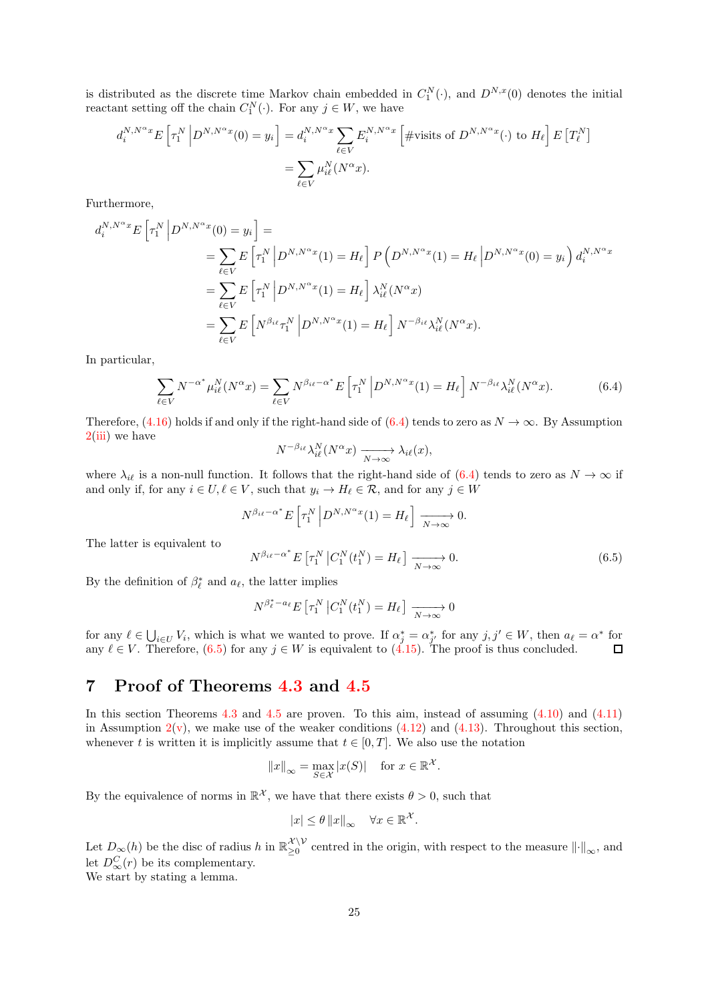is distributed as the discrete time Markov chain embedded in  $C_1^N(\cdot)$ , and  $D^{N,x}(0)$  denotes the initial reactant setting off the chain  $C_1^N(\cdot)$ . For any  $j \in W$ , we have

$$
d_i^{N,N^{\alpha}x} E\left[\tau_1^N \left| D^{N,N^{\alpha}x}(0) = y_i \right.\right] = d_i^{N,N^{\alpha}x} \sum_{\ell \in V} E_i^{N,N^{\alpha}x} \left[ \text{#visits of } D^{N,N^{\alpha}x}(\cdot) \text{ to } H_{\ell} \right] E\left[T_{\ell}^N\right] = \sum_{\ell \in V} \mu_{i\ell}^N(N^{\alpha}x).
$$

Furthermore,

$$
d_i^{N,N^{\alpha}x} E\left[\tau_1^N \middle| D^{N,N^{\alpha}x}(0) = y_i\right] =
$$
  
\n
$$
= \sum_{\ell \in V} E\left[\tau_1^N \middle| D^{N,N^{\alpha}x}(1) = H_{\ell}\right] P\left(D^{N,N^{\alpha}x}(1) = H_{\ell} \middle| D^{N,N^{\alpha}x}(0) = y_i\right) d_i^{N,N^{\alpha}x}
$$
  
\n
$$
= \sum_{\ell \in V} E\left[\tau_1^N \middle| D^{N,N^{\alpha}x}(1) = H_{\ell}\right] \lambda_{i\ell}^N(N^{\alpha}x)
$$
  
\n
$$
= \sum_{\ell \in V} E\left[N^{\beta_{i\ell}} \tau_1^N \middle| D^{N,N^{\alpha}x}(1) = H_{\ell}\right] N^{-\beta_{i\ell}} \lambda_{i\ell}^N(N^{\alpha}x).
$$

In particular,

<span id="page-24-1"></span>
$$
\sum_{\ell \in V} N^{-\alpha^*} \mu_{i\ell}^N(N^{\alpha} x) = \sum_{\ell \in V} N^{\beta_{i\ell} - \alpha^*} E\left[\tau_1^N \left| D^{N, N^{\alpha} x}(1) = H_{\ell} \right. \right] N^{-\beta_{i\ell}} \lambda_{i\ell}^N(N^{\alpha} x). \tag{6.4}
$$

Therefore, [\(4.16\)](#page-11-1) holds if and only if the right-hand side of [\(6.4\)](#page-24-1) tends to zero as  $N \to \infty$ . By Assumption  $2(iii)$  $2(iii)$  we have

$$
N^{-\beta_{i\ell}}\lambda_{i\ell}^N(N^{\alpha}x) \xrightarrow[N \to \infty]{} \lambda_{i\ell}(x),
$$

where  $\lambda_{i\ell}$  is a non-null function. It follows that the right-hand side of [\(6.4\)](#page-24-1) tends to zero as  $N \to \infty$  if and only if, for any  $i \in U, \ell \in V$ , such that  $y_i \to H_\ell \in \mathcal{R}$ , and for any  $j \in W$ 

$$
N^{\beta_{i\ell} - \alpha^*} E\left[\tau_1^N \left| D^{N, N^{\alpha} x}(1) \right| = H_{\ell} \right] \xrightarrow[N \to \infty]{} 0.
$$
  

$$
N^{\beta_{i\ell} - \alpha^*} E\left[\tau_1^N \left| C_1^N(t_1^N) \right| = H_{\ell} \right] \xrightarrow[N \to \infty]{} 0.
$$
 (6.5)

The latter is equivalent to

By the definition of  $\beta_{\ell}^*$  and  $a_{\ell}$ , the latter implies

<span id="page-24-2"></span>
$$
N^{\beta_{\ell}^* - a_{\ell}} E\left[\tau_1^N \middle| C_1^N(t_1^N) = H_{\ell}\right] \xrightarrow[N \to \infty]{} 0
$$

for any  $\ell \in \bigcup_{i \in U} V_i$ , which is what we wanted to prove. If  $\alpha_j^* = \alpha_{j'}^*$  for any  $j, j' \in W$ , then  $a_\ell = \alpha^*$  for any  $\ell \in V$ . Therefore, [\(6.5\)](#page-24-2) for any  $j \in W$  is equivalent to [\(4.15\)](#page-10-2). The proof is thus concluded.

# <span id="page-24-0"></span>7 Proof of Theorems [4.3](#page-13-0) and [4.5](#page-15-0)

In this section Theorems [4.3](#page-13-0) and [4.5](#page-15-0) are proven. To this aim, instead of assuming  $(4.10)$  and  $(4.11)$ in Assumption  $2(v)$  $2(v)$ , we make use of the weaker conditions  $(4.12)$  and  $(4.13)$ . Throughout this section, whenever t is written it is implicitly assume that  $t \in [0, T]$ . We also use the notation

$$
||x||_{\infty} = \max_{S \in \mathcal{X}} |x(S)|
$$
 for  $x \in \mathbb{R}^{\mathcal{X}}$ .

By the equivalence of norms in  $\mathbb{R}^{\mathcal{X}}$ , we have that there exists  $\theta > 0$ , such that

$$
|x| \le \theta \|x\|_{\infty} \quad \forall x \in \mathbb{R}^{\mathcal{X}}.
$$

Let  $D_{\infty}(h)$  be the disc of radius h in  $\mathbb{R}_{\geq 0}^{\mathcal{X}\setminus\mathcal{V}}$  $\sum_{\geq 0}^{\infty}$  centred in the origin, with respect to the measure  $\|\cdot\|_{\infty}$ , and let  $D_{\infty}^{C}(r)$  be its complementary.

We start by stating a lemma.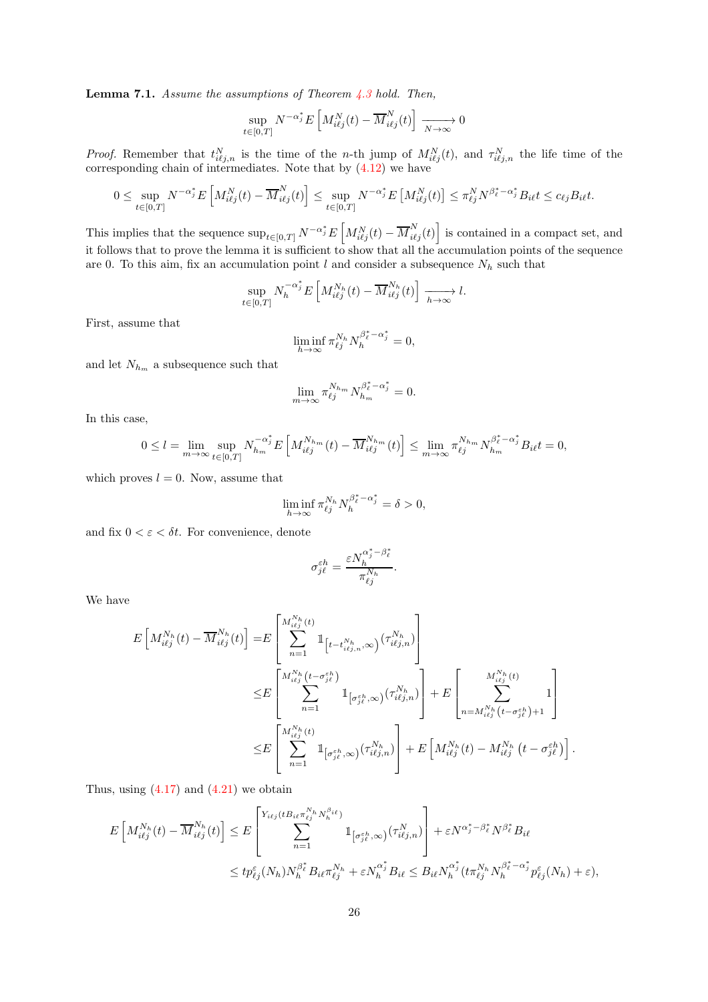<span id="page-25-0"></span>**Lemma 7.1.** Assume the assumptions of Theorem  $\angle 4.3$  $\angle 4.3$  hold. Then,

$$
\sup_{t \in [0,T]} N^{-\alpha_j^*} E\left[M_{i\ell j}^N(t) - \overline{M}_{i\ell j}^N(t)\right] \xrightarrow[N \to \infty]{} 0
$$

*Proof.* Remember that  $t_{i\ell j,n}^N$  is the time of the n-th jump of  $M_{i\ell j}^N(t)$ , and  $\tau_{i\ell j,n}^N$  the life time of the corresponding chain of intermediates. Note that by [\(4.12\)](#page-10-1) we have

$$
0 \leq \sup_{t \in [0,T]} N^{-\alpha_j^*} E\left[M_{i\ell j}^N(t) - \overline{M}_{i\ell j}^N(t)\right] \leq \sup_{t \in [0,T]} N^{-\alpha_j^*} E\left[M_{i\ell j}^N(t)\right] \leq \pi_{\ell j}^N N^{\beta_\ell^* - \alpha_j^*} B_{i\ell} t \leq c_{\ell j} B_{i\ell} t.
$$

This implies that the sequence  $\sup_{t\in[0,T]} N^{-\alpha_j^*} E\left[M_{i\ell j}^N(t) - \overline{M}_{i\ell j}^N(t)\right]$  is contained in a compact set, and it follows that to prove the lemma it is sufficient to show that all the accumulation points of the sequence are 0. To this aim, fix an accumulation point  $l$  and consider a subsequence  $N_h$  such that

$$
\sup_{t\in[0,T]} N_h^{-\alpha_j^*} E\left[M_{i\ell j}^{N_h}(t) - \overline{M}_{i\ell j}^{N_h}(t)\right] \xrightarrow[h \to \infty]{} l.
$$

First, assume that

$$
\liminf_{h\to\infty}\pi_{\ell j}^{N_h} N_h^{\beta_\ell^*-\alpha_j^*}=0,
$$

and let  ${\cal N}_{h_m}$  a subsequence such that

$$
\lim_{m \to \infty} \pi_{\ell j}^{N_{h_m}} N_{h_m}^{\beta_{\ell}^* - \alpha_j^*} = 0.
$$

In this case,

$$
0 \leq l = \lim_{m \to \infty} \sup_{t \in [0,T]} N_{h_m}^{-\alpha_j^*} E\left[M_{i\ell j}^{N_{h_m}}(t) - \overline{M}_{i\ell j}^{N_{h_m}}(t)\right] \leq \lim_{m \to \infty} \pi_{\ell j}^{N_{h_m}} N_{h_m}^{\beta_\ell^* - \alpha_j^*} B_{i\ell} t = 0,
$$

which proves  $l = 0$ . Now, assume that

$$
\liminf_{h \to \infty} \pi_{\ell j}^{N_h} N_h^{\beta_{\ell}^* - \alpha_j^*} = \delta > 0,
$$

and fix  $0 < \varepsilon < \delta t$ . For convenience, denote

$$
\sigma_{j\ell}^{\varepsilon h} = \frac{\varepsilon N_{h}^{\alpha^{\ast}_j-\beta^{\ast}_{\ell}}}{\pi_{\ell j}^{N_h}}.
$$

We have

$$
E\left[M_{i\ell j}^{N_h}(t) - \overline{M}_{i\ell j}^{N_h}(t)\right] = E\left[\sum_{n=1}^{M_{i\ell j}^{N_h}(t)} \mathbb{1}_{\left[t - t_{i\ell j,n}^{N_h},\infty\right)} (\tau_{i\ell j,n}^{N_h})\right]
$$
  

$$
\leq E\left[\sum_{n=1}^{M_{i\ell j}^{N_h}(t - \sigma_{j\ell}^{\epsilon h})} \mathbb{1}_{\left[\sigma_{j\ell}^{\epsilon h},\infty\right)} (\tau_{i\ell j,n}^{N_h})\right] + E\left[\sum_{n=M_{i\ell j}^{N_h}(t - \sigma_{j\ell}^{\epsilon h}) + 1}^{M_{i\ell j}^{N_h}(t)}\right]
$$
  

$$
\leq E\left[\sum_{n=1}^{M_{i\ell j}^{N_h}(t)} \mathbb{1}_{\left[\sigma_{j\ell}^{\epsilon h},\infty\right)} (\tau_{i\ell j,n}^{N_h})\right] + E\left[M_{i\ell j}^{N_h}(t) - M_{i\ell j}^{N_h}(t - \sigma_{j\ell}^{\epsilon h})\right].
$$

Thus, using  $(4.17)$  and  $(4.21)$  we obtain

$$
E\left[M_{i\ell j}^{N_h}(t) - \overline{M}_{i\ell j}^{N_h}(t)\right] \leq E\left[\sum_{n=1}^{Y_{i\ell j}(tB_{i\ell}\pi_{\ell j}^{N_h}N_h^{\beta_{i\ell}})}\mathbb{1}_{\left[\sigma_{j\ell}^{\varepsilon h},\infty\right)}(\tau_{i\ell j,n}^{N})\right] + \varepsilon N^{\alpha_j^* - \beta_\ell^*} N^{\beta_\ell^*} B_{i\ell}
$$
  

$$
\leq t p_{\ell j}^{\varepsilon}(N_h) N_h^{\beta_\ell^*} B_{i\ell} \pi_{\ell j}^{N_h} + \varepsilon N_h^{\alpha_j^*} B_{i\ell} \leq B_{i\ell} N_h^{\alpha_j^*} (t \pi_{\ell j}^{N_h} N_h^{\beta_\ell^* - \alpha_j^*} p_{\ell j}^{\varepsilon}(N_h) + \varepsilon),
$$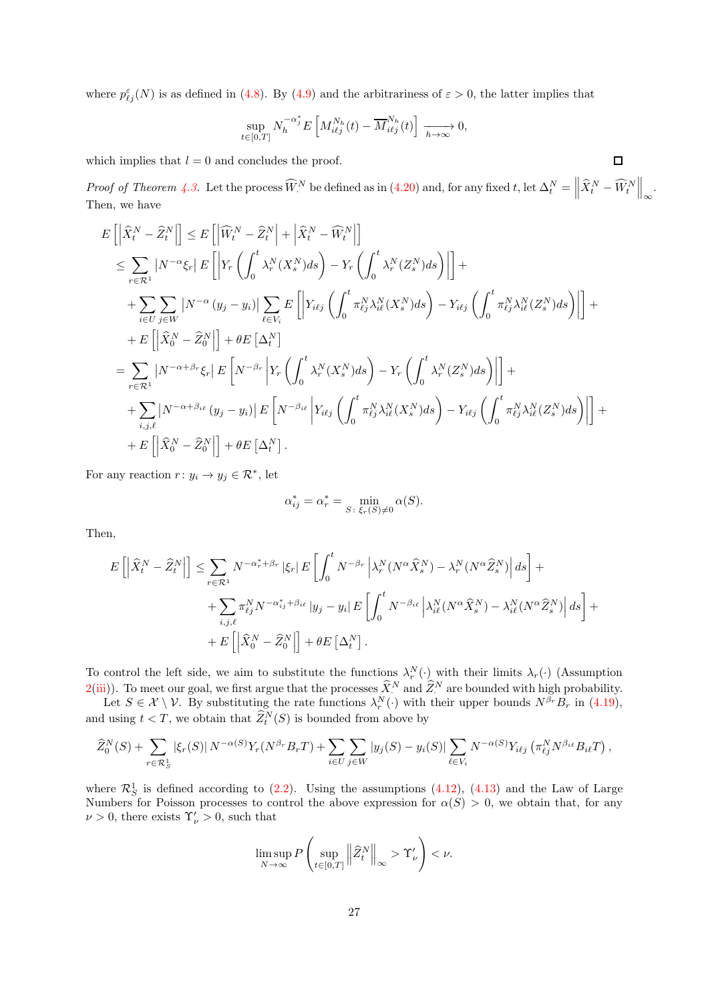where  $p_{\ell j}^{\varepsilon}(N)$  is as defined in [\(4.8\)](#page-9-7). By [\(4.9\)](#page-9-1) and the arbitrariness of  $\varepsilon > 0$ , the latter implies that

$$
\sup_{t\in[0,T]} N_h^{-\alpha_j^*} E\left[M_{i\ell j}^{N_h}(t) - \overline{M}_{i\ell j}^{N_h}(t)\right] \xrightarrow[h \to \infty]{} 0,
$$

which implies that  $l = 0$  and concludes the proof.

Proof of Theorem [4.3.](#page-13-0) Let the process  $\widehat{W}^N$  be defined as in [\(4.20\)](#page-12-2) and, for any fixed t, let  $\Delta_t^N = \left\| \widehat{X}_t^N - \widehat{W}_t^N \right\|_{\infty}$ . Then, we have

$$
E\left[\left|\widehat{X}_{t}^{N}-\widehat{Z}_{t}^{N}\right|\right] \leq E\left[\left|\widehat{W}_{t}^{N}-\widehat{Z}_{t}^{N}\right|+\left|\widehat{X}_{t}^{N}-\widehat{W}_{t}^{N}\right|\right] \n\leq \sum_{r\in\mathcal{R}^{1}}\left|N^{-\alpha}\xi_{r}\right|E\left[\left|Y_{r}\left(\int_{0}^{t}\lambda_{r}^{N}(X_{s}^{N})ds\right)-Y_{r}\left(\int_{0}^{t}\lambda_{r}^{N}(Z_{s}^{N})ds\right)\right|\right] + \n+ \sum_{i\in U}\sum_{j\in W}\left|N^{-\alpha}\left(y_{j}-y_{i}\right)\right|\sum_{\ell\in V_{i}}E\left[\left|Y_{i\ell j}\left(\int_{0}^{t}\pi_{\ell j}^{N}\lambda_{i\ell}^{N}(X_{s}^{N})ds\right)-Y_{i\ell j}\left(\int_{0}^{t}\pi_{\ell j}^{N}\lambda_{i\ell}^{N}(Z_{s}^{N})ds\right)\right|\right] + \n+ E\left[\left|\widehat{X}_{0}^{N}-\widehat{Z}_{0}^{N}\right|\right] + \theta E\left[\Delta_{t}^{N}\right] \n= \sum_{r\in\mathcal{R}^{1}}\left|N^{-\alpha+\beta_{r}}\xi_{r}\right|E\left[N^{-\beta_{r}}\left|Y_{r}\left(\int_{0}^{t}\lambda_{r}^{N}(X_{s}^{N})ds\right)-Y_{r}\left(\int_{0}^{t}\lambda_{r}^{N}(Z_{s}^{N})ds\right)\right|\right] + \n+ \sum_{i,j,\ell}\left|N^{-\alpha+\beta_{i\ell}}\left(y_{j}-y_{i}\right)\right|E\left[N^{-\beta_{i\ell}}\left|Y_{i\ell j}\left(\int_{0}^{t}\pi_{\ell j}^{N}\lambda_{i\ell}^{N}(X_{s}^{N})ds\right)-Y_{i\ell j}\left(\int_{0}^{t}\pi_{\ell j}^{N}\lambda_{i\ell}^{N}(Z_{s}^{N})ds\right)\right|\right] + \n+ E\left[\left|\widehat{X}_{0}^{N}-\widehat{Z}_{0}^{N}\right|\right] + \theta E\left[\Delta_{t}^{N}\right].
$$

For any reaction  $r: y_i \to y_j \in \mathcal{R}^*$ , let

$$
\alpha_{ij}^* = \alpha_r^* = \min_{S \colon \xi_r(S) \neq 0} \alpha(S).
$$

Then,

$$
E\left[\left|\widehat{X}_{t}^{N}-\widehat{Z}_{t}^{N}\right|\right] \leq \sum_{r \in \mathcal{R}^{1}} N^{-\alpha_{r}^{*}+\beta_{r}}\left|\xi_{r}\right| E\left[\int_{0}^{t} N^{-\beta_{r}}\left|\lambda_{r}^{N}(N^{\alpha}\widehat{X}_{s}^{N})-\lambda_{r}^{N}(N^{\alpha}\widehat{Z}_{s}^{N})\right| ds\right] +
$$
  
+ 
$$
\sum_{i,j,\ell} \pi_{\ell j}^{N} N^{-\alpha_{ij}^{*}+\beta_{i\ell}}\left|y_{j}-y_{i}\right| E\left[\int_{0}^{t} N^{-\beta_{i\ell}}\left|\lambda_{i\ell}^{N}(N^{\alpha}\widehat{X}_{s}^{N})-\lambda_{i\ell}^{N}(N^{\alpha}\widehat{Z}_{s}^{N})\right| ds\right] +
$$
  
+ 
$$
E\left[\left|\widehat{X}_{0}^{N}-\widehat{Z}_{0}^{N}\right|\right] + \theta E\left[\Delta_{t}^{N}\right].
$$

To control the left side, we aim to substitute the functions  $\lambda_r^N(\cdot)$  with their limits  $\lambda_r(\cdot)$  (Assumption  $2(iii)$  $2(iii)$ ). To meet our goal, we first argue that the processes  $\hat{X}^N$  and  $\hat{Z}^N$  are bounded with high probability.

Let  $S \in \mathcal{X} \setminus \mathcal{V}$ . By substituting the rate functions  $\lambda_r^N(\cdot)$  with their upper bounds  $N^{\beta_r}B_r$  in [\(4.19\)](#page-12-1), and using  $t < T$ , we obtain that  $\widehat{Z}_t^N(S)$  is bounded from above by

$$
\widehat{Z}_0^N(S) + \sum_{r \in \mathcal{R}_S^1} |\xi_r(S)| N^{-\alpha(S)} Y_r(N^{\beta_r} B_r T) + \sum_{i \in U} \sum_{j \in W} |y_j(S) - y_i(S)| \sum_{\ell \in V_i} N^{-\alpha(S)} Y_{i\ell j} (\pi_{\ell j}^N N^{\beta_{i\ell}} B_{i\ell} T),
$$

where  $\mathcal{R}_S^1$  is defined according to [\(2.2\)](#page-2-1). Using the assumptions [\(4.12\)](#page-10-1), [\(4.13\)](#page-10-5) and the Law of Large Numbers for Poisson processes to control the above expression for  $\alpha(S) > 0$ , we obtain that, for any  $\nu > 0$ , there exists  $\Upsilon'_{\nu} > 0$ , such that

$$
\limsup_{N \to \infty} P\left(\sup_{t \in [0,T]} \left\|\widehat{Z}_t^N\right\|_{\infty} > \Upsilon_{\nu}'\right) < \nu.
$$

 $\Box$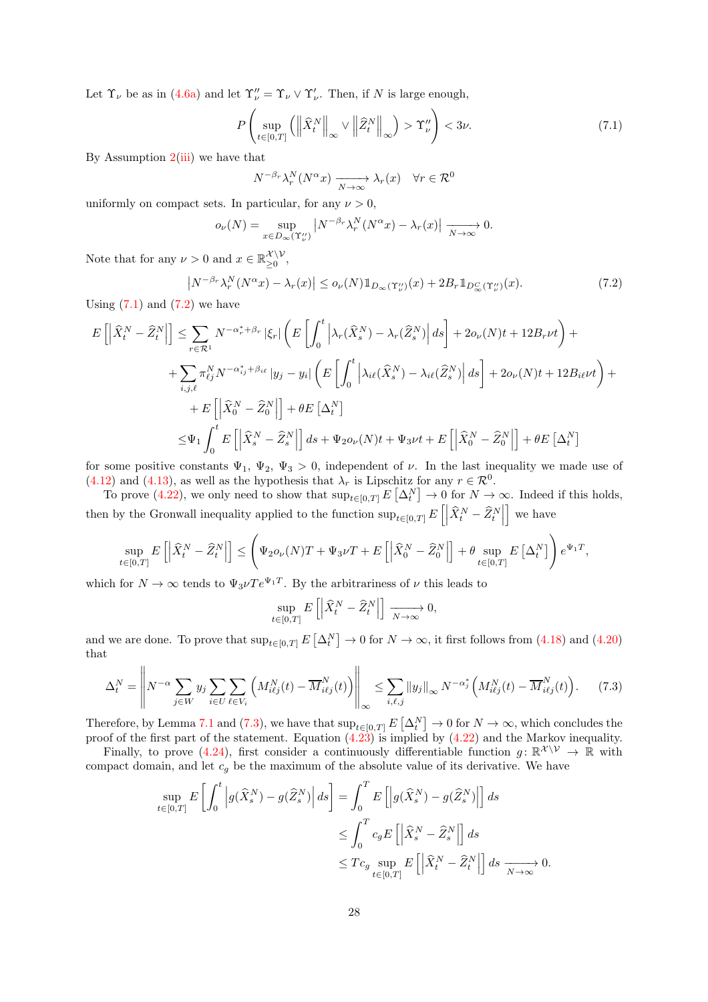Let  $\Upsilon_{\nu}$  be as in [\(4.6a\)](#page-8-3) and let  $\Upsilon_{\nu}'' = \Upsilon_{\nu} \vee \Upsilon_{\nu}'$ . Then, if N is large enough,

<span id="page-27-0"></span>
$$
P\left(\sup_{t\in[0,T]}\left(\left\|\widehat{X}_{t}^{N}\right\|_{\infty}\vee\left\|\widehat{Z}_{t}^{N}\right\|_{\infty}\right)>\Upsilon_{\nu}''\right)<3\nu.\tag{7.1}
$$

By Assumption  $2(iii)$  $2(iii)$  we have that

$$
N^{-\beta_r} \lambda_r^N(N^{\alpha} x) \xrightarrow[N \to \infty]{} \lambda_r(x) \quad \forall r \in \mathcal{R}^0
$$

uniformly on compact sets. In particular, for any  $\nu > 0$ ,

$$
o_{\nu}(N) = \sup_{x \in D_{\infty}(\Upsilon_{\nu}^{\prime\prime})} \left| N^{-\beta_r} \lambda_r^N(N^{\alpha} x) - \lambda_r(x) \right| \xrightarrow[N \to \infty]{} 0.
$$

Note that for any  $\nu > 0$  and  $x \in \mathbb{R}_{\geq 0}^{\mathcal{X} \setminus \mathcal{V}}$  $\sum_{\geq 0}^{\lambda \setminus V},$ 

<span id="page-27-1"></span>
$$
\left|N^{-\beta_r}\lambda_r^N(N^{\alpha}x) - \lambda_r(x)\right| \le o_\nu(N)\mathbb{1}_{D_\infty(\Upsilon_\nu'')}(x) + 2B_r\mathbb{1}_{D_\infty^C(\Upsilon_\nu'')}(x). \tag{7.2}
$$

Using  $(7.1)$  and  $(7.2)$  we have

$$
E\left[\left|\widehat{X}_{t}^{N}-\widehat{Z}_{t}^{N}\right|\right] \leq \sum_{r\in\mathcal{R}^{1}} N^{-\alpha_{r}^{*}+\beta_{r}}\left|\xi_{r}\right| \left(E\left[\int_{0}^{t} \left|\lambda_{r}(\widehat{X}_{s}^{N})-\lambda_{r}(\widehat{Z}_{s}^{N})\right| ds\right] + 2o_{\nu}(N)t + 12B_{r}\nu t\right) +
$$
  
+ 
$$
\sum_{i,j,\ell} \pi_{\ell j}^{N} N^{-\alpha_{ij}^{*}+\beta_{i\ell}}\left|y_{j}-y_{i}\right| \left(E\left[\int_{0}^{t} \left|\lambda_{i\ell}(\widehat{X}_{s}^{N})-\lambda_{i\ell}(\widehat{Z}_{s}^{N})\right| ds\right] + 2o_{\nu}(N)t + 12B_{i\ell}\nu t\right) +
$$
  
+ 
$$
E\left[\left|\widehat{X}_{0}^{N}-\widehat{Z}_{0}^{N}\right|\right] + \theta E\left[\Delta_{t}^{N}\right]
$$
  

$$
\leq \Psi_{1} \int_{0}^{t} E\left[\left|\widehat{X}_{s}^{N}-\widehat{Z}_{s}^{N}\right|\right] ds + \Psi_{2}o_{\nu}(N)t + \Psi_{3}\nu t + E\left[\left|\widehat{X}_{0}^{N}-\widehat{Z}_{0}^{N}\right|\right] + \theta E\left[\Delta_{t}^{N}\right]
$$

for some positive constants  $\Psi_1$ ,  $\Psi_2$ ,  $\Psi_3 > 0$ , independent of  $\nu$ . In the last inequality we made use of [\(4.12\)](#page-10-1) and [\(4.13\)](#page-10-5), as well as the hypothesis that  $\lambda_r$  is Lipschitz for any  $r \in \mathcal{R}^0$ .

To prove [\(4.22\)](#page-13-3), we only need to show that  $\sup_{t\in[0,T]} E\left[\Delta_t^N\right] \to 0$  for  $N\to\infty$ . Indeed if this holds, then by the Gronwall inequality applied to the function  $\sup_{t\in[0,T]} E\left[\left|\widehat{X}_t^N - \widehat{Z}_t^N\right|\right]$ i we have

$$
\sup_{t\in[0,T]} E\left[\left|\widehat{X}^N_t - \widehat{Z}^N_t\right|\right] \le \left(\Psi_2 o_\nu(N)T + \Psi_3\nu T + E\left[\left|\widehat{X}^N_0 - \widehat{Z}^N_0\right|\right] + \theta \sup_{t\in[0,T]} E\left[\Delta^N_t\right]\right) e^{\Psi_1 T},
$$

which for  $N \to \infty$  tends to  $\Psi_3 \nu T e^{\Psi_1 T}$ . By the arbitrariness of  $\nu$  this leads to

$$
\sup_{t \in [0,T]} E\left[ \left| \widehat{X}_t^N - \widehat{Z}_t^N \right| \right] \xrightarrow[N \to \infty]{} 0,
$$

and we are done. To prove that  $\sup_{t\in[0,T]} E\left[\Delta_t^N\right] \to 0$  for  $N\to\infty$ , it first follows from [\(4.18\)](#page-12-0) and [\(4.20\)](#page-12-2) that

<span id="page-27-2"></span>
$$
\Delta_t^N = \left\| N^{-\alpha} \sum_{j \in W} y_j \sum_{i \in U} \sum_{\ell \in V_i} \left( M_{i\ell j}^N(t) - \overline{M}_{i\ell j}^N(t) \right) \right\|_{\infty} \le \sum_{i,\ell,j} \|y_j\|_{\infty} N^{-\alpha_j^*} \left( M_{i\ell j}^N(t) - \overline{M}_{i\ell j}^N(t) \right). \tag{7.3}
$$

Therefore, by Lemma [7.1](#page-25-0) and [\(7.3\)](#page-27-2), we have that  $\sup_{t\in[0,T]}E\left[\Delta_t^N\right]\to 0$  for  $N\to\infty$ , which concludes the proof of the first part of the statement. Equation [\(4.23\)](#page-13-4) is implied by [\(4.22\)](#page-13-3) and the Markov inequality.

Finally, to prove [\(4.24\)](#page-13-5), first consider a continuously differentiable function  $g: \mathbb{R}^{\mathcal{X}\setminus\mathcal{V}} \to \mathbb{R}$  with compact domain, and let  $c_g$  be the maximum of the absolute value of its derivative. We have

$$
\sup_{t \in [0,T]} E\left[\int_0^t \left| g(\widehat{X}_s^N) - g(\widehat{Z}_s^N) \right| ds \right] = \int_0^T E\left[\left| g(\widehat{X}_s^N) - g(\widehat{Z}_s^N) \right| \right] ds
$$
  

$$
\leq \int_0^T c_g E\left[\left| \widehat{X}_s^N - \widehat{Z}_s^N \right| \right] ds
$$
  

$$
\leq T c_g \sup_{t \in [0,T]} E\left[\left| \widehat{X}_t^N - \widehat{Z}_t^N \right| \right] ds \xrightarrow[N \to \infty]{} 0.
$$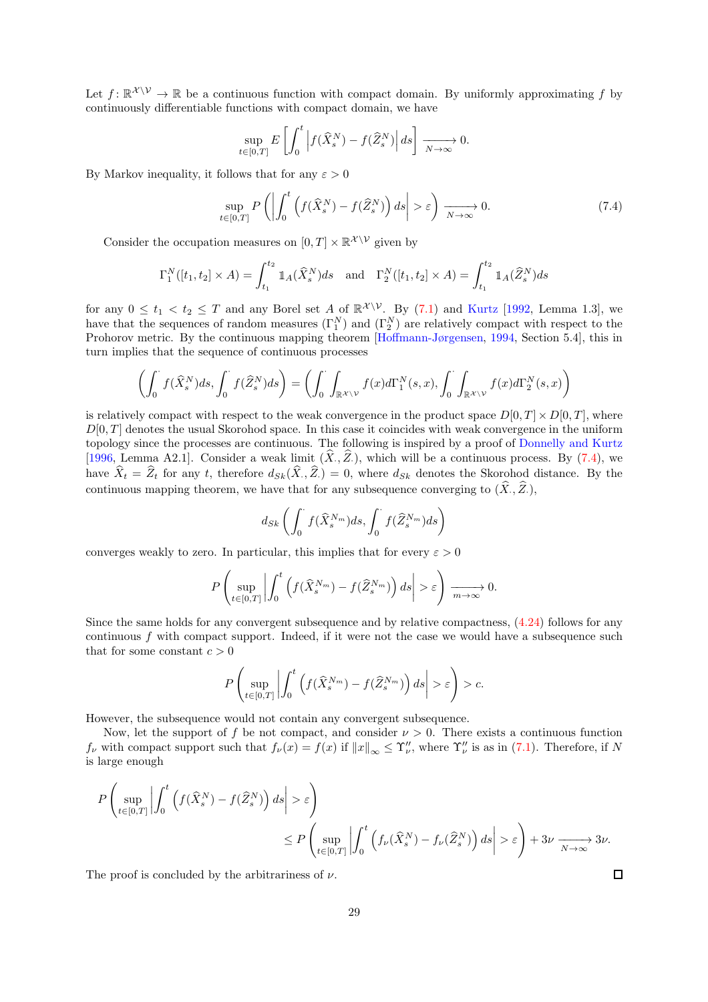Let  $f: \mathbb{R}^{\mathcal{X} \setminus \mathcal{V}} \to \mathbb{R}$  be a continuous function with compact domain. By uniformly approximating f by continuously differentiable functions with compact domain, we have

$$
\sup_{t \in [0,T]} E\left[\int_0^t \left| f(\widehat{X}_s^N) - f(\widehat{Z}_s^N) \right| ds \right] \xrightarrow[N \to \infty]{} 0.
$$

By Markov inequality, it follows that for any  $\varepsilon > 0$ 

<span id="page-28-0"></span>
$$
\sup_{t \in [0,T]} P\left( \left| \int_0^t \left( f(\widehat{X}_s^N) - f(\widehat{Z}_s^N) \right) ds \right| > \varepsilon \right) \xrightarrow[N \to \infty]{} 0. \tag{7.4}
$$

Consider the occupation measures on  $[0, T] \times \mathbb{R}^{\mathcal{X} \setminus \mathcal{V}}$  given by

$$
\Gamma_1^N([t_1, t_2] \times A) = \int_{t_1}^{t_2} 1\!\!1_A(\widehat{X}_s^N) ds \quad \text{and} \quad \Gamma_2^N([t_1, t_2] \times A) = \int_{t_1}^{t_2} 1\!\!1_A(\widehat{Z}_s^N) ds
$$

for any  $0 \le t_1 < t_2 \le T$  and any Borel set A of  $\mathbb{R}^{\mathcal{X} \setminus \mathcal{V}}$ . By [\(7.1\)](#page-27-0) and [Kurtz](#page-31-4) [\[1992,](#page-31-4) Lemma 1.3], we have that the sequences of random measures  $(\Gamma_1^N)$  and  $(\Gamma_2^N)$  are relatively compact with respect to the Prohorov metric. By the continuous mapping theorem [\[Hoffmann-Jørgensen,](#page-30-15) [1994](#page-30-15), Section 5.4], this in turn implies that the sequence of continuous processes

$$
\left(\int_0^\cdot f(\widehat X^N_s)ds,\int_0^\cdot f(\widehat Z^N_s)ds\right)=\left(\int_0^\cdot \int_{\mathbb{R}^{\mathcal{X}\backslash \mathcal{V}}}f(x)d\Gamma^N_1(s,x),\int_0^\cdot \int_{\mathbb{R}^{\mathcal{X}\backslash \mathcal{V}}}f(x)d\Gamma^N_2(s,x)\right)
$$

is relatively compact with respect to the weak convergence in the product space  $D[0, T] \times D[0, T]$ , where  $D[0, T]$  denotes the usual Skorohod space. In this case it coincides with weak convergence in the uniform topology since the processes are continuous. The following is inspired by a proof of [Donnelly and Kurtz](#page-31-5) [\[1996,](#page-31-5) Lemma A2.1]. Consider a weak  $\lim_{\Delta x \to 0} (X, Z)$ , which will be a continuous process. By [\(7.4\)](#page-28-0), we have  $X_t = Z_t$  for any t, therefore  $d_{Sk}(X, Z_t) = 0$ , where  $d_{Sk}$  denotes the Skorohod distance. By the continuous mapping theorem, we have that for any subsequence converging to  $(X, Z)$ ,

$$
d_{Sk} \left( \int_0^{\cdot} f(\widehat{X}_s^{N_m}) ds, \int_0^{\cdot} f(\widehat{Z}_s^{N_m}) ds \right)
$$

converges weakly to zero. In particular, this implies that for every  $\varepsilon > 0$ 

$$
P\left(\sup_{t\in[0,T]}\left|\int_0^t \left(f(\widehat{X}_s^{N_m})-f(\widehat{Z}_s^{N_m})\right)ds\right|>\varepsilon\right)\xrightarrow[m\to\infty]{}0.
$$

Since the same holds for any convergent subsequence and by relative compactness, [\(4.24\)](#page-13-5) follows for any continuous  $f$  with compact support. Indeed, if it were not the case we would have a subsequence such that for some constant  $c > 0$ 

$$
P\left(\sup_{t\in[0,T]}\left|\int_0^t \left(f(\widehat{X}_s^{N_m})-f(\widehat{Z}_s^{N_m})\right)ds\right|>\varepsilon\right)>c.
$$

However, the subsequence would not contain any convergent subsequence.

Now, let the support of f be not compact, and consider  $\nu > 0$ . There exists a continuous function  $f_{\nu}$  with compact support such that  $f_{\nu}(x) = f(x)$  if  $||x||_{\infty} \leq \Upsilon''_{\nu}$ , where  $\Upsilon''_{\nu}$  is as in [\(7.1\)](#page-27-0). Therefore, if N is large enough

$$
\begin{aligned} P\left(\sup_{t\in[0,T]}\left|\int_0^t\left(f(\widehat{X}^N_s)-f(\widehat{Z}^N_s)\right)ds\right|&>\varepsilon\right)\\ &\qquad\le P\left(\sup_{t\in[0,T]}\left|\int_0^t\left(f_\nu(\widehat{X}^N_s)-f_\nu(\widehat{Z}^N_s)\right)ds\right|&>\varepsilon\right)+3\nu\xrightarrow[N\to\infty]{}3\nu.\end{aligned}
$$

The proof is concluded by the arbitrariness of  $\nu$ .

 $\Box$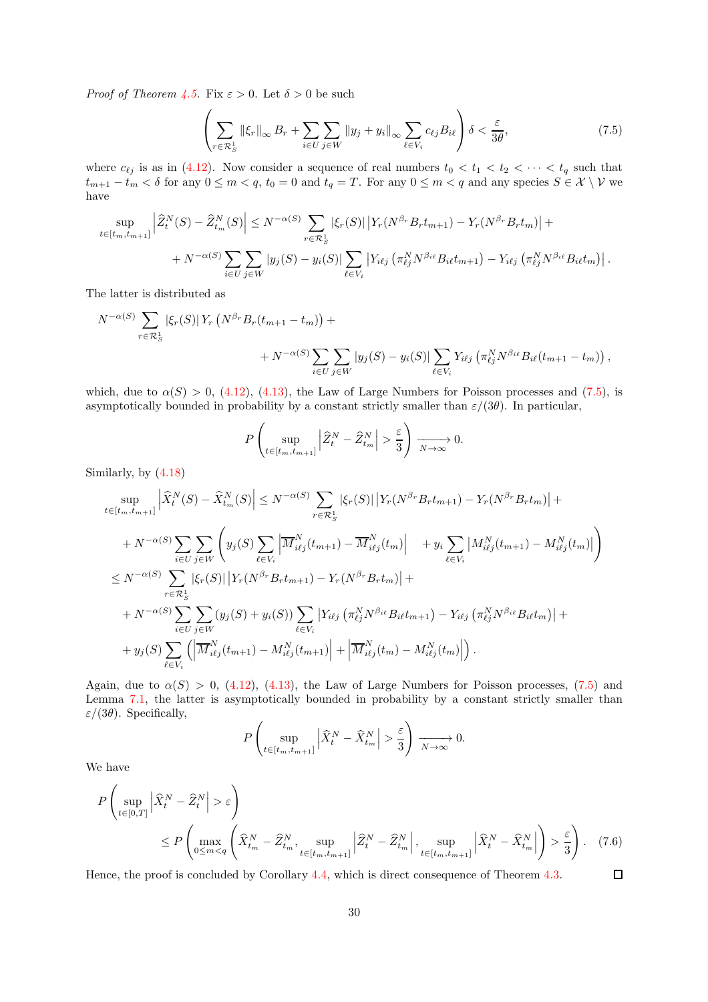*Proof of Theorem [4.5.](#page-15-0)* Fix  $\varepsilon > 0$ . Let  $\delta > 0$  be such

 $\mathbb{R}^2$ 

<span id="page-29-0"></span>
$$
\left(\sum_{r\in\mathcal{R}_S^1} \|\xi_r\|_{\infty} B_r + \sum_{i\in U} \sum_{j\in W} \|y_j + y_i\|_{\infty} \sum_{\ell\in V_i} c_{\ell j} B_{i\ell}\right) \delta < \frac{\varepsilon}{3\theta},\tag{7.5}
$$

where  $c_{\ell j}$  is as in [\(4.12\)](#page-10-1). Now consider a sequence of real numbers  $t_0 < t_1 < t_2 < \cdots < t_q$  such that  $t_{m+1} - t_m < \delta$  for any  $0 \leq m < q$ ,  $t_0 = 0$  and  $t_q = T$ . For any  $0 \leq m < q$  and any species  $S \in \mathcal{X} \setminus \mathcal{V}$  we have

$$
\sup_{t \in [t_m, t_{m+1}]} \left| \widehat{Z}_t^N(S) - \widehat{Z}_{t_m}^N(S) \right| \leq N^{-\alpha(S)} \sum_{r \in \mathcal{R}_S^1} |\xi_r(S)| \left| Y_r(N^{\beta_r} B_r t_{m+1}) - Y_r(N^{\beta_r} B_r t_m) \right| + N^{-\alpha(S)} \sum_{i \in U} \sum_{j \in W} |y_j(S) - y_i(S)| \sum_{\ell \in V_i} \left| Y_{i\ell j} \left( \pi_{\ell j}^N N^{\beta_{i\ell}} B_{i\ell} t_{m+1} \right) - Y_{i\ell j} \left( \pi_{\ell j}^N N^{\beta_{i\ell}} B_{i\ell} t_m \right) \right|.
$$

The latter is distributed as

$$
N^{-\alpha(S)} \sum_{r \in \mathcal{R}_S^1} |\xi_r(S)| Y_r \left( N^{\beta_r} B_r(t_{m+1} - t_m) \right) + + N^{-\alpha(S)} \sum_{i \in U} \sum_{j \in W} |y_j(S) - y_i(S)| \sum_{\ell \in V_i} Y_{i\ell j} \left( \pi_{\ell j}^N N^{\beta_{i\ell}} B_{i\ell}(t_{m+1} - t_m) \right),
$$

which, due to  $\alpha(S) > 0$ , [\(4.12\)](#page-10-1), [\(4.13\)](#page-10-5), the Law of Large Numbers for Poisson processes and [\(7.5\)](#page-29-0), is asymptotically bounded in probability by a constant strictly smaller than  $\varepsilon/(3\theta)$ . In particular,

$$
P\left(\sup_{t\in[t_m,t_{m+1}]}\left|\widehat{Z}_t^N-\widehat{Z}_{t_m}^N\right|>\frac{\varepsilon}{3}\right)\xrightarrow[N\to\infty]{}0.
$$

Similarly, by [\(4.18\)](#page-12-0)

$$
\sup_{t \in [t_m, t_{m+1}]} \left| \hat{X}_t^N(S) - \hat{X}_{t_m}^N(S) \right| \leq N^{-\alpha(S)} \sum_{r \in \mathcal{R}_{S}^1} |\xi_r(S)| \left| Y_r(N^{\beta_r} B_r t_{m+1}) - Y_r(N^{\beta_r} B_r t_m) \right| + + N^{-\alpha(S)} \sum_{i \in U} \sum_{j \in W} \left( y_j(S) \sum_{\ell \in V_i} \left| \overline{M}_{i\ell j}^N(t_{m+1}) - \overline{M}_{i\ell j}^N(t_m) \right| + y_i \sum_{\ell \in V_i} |M_{i\ell j}^N(t_{m+1}) - M_{i\ell j}^N(t_m) | \right) \n\leq N^{-\alpha(S)} \sum_{r \in \mathcal{R}_{S}^1} |\xi_r(S)| \left| Y_r(N^{\beta_r} B_r t_{m+1}) - Y_r(N^{\beta_r} B_r t_m) \right| + + N^{-\alpha(S)} \sum_{i \in U} \sum_{j \in W} (y_j(S) + y_i(S)) \sum_{\ell \in V_i} \left| Y_{i\ell j} \left( \pi_{\ell j}^N N^{\beta_{i\ell}} B_{i\ell} t_{m+1} \right) - Y_{i\ell j} \left( \pi_{\ell j}^N N^{\beta_{i\ell}} B_{i\ell} t_m \right) \right| + + y_j(S) \sum_{\ell \in V_i} \left( \left| \overline{M}_{i\ell j}^N(t_{m+1}) - M_{i\ell j}^N(t_{m+1}) \right| + \left| \overline{M}_{i\ell j}^N(t_m) - M_{i\ell j}^N(t_m) \right| \right).
$$

Again, due to  $\alpha(S) > 0$ , [\(4.12\)](#page-10-1), [\(4.13\)](#page-10-5), the Law of Large Numbers for Poisson processes, [\(7.5\)](#page-29-0) and Lemma [7.1,](#page-25-0) the latter is asymptotically bounded in probability by a constant strictly smaller than  $\varepsilon/(3\theta)$ . Specifically,  $\overline{ }$ 

$$
P\left(\sup_{t\in[t_m,t_{m+1}]}\left|\widehat{X}_t^N-\widehat{X}_{t_m}^N\right|>\frac{\varepsilon}{3}\right)\xrightarrow[N\to\infty]{}0.
$$

We have

$$
P\left(\sup_{t\in[0,T]} \left|\widehat{X}_t^N - \widehat{Z}_t^N\right| > \varepsilon\right)
$$
  
\$\leq P\left(\max\_{0\leq m \frac{\varepsilon}{3}\right). (7.6)

Hence, the proof is concluded by Corollary [4.4,](#page-14-1) which is direct consequence of Theorem [4.3.](#page-13-0)

 $\Box$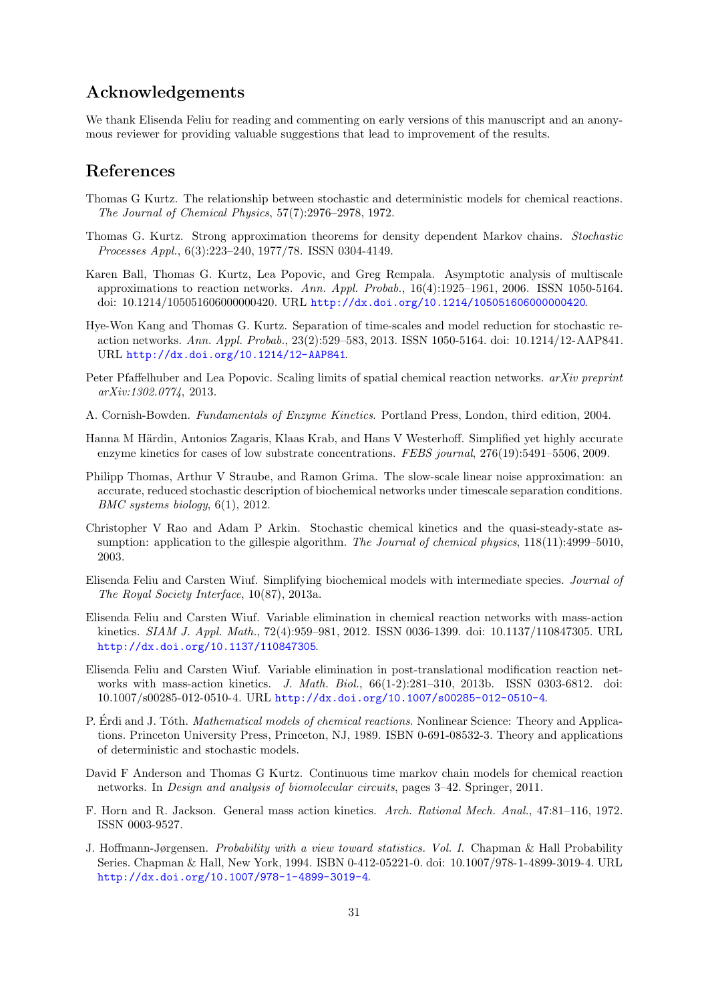# Acknowledgements

We thank Elisenda Feliu for reading and commenting on early versions of this manuscript and an anonymous reviewer for providing valuable suggestions that lead to improvement of the results.

## References

- <span id="page-30-0"></span>Thomas G Kurtz. The relationship between stochastic and deterministic models for chemical reactions. The Journal of Chemical Physics, 57(7):2976–2978, 1972.
- <span id="page-30-1"></span>Thomas G. Kurtz. Strong approximation theorems for density dependent Markov chains. Stochastic Processes Appl., 6(3):223–240, 1977/78. ISSN 0304-4149.
- <span id="page-30-2"></span>Karen Ball, Thomas G. Kurtz, Lea Popovic, and Greg Rempala. Asymptotic analysis of multiscale approximations to reaction networks. Ann. Appl. Probab.,  $16(4):1925-1961$ , 2006. ISSN 1050-5164. doi: 10.1214/105051606000000420. URL <http://dx.doi.org/10.1214/105051606000000420>.
- <span id="page-30-3"></span>Hye-Won Kang and Thomas G. Kurtz. Separation of time-scales and model reduction for stochastic reaction networks. Ann. Appl. Probab., 23(2):529–583, 2013. ISSN 1050-5164. doi: 10.1214/12-AAP841. URL <http://dx.doi.org/10.1214/12-AAP841>.
- <span id="page-30-4"></span>Peter Pfaffelhuber and Lea Popovic. Scaling limits of spatial chemical reaction networks. arXiv preprint arXiv:1302.0774, 2013.
- <span id="page-30-5"></span>A. Cornish-Bowden. Fundamentals of Enzyme Kinetics. Portland Press, London, third edition, 2004.
- <span id="page-30-6"></span>Hanna M Härdin, Antonios Zagaris, Klaas Krab, and Hans V Westerhoff. Simplified yet highly accurate enzyme kinetics for cases of low substrate concentrations. FEBS journal, 276(19):5491–5506, 2009.
- <span id="page-30-7"></span>Philipp Thomas, Arthur V Straube, and Ramon Grima. The slow-scale linear noise approximation: an accurate, reduced stochastic description of biochemical networks under timescale separation conditions. BMC systems biology, 6(1), 2012.
- <span id="page-30-8"></span>Christopher V Rao and Adam P Arkin. Stochastic chemical kinetics and the quasi-steady-state assumption: application to the gillespie algorithm. The Journal of chemical physics,  $118(11):4999-5010$ , 2003.
- <span id="page-30-9"></span>Elisenda Feliu and Carsten Wiuf. Simplifying biochemical models with intermediate species. Journal of The Royal Society Interface, 10(87), 2013a.
- <span id="page-30-10"></span>Elisenda Feliu and Carsten Wiuf. Variable elimination in chemical reaction networks with mass-action kinetics. SIAM J. Appl. Math., 72(4):959–981, 2012. ISSN 0036-1399. doi: 10.1137/110847305. URL <http://dx.doi.org/10.1137/110847305>.
- <span id="page-30-11"></span>Elisenda Feliu and Carsten Wiuf. Variable elimination in post-translational modification reaction networks with mass-action kinetics. J. Math. Biol., 66(1-2):281–310, 2013b. ISSN 0303-6812. doi: 10.1007/s00285-012-0510-4. URL <http://dx.doi.org/10.1007/s00285-012-0510-4>.
- <span id="page-30-12"></span>P. Erdi and J. Tóth. *Mathematical models of chemical reactions*. Nonlinear Science: Theory and Applications. Princeton University Press, Princeton, NJ, 1989. ISBN 0-691-08532-3. Theory and applications of deterministic and stochastic models.
- <span id="page-30-13"></span>David F Anderson and Thomas G Kurtz. Continuous time markov chain models for chemical reaction networks. In Design and analysis of biomolecular circuits, pages 3–42. Springer, 2011.
- <span id="page-30-14"></span>F. Horn and R. Jackson. General mass action kinetics. Arch. Rational Mech. Anal., 47:81–116, 1972. ISSN 0003-9527.
- <span id="page-30-15"></span>J. Hoffmann-Jørgensen. Probability with a view toward statistics. Vol. I. Chapman & Hall Probability Series. Chapman & Hall, New York, 1994. ISBN 0-412-05221-0. doi: 10.1007/978-1-4899-3019-4. URL <http://dx.doi.org/10.1007/978-1-4899-3019-4>.